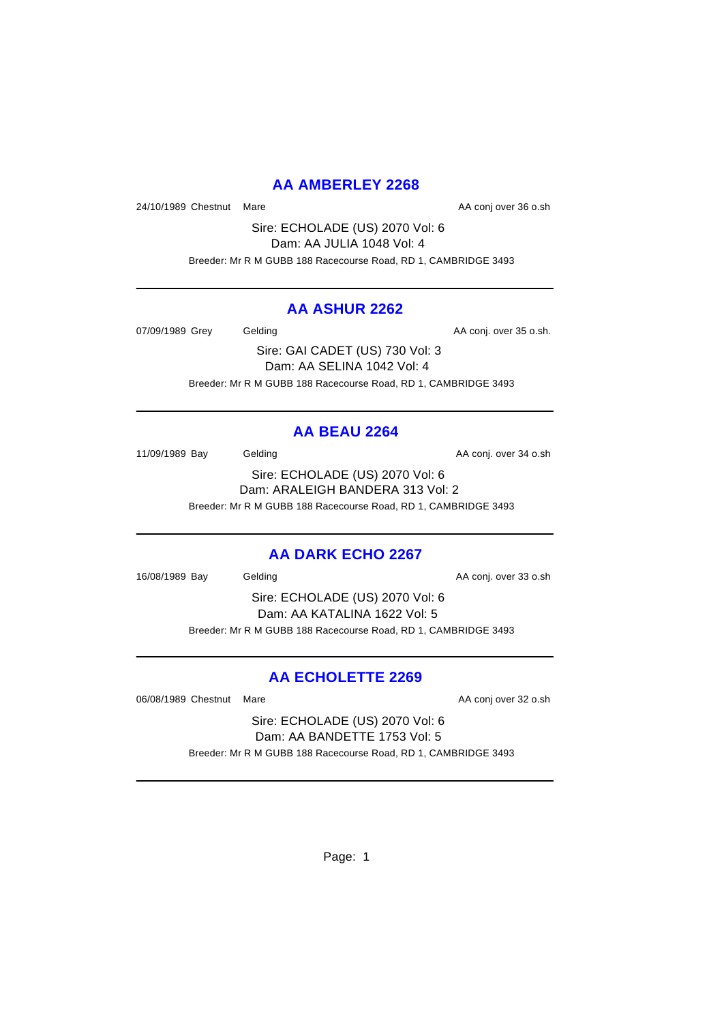# **AA AMBERLEY 2268**

24/10/1989 Chestnut Mare **AA conj over 36 o.sh** 

Sire: ECHOLADE (US) 2070 Vol: 6 Dam: AA JULIA 1048 Vol: 4 Breeder: Mr R M GUBB 188 Racecourse Road, RD 1, CAMBRIDGE 3493

## **AA ASHUR 2262**

07/09/1989 Grey Gelding Construction Construction AA conj. over 35 o.sh.

Sire: GAI CADET (US) 730 Vol: 3 Dam: AA SELINA 1042 Vol: 4 Breeder: Mr R M GUBB 188 Racecourse Road, RD 1, CAMBRIDGE 3493

# **AA BEAU 2264**

11/09/1989 Bay Gelding Cash Conj. over 34 o.sh

Sire: ECHOLADE (US) 2070 Vol: 6 Dam: ARALEIGH BANDERA 313 Vol: 2 Breeder: Mr R M GUBB 188 Racecourse Road, RD 1, CAMBRIDGE 3493

# **AA DARK ECHO 2267**

16/08/1989 Bay Gelding Cash Conj. over 33 o.sh

Sire: ECHOLADE (US) 2070 Vol: 6 Dam: AA KATALINA 1622 Vol: 5 Breeder: Mr R M GUBB 188 Racecourse Road, RD 1, CAMBRIDGE 3493

# **AA ECHOLETTE 2269**

06/08/1989 Chestnut Mare **AA conj over 32 o.sh** 

Sire: ECHOLADE (US) 2070 Vol: 6 Dam: AA BANDETTE 1753 Vol: 5 Breeder: Mr R M GUBB 188 Racecourse Road, RD 1, CAMBRIDGE 3493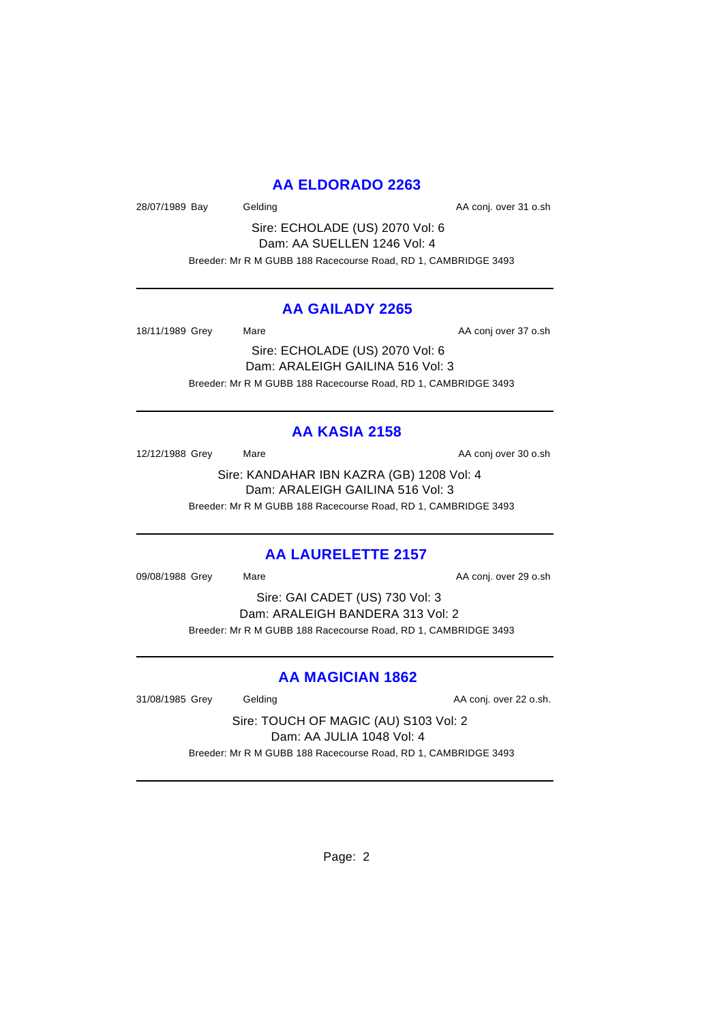# **AA ELDORADO 2263**

28/07/1989 Bay Gelding Cash Conj. over 31 o.sh

Sire: ECHOLADE (US) 2070 Vol: 6 Dam: AA SUELLEN 1246 Vol: 4 Breeder: Mr R M GUBB 188 Racecourse Road, RD 1, CAMBRIDGE 3493

## **AA GAILADY 2265**

18/11/1989 Grey Mare Mare AA conj over 37 o.sh

Sire: ECHOLADE (US) 2070 Vol: 6 Dam: ARALEIGH GAILINA 516 Vol: 3 Breeder: Mr R M GUBB 188 Racecourse Road, RD 1, CAMBRIDGE 3493

# **AA KASIA 2158**

12/12/1988 Grey Mare Mare AA conj over 30 o.sh

Sire: KANDAHAR IBN KAZRA (GB) 1208 Vol: 4 Dam: ARALEIGH GAILINA 516 Vol: 3 Breeder: Mr R M GUBB 188 Racecourse Road, RD 1, CAMBRIDGE 3493

# **AA LAURELETTE 2157**

09/08/1988 Grey Mare Mare AA conj. over 29 o.sh

Sire: GAI CADET (US) 730 Vol: 3 Dam: ARALEIGH BANDERA 313 Vol: 2 Breeder: Mr R M GUBB 188 Racecourse Road, RD 1, CAMBRIDGE 3493

# **AA MAGICIAN 1862**

31/08/1985 Grey Gelding Gelding AA conj. over 22 o.sh.

Sire: TOUCH OF MAGIC (AU) S103 Vol: 2 Dam: AA JULIA 1048 Vol: 4 Breeder: Mr R M GUBB 188 Racecourse Road, RD 1, CAMBRIDGE 3493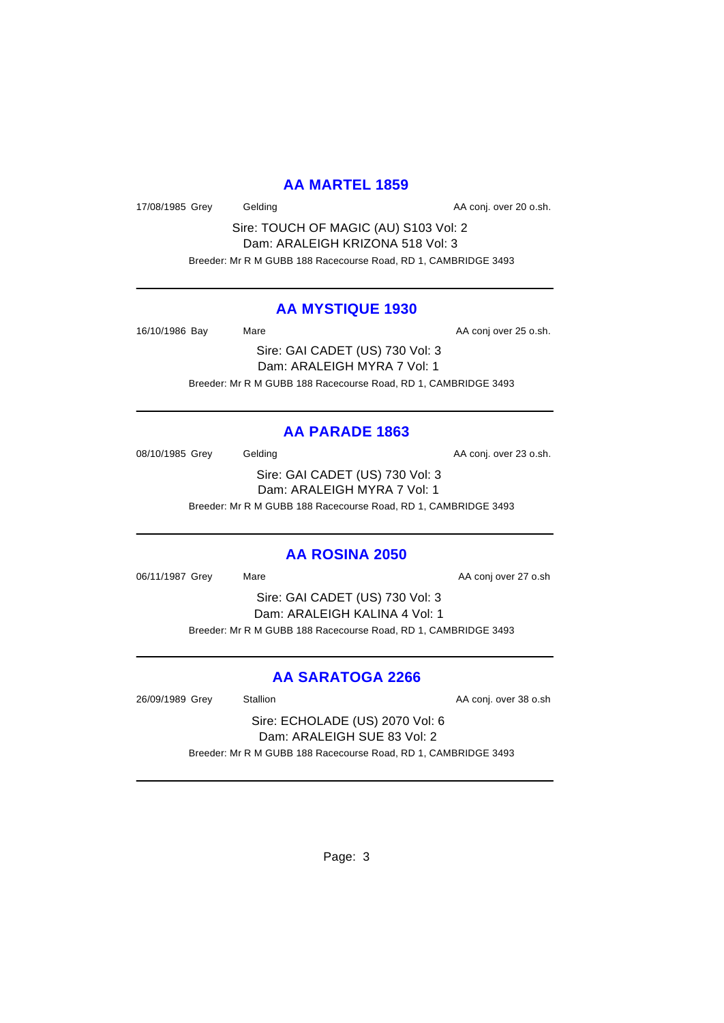## **AA MARTEL 1859**

17/08/1985 Grey Gelding Cash. Conj. over 20 o.sh.

Sire: TOUCH OF MAGIC (AU) S103 Vol: 2 Dam: ARALEIGH KRIZONA 518 Vol: 3 Breeder: Mr R M GUBB 188 Racecourse Road, RD 1, CAMBRIDGE 3493

#### **AA MYSTIQUE 1930**

16/10/1986 Bay Mare Mare AA conj over 25 o.sh.

Sire: GAI CADET (US) 730 Vol: 3 Dam: ARALEIGH MYRA 7 Vol: 1 Breeder: Mr R M GUBB 188 Racecourse Road, RD 1, CAMBRIDGE 3493

## **AA PARADE 1863**

08/10/1985 Grey Gelding Construction Conj. over 23 o.sh. Sire: GAI CADET (US) 730 Vol: 3 Dam: ARALEIGH MYRA 7 Vol: 1

Breeder: Mr R M GUBB 188 Racecourse Road, RD 1, CAMBRIDGE 3493

#### **AA ROSINA 2050**

06/11/1987 Grey Mare Mare AA conj over 27 o.sh

Sire: GAI CADET (US) 730 Vol: 3 Dam: ARALEIGH KALINA 4 Vol: 1 Breeder: Mr R M GUBB 188 Racecourse Road, RD 1, CAMBRIDGE 3493

# **AA SARATOGA 2266**

26/09/1989 Grey Stallion Stallion AA conj. over 38 o.sh

Sire: ECHOLADE (US) 2070 Vol: 6 Dam: ARALEIGH SUE 83 Vol: 2 Breeder: Mr R M GUBB 188 Racecourse Road, RD 1, CAMBRIDGE 3493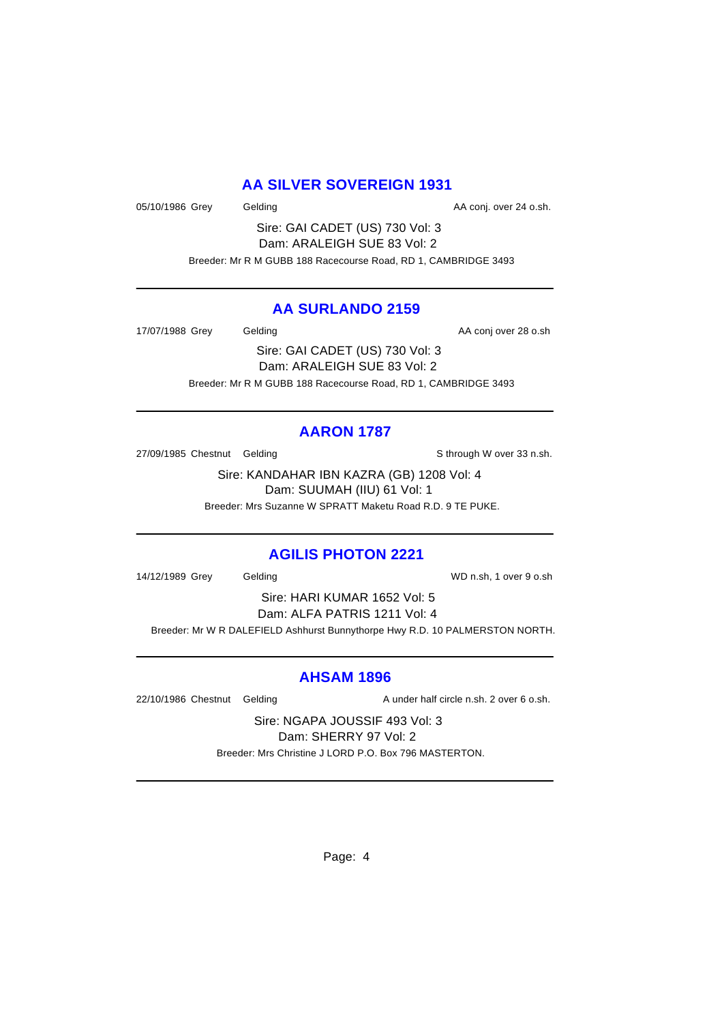# **AA SILVER SOVEREIGN 1931**

05/10/1986 Grey Gelding Constants Conj. over 24 o.sh.

Sire: GAI CADET (US) 730 Vol: 3 Dam: ARALEIGH SUE 83 Vol: 2 Breeder: Mr R M GUBB 188 Racecourse Road, RD 1, CAMBRIDGE 3493

## **AA SURLANDO 2159**

17/07/1988 Grey Gelding Cash Conjover 28 o.sh

Sire: GAI CADET (US) 730 Vol: 3 Dam: ARALEIGH SUE 83 Vol: 2 Breeder: Mr R M GUBB 188 Racecourse Road, RD 1, CAMBRIDGE 3493

# **AARON 1787**

27/09/1985 Chestnut Gelding State of the State of State State of State State State State State State State State State State State State State State State State State State State State State State State State State State S

Sire: KANDAHAR IBN KAZRA (GB) 1208 Vol: 4 Dam: SUUMAH (IIU) 61 Vol: 1 Breeder: Mrs Suzanne W SPRATT Maketu Road R.D. 9 TE PUKE.

# **AGILIS PHOTON 2221**

14/12/1989 Grey Gelding WD n.sh, 1 over 9 o.sh

Sire: HARI KUMAR 1652 Vol: 5 Dam: ALFA PATRIS 1211 Vol: 4 Breeder: Mr W R DALEFIELD Ashhurst Bunnythorpe Hwy R.D. 10 PALMERSTON NORTH.

# **AHSAM 1896**

22/10/1986 Chestnut Gelding A under half circle n.sh. 2 over 6 o.sh.

Sire: NGAPA JOUSSIF 493 Vol: 3 Dam: SHERRY 97 Vol: 2 Breeder: Mrs Christine J LORD P.O. Box 796 MASTERTON.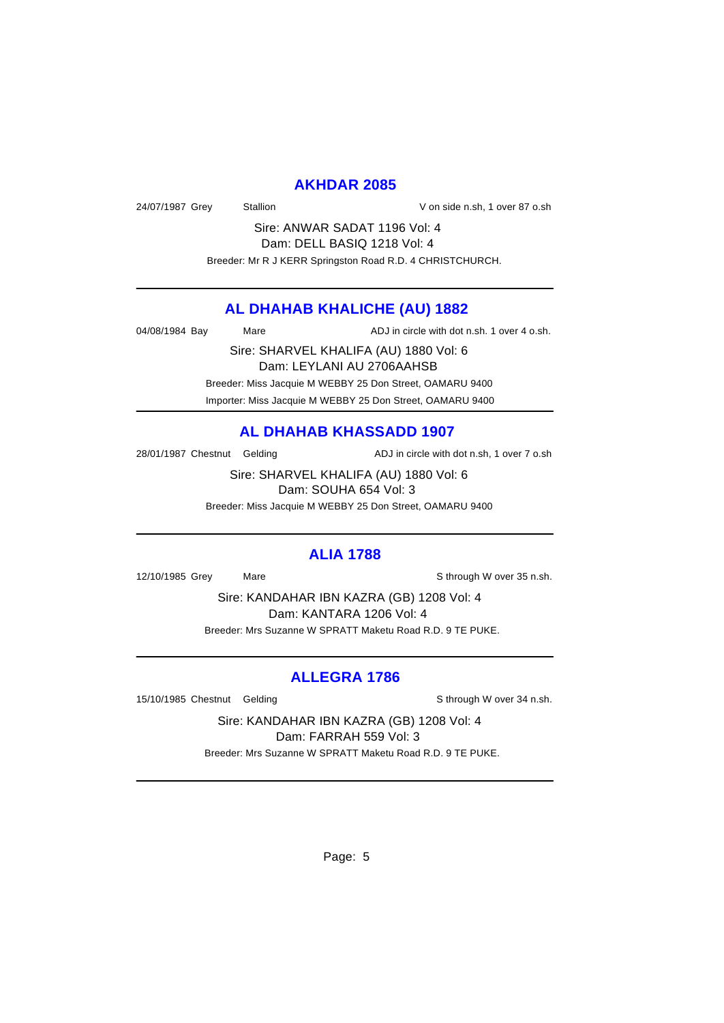#### **AKHDAR 2085**

24/07/1987 Grey Stallion Stallion V on side n.sh, 1 over 87 o.sh

Sire: ANWAR SADAT 1196 Vol: 4 Dam: DELL BASIQ 1218 Vol: 4 Breeder: Mr R J KERR Springston Road R.D. 4 CHRISTCHURCH.

#### **AL DHAHAB KHALICHE (AU) 1882**

04/08/1984 Bay Mare ADJ in circle with dot n.sh. 1 over 4 o.sh.

Sire: SHARVEL KHALIFA (AU) 1880 Vol: 6 Dam: LEYLANI AU 2706AAHSB Breeder: Miss Jacquie M WEBBY 25 Don Street, OAMARU 9400 Importer: Miss Jacquie M WEBBY 25 Don Street, OAMARU 9400

## **AL DHAHAB KHASSADD 1907**

28/01/1987 Chestnut Gelding ADJ in circle with dot n.sh, 1 over 7 o.sh

Sire: SHARVEL KHALIFA (AU) 1880 Vol: 6 Dam: SOUHA 654 Vol: 3

Breeder: Miss Jacquie M WEBBY 25 Don Street, OAMARU 9400

#### **ALIA 1788**

12/10/1985 Grey Mare S through W over 35 n.sh.

Sire: KANDAHAR IBN KAZRA (GB) 1208 Vol: 4 Dam: KANTARA 1206 Vol: 4 Breeder: Mrs Suzanne W SPRATT Maketu Road R.D. 9 TE PUKE.

## **ALLEGRA 1786**

15/10/1985 Chestnut Gelding School and Sthrough W over 34 n.sh.

Sire: KANDAHAR IBN KAZRA (GB) 1208 Vol: 4 Dam: FARRAH 559 Vol: 3

Breeder: Mrs Suzanne W SPRATT Maketu Road R.D. 9 TE PUKE.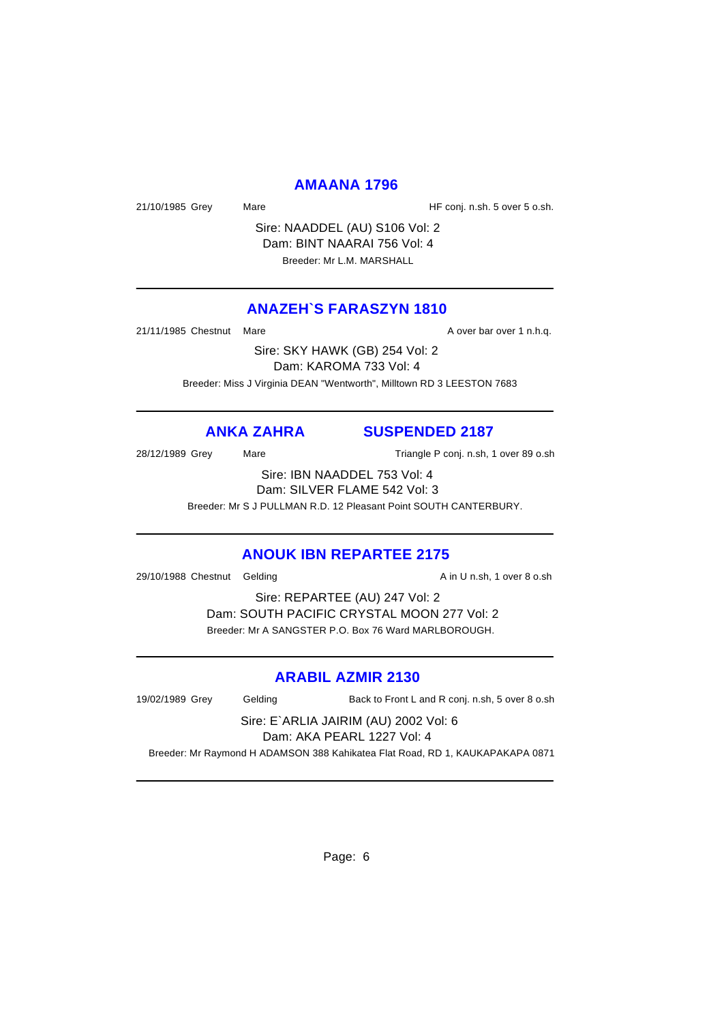#### **AMAANA 1796**

21/10/1985 Grey Mare Mare HF conj. n.sh. 5 over 5 o.sh.

Sire: NAADDEL (AU) S106 Vol: 2 Dam: BINT NAARAI 756 Vol: 4 Breeder: Mr L.M. MARSHALL

## **ANAZEH`S FARASZYN 1810**

21/11/1985 Chestnut Mare **A over bar over 1 n.h.q.** 

Sire: SKY HAWK (GB) 254 Vol: 2 Dam: KAROMA 733 Vol: 4 Breeder: Miss J Virginia DEAN "Wentworth", Milltown RD 3 LEESTON 7683

# **ANKA ZAHRA SUSPENDED 2187**

28/12/1989 Grey Mare Mare Triangle P conj. n.sh, 1 over 89 o.sh

Sire: IBN NAADDEL 753 Vol: 4

Dam: SILVER FLAME 542 Vol: 3

Breeder: Mr S J PULLMAN R.D. 12 Pleasant Point SOUTH CANTERBURY.

#### **ANOUK IBN REPARTEE 2175**

29/10/1988 Chestnut Gelding a state of the A in U n.sh, 1 over 8 o.sh

Sire: REPARTEE (AU) 247 Vol: 2 Dam: SOUTH PACIFIC CRYSTAL MOON 277 Vol: 2 Breeder: Mr A SANGSTER P.O. Box 76 Ward MARLBOROUGH.

#### **ARABIL AZMIR 2130**

19/02/1989 Grey Gelding Back to Front L and R conj. n.sh, 5 over 8 o.sh

Sire: E`ARLIA JAIRIM (AU) 2002 Vol: 6 Dam: AKA PEARL 1227 Vol: 4

Breeder: Mr Raymond H ADAMSON 388 Kahikatea Flat Road, RD 1, KAUKAPAKAPA 0871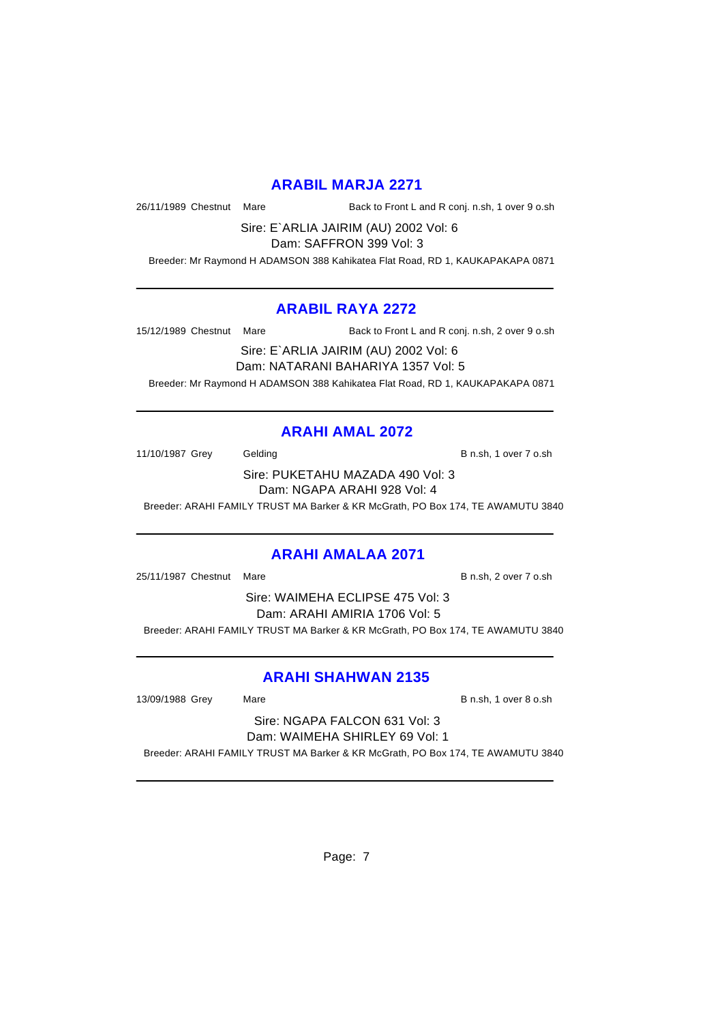## **ARABIL MARJA 2271**

26/11/1989 Chestnut Mare Back to Front L and R conj. n.sh, 1 over 9 o.sh

Sire: E`ARLIA JAIRIM (AU) 2002 Vol: 6 Dam: SAFFRON 399 Vol: 3

Breeder: Mr Raymond H ADAMSON 388 Kahikatea Flat Road, RD 1, KAUKAPAKAPA 0871

#### **ARABIL RAYA 2272**

15/12/1989 Chestnut Mare Back to Front L and R conj. n.sh, 2 over 9 o.sh

Sire: E`ARLIA JAIRIM (AU) 2002 Vol: 6 Dam: NATARANI BAHARIYA 1357 Vol: 5 Breeder: Mr Raymond H ADAMSON 388 Kahikatea Flat Road, RD 1, KAUKAPAKAPA 0871

# **ARAHI AMAL 2072**

11/10/1987 Grey Gelding Gelding B n.sh, 1 over 7 o.sh

Sire: PUKETAHU MAZADA 490 Vol: 3 Dam: NGAPA ARAHI 928 Vol: 4

Breeder: ARAHI FAMILY TRUST MA Barker & KR McGrath, PO Box 174, TE AWAMUTU 3840

#### **ARAHI AMALAA 2071**

25/11/1987 Chestnut Mare **B n.sh, 2 over 7 o.sh** 

Sire: WAIMEHA ECLIPSE 475 Vol: 3 Dam: ARAHI AMIRIA 1706 Vol: 5 Breeder: ARAHI FAMILY TRUST MA Barker & KR McGrath, PO Box 174, TE AWAMUTU 3840

# **ARAHI SHAHWAN 2135**

13/09/1988 Grey Mare B n.sh, 1 over 8 o.sh

Sire: NGAPA FALCON 631 Vol: 3 Dam: WAIMEHA SHIRLEY 69 Vol: 1

Breeder: ARAHI FAMILY TRUST MA Barker & KR McGrath, PO Box 174, TE AWAMUTU 3840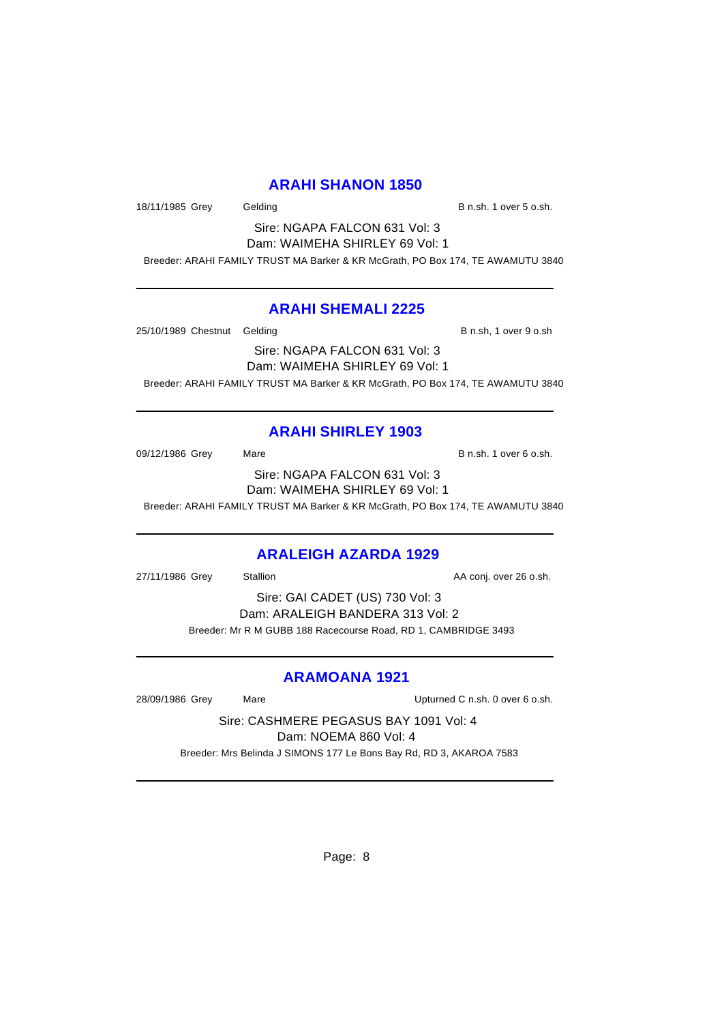## **ARAHI SHANON 1850**

18/11/1985 Grey Gelding Gelding B n.sh. 1 over 5 o.sh.

Sire: NGAPA FALCON 631 Vol: 3 Dam: WAIMEHA SHIRLEY 69 Vol: 1

Breeder: ARAHI FAMILY TRUST MA Barker & KR McGrath, PO Box 174, TE AWAMUTU 3840

## **ARAHI SHEMALI 2225**

25/10/1989 Chestnut Gelding B n.sh, 1 over 9 o.sh

Sire: NGAPA FALCON 631 Vol: 3 Dam: WAIMEHA SHIRLEY 69 Vol: 1 Breeder: ARAHI FAMILY TRUST MA Barker & KR McGrath, PO Box 174, TE AWAMUTU 3840

# **ARAHI SHIRLEY 1903**

09/12/1986 Grey Mare Mare B n.sh. 1 over 6 o.sh. Sire: NGAPA FALCON 631 Vol: 3 Dam: WAIMEHA SHIRLEY 69 Vol: 1 Breeder: ARAHI FAMILY TRUST MA Barker & KR McGrath, PO Box 174, TE AWAMUTU 3840

# **ARALEIGH AZARDA 1929**

27/11/1986 Grey Stallion **AA conj.** over 26 o.sh.

Sire: GAI CADET (US) 730 Vol: 3 Dam: ARALEIGH BANDERA 313 Vol: 2 Breeder: Mr R M GUBB 188 Racecourse Road, RD 1, CAMBRIDGE 3493

# **ARAMOANA 1921**

28/09/1986 Grey Mare Upturned C n.sh. 0 over 6 o.sh.

Sire: CASHMERE PEGASUS BAY 1091 Vol: 4 Dam: NOEMA 860 Vol: 4

Breeder: Mrs Belinda J SIMONS 177 Le Bons Bay Rd, RD 3, AKAROA 7583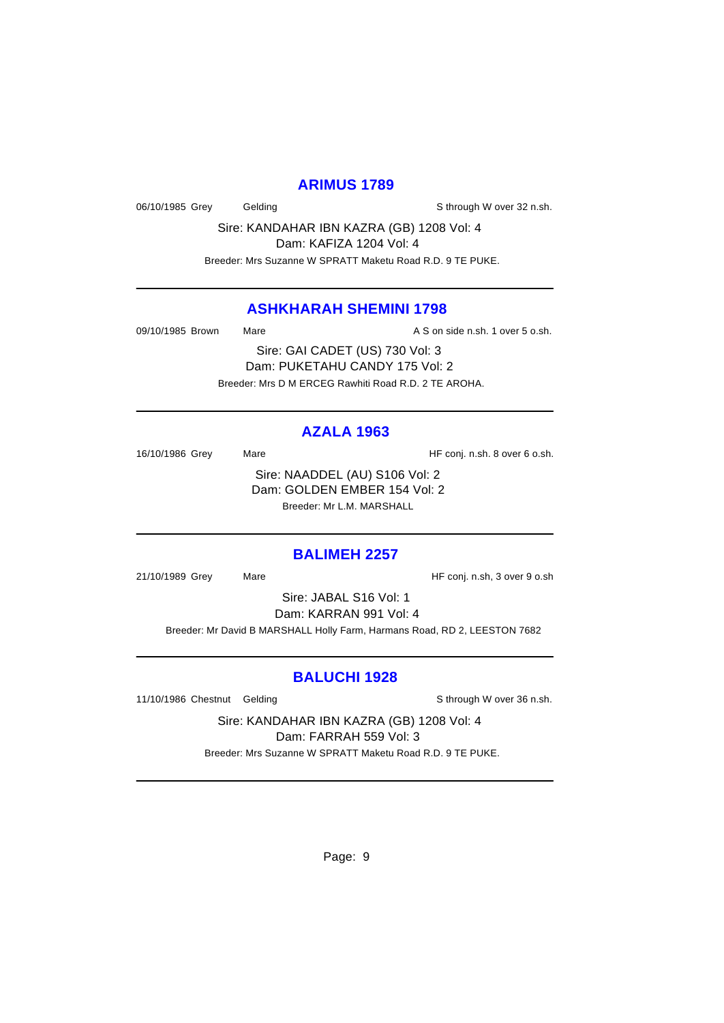## **ARIMUS 1789**

06/10/1985 Grey Gelding Gelding Schrough W over 32 n.sh.

Sire: KANDAHAR IBN KAZRA (GB) 1208 Vol: 4 Dam: KAFIZA 1204 Vol: 4

Breeder: Mrs Suzanne W SPRATT Maketu Road R.D. 9 TE PUKE.

# **ASHKHARAH SHEMINI 1798**

09/10/1985 Brown Mare **Mare** A S on side n.sh. 1 over 5 o.sh.

Sire: GAI CADET (US) 730 Vol: 3 Dam: PUKETAHU CANDY 175 Vol: 2 Breeder: Mrs D M ERCEG Rawhiti Road R.D. 2 TE AROHA.

## **AZALA 1963**

16/10/1986 Grey Mare Mare HF conj. n.sh. 8 over 6 o.sh. Sire: NAADDEL (AU) S106 Vol: 2 Dam: GOLDEN EMBER 154 Vol: 2 Breeder: Mr L.M. MARSHALL

# **BALIMEH 2257**

21/10/1989 Grey Mare Mare HF conj. n.sh, 3 over 9 o.sh

Sire: JABAL S16 Vol: 1 Dam: KARRAN 991 Vol: 4

Breeder: Mr David B MARSHALL Holly Farm, Harmans Road, RD 2, LEESTON 7682

#### **BALUCHI 1928**

11/10/1986 Chestnut Gelding School and Sthrough W over 36 n.sh.

Sire: KANDAHAR IBN KAZRA (GB) 1208 Vol: 4 Dam: FARRAH 559 Vol: 3

Breeder: Mrs Suzanne W SPRATT Maketu Road R.D. 9 TE PUKE.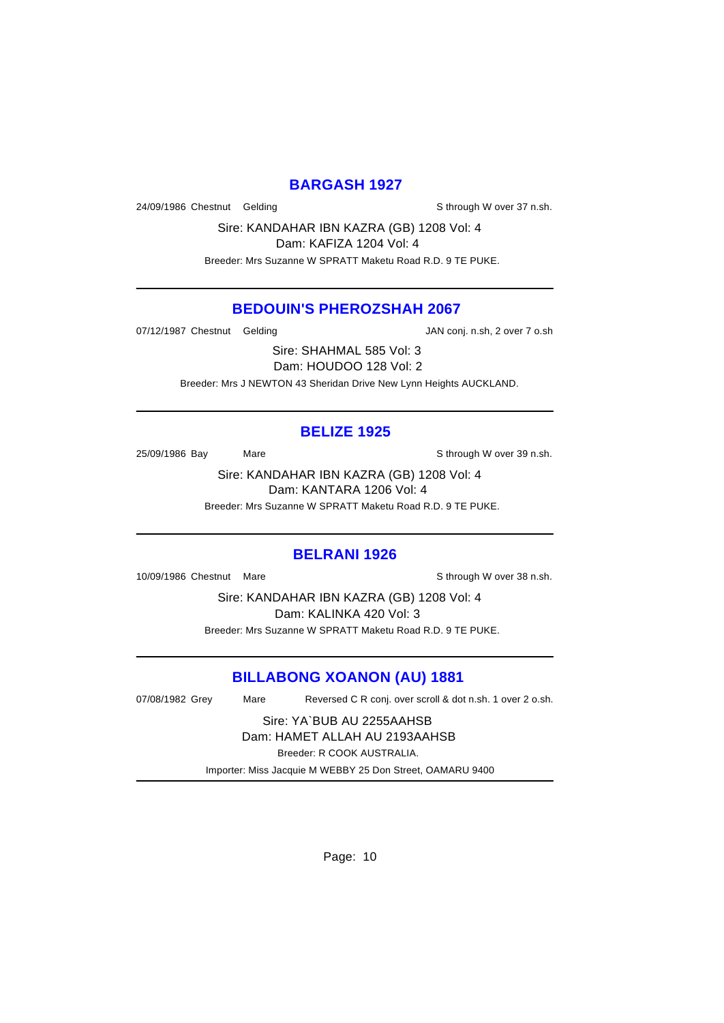## **BARGASH 1927**

24/09/1986 Chestnut Gelding State of the State of State State State State State State State State State State

Sire: KANDAHAR IBN KAZRA (GB) 1208 Vol: 4 Dam: KAFIZA 1204 Vol: 4

Breeder: Mrs Suzanne W SPRATT Maketu Road R.D. 9 TE PUKE.

## **BEDOUIN'S PHEROZSHAH 2067**

07/12/1987 Chestnut Gelding The State of JAN conj. n.sh, 2 over 7 o.sh

Sire: SHAHMAL 585 Vol: 3 Dam: HOUDOO 128 Vol: 2 Breeder: Mrs J NEWTON 43 Sheridan Drive New Lynn Heights AUCKLAND.

## **BELIZE 1925**

25/09/1986 Bay Mare Mare Share Sthrough W over 39 n.sh.

Sire: KANDAHAR IBN KAZRA (GB) 1208 Vol: 4 Dam: KANTARA 1206 Vol: 4 Breeder: Mrs Suzanne W SPRATT Maketu Road R.D. 9 TE PUKE.

#### **BELRANI 1926**

10/09/1986 Chestnut Mare Show Sthrough W over 38 n.sh.

Sire: KANDAHAR IBN KAZRA (GB) 1208 Vol: 4 Dam: KALINKA 420 Vol: 3 Breeder: Mrs Suzanne W SPRATT Maketu Road R.D. 9 TE PUKE.

# **BILLABONG XOANON (AU) 1881**

07/08/1982 Grey Mare Reversed C R conj. over scroll & dot n.sh. 1 over 2 o.sh.

Sire: YA`BUB AU 2255AAHSB Dam: HAMET ALLAH AU 2193AAHSB Breeder: R COOK AUSTRALIA.

Importer: Miss Jacquie M WEBBY 25 Don Street, OAMARU 9400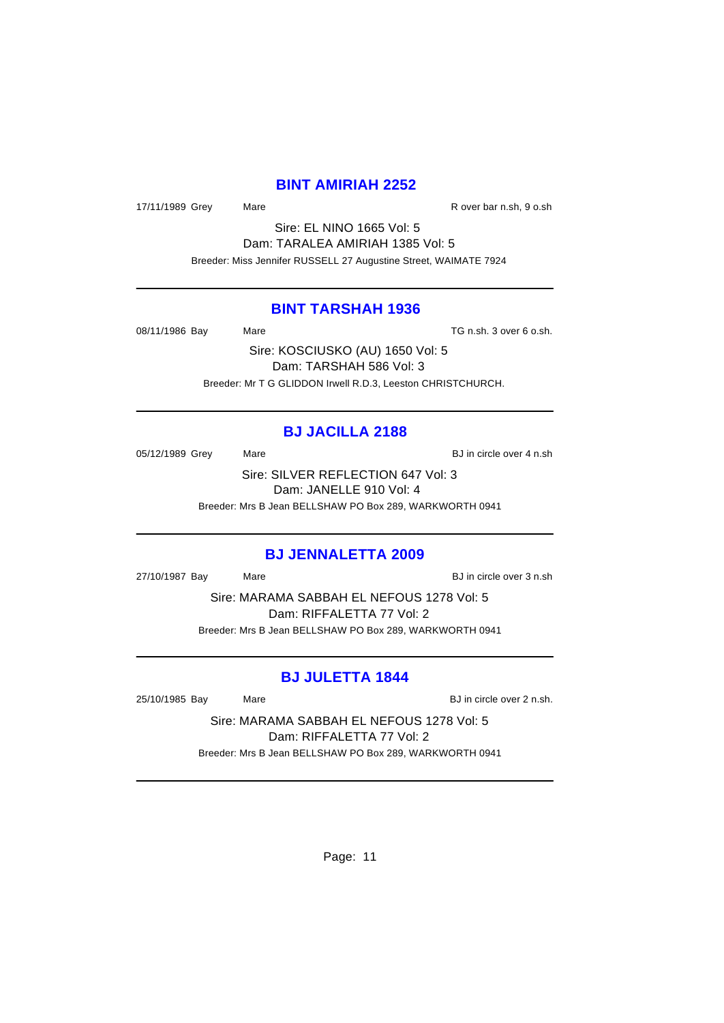### **BINT AMIRIAH 2252**

17/11/1989 Grey Mare Mare R over bar n.sh, 9 o.sh

Sire: EL NINO 1665 Vol: 5 Dam: TARALEA AMIRIAH 1385 Vol: 5 Breeder: Miss Jennifer RUSSELL 27 Augustine Street, WAIMATE 7924

## **BINT TARSHAH 1936**

08/11/1986 Bay Mare Mare TG n.sh. 3 over 6 o.sh.

Sire: KOSCIUSKO (AU) 1650 Vol: 5 Dam: TARSHAH 586 Vol: 3 Breeder: Mr T G GLIDDON Irwell R.D.3, Leeston CHRISTCHURCH.

## **BJ JACILLA 2188**

05/12/1989 Grey Mare Mare BJ in circle over 4 n.sh Sire: SILVER REFLECTION 647 Vol: 3

Dam: JANELLE 910 Vol: 4

Breeder: Mrs B Jean BELLSHAW PO Box 289, WARKWORTH 0941

#### **BJ JENNALETTA 2009**

27/10/1987 Bay Mare Mare BJ in circle over 3 n.sh

Sire: MARAMA SABBAH EL NEFOUS 1278 Vol: 5 Dam: RIFFALETTA 77 Vol: 2 Breeder: Mrs B Jean BELLSHAW PO Box 289, WARKWORTH 0941

## **BJ JULETTA 1844**

25/10/1985 Bay Mare Mare BJ in circle over 2 n.sh.

Sire: MARAMA SABBAH EL NEFOUS 1278 Vol: 5 Dam: RIFFALETTA 77 Vol: 2 Breeder: Mrs B Jean BELLSHAW PO Box 289, WARKWORTH 0941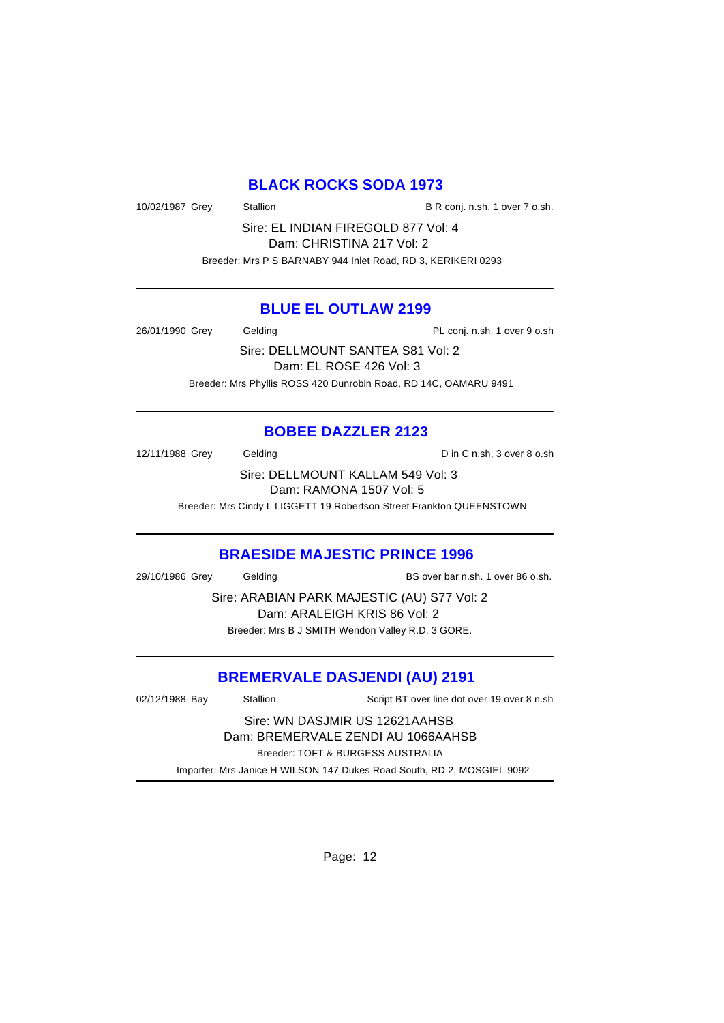# **BLACK ROCKS SODA 1973**

10/02/1987 Grey Stallion B R conj. n.sh. 1 over 7 o.sh.

Sire: EL INDIAN FIREGOLD 877 Vol: 4 Dam: CHRISTINA 217 Vol: 2 Breeder: Mrs P S BARNABY 944 Inlet Road, RD 3, KERIKERI 0293

## **BLUE EL OUTLAW 2199**

26/01/1990 Grey Gelding Cash Conj. n.sh, 1 over 9 o.sh

Sire: DELLMOUNT SANTEA S81 Vol: 2 Dam: EL ROSE 426 Vol: 3 Breeder: Mrs Phyllis ROSS 420 Dunrobin Road, RD 14C, OAMARU 9491

# **BOBEE DAZZLER 2123**

12/11/1988 Grey Gelding Construction C in C n.sh, 3 over 8 o.sh

Sire: DELLMOUNT KALLAM 549 Vol: 3 Dam: RAMONA 1507 Vol: 5

Breeder: Mrs Cindy L LIGGETT 19 Robertson Street Frankton QUEENSTOWN

# **BRAESIDE MAJESTIC PRINCE 1996**

29/10/1986 Grey Gelding BS over bar n.sh. 1 over 86 o.sh.

Sire: ARABIAN PARK MAJESTIC (AU) S77 Vol: 2 Dam: ARALEIGH KRIS 86 Vol: 2 Breeder: Mrs B J SMITH Wendon Valley R.D. 3 GORE.

# **BREMERVALE DASJENDI (AU) 2191**

02/12/1988 Bay Stallion Script BT over line dot over 19 over 8 n.sh Sire: WN DASJMIR US 12621AAHSB Dam: BREMERVALE ZENDI AU 1066AAHSB Breeder: TOFT & BURGESS AUSTRALIA Importer: Mrs Janice H WILSON 147 Dukes Road South, RD 2, MOSGIEL 9092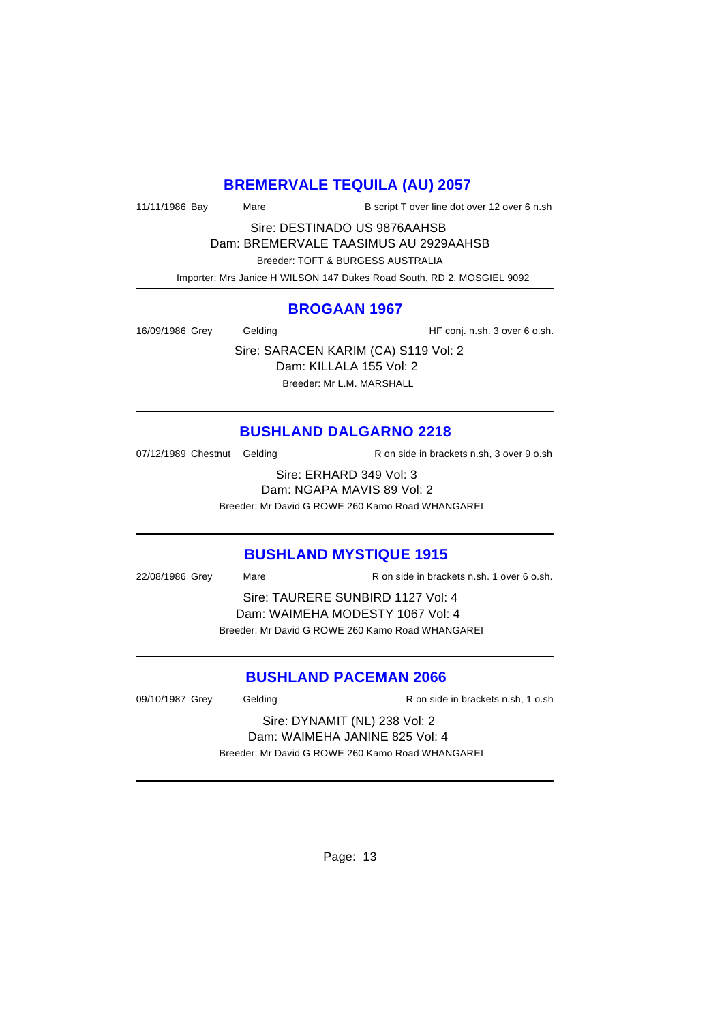# **BREMERVALE TEQUILA (AU) 2057**

| 11/11/1986 Bay | Mare | B script T over line dot over 12 over 6 n.sh |
|----------------|------|----------------------------------------------|
|----------------|------|----------------------------------------------|

Sire: DESTINADO US 9876AAHSB Dam: BREMERVALE TAASIMUS AU 2929AAHSB

 Breeder: TOFT & BURGESS AUSTRALIA Importer: Mrs Janice H WILSON 147 Dukes Road South, RD 2, MOSGIEL 9092

# **BROGAAN 1967**

16/09/1986 Grey Gelding Gelding HF conj. n.sh. 3 over 6 o.sh.

Sire: SARACEN KARIM (CA) S119 Vol: 2 Dam: KILLALA 155 Vol: 2 Breeder: Mr L.M. MARSHALL

# **BUSHLAND DALGARNO 2218**

07/12/1989 Chestnut Gelding R on side in brackets n.sh, 3 over 9 o.sh

Sire: ERHARD 349 Vol: 3 Dam: NGAPA MAVIS 89 Vol: 2 Breeder: Mr David G ROWE 260 Kamo Road WHANGAREI

# **BUSHLAND MYSTIQUE 1915**

22/08/1986 Grey Mare R on side in brackets n.sh. 1 over 6 o.sh. Sire: TAURERE SUNBIRD 1127 Vol: 4 Dam: WAIMEHA MODESTY 1067 Vol: 4 Breeder: Mr David G ROWE 260 Kamo Road WHANGAREI

# **BUSHLAND PACEMAN 2066**

09/10/1987 Grey Gelding Conside in brackets n.sh, 1 o.sh Sire: DYNAMIT (NL) 238 Vol: 2 Dam: WAIMEHA JANINE 825 Vol: 4 Breeder: Mr David G ROWE 260 Kamo Road WHANGAREI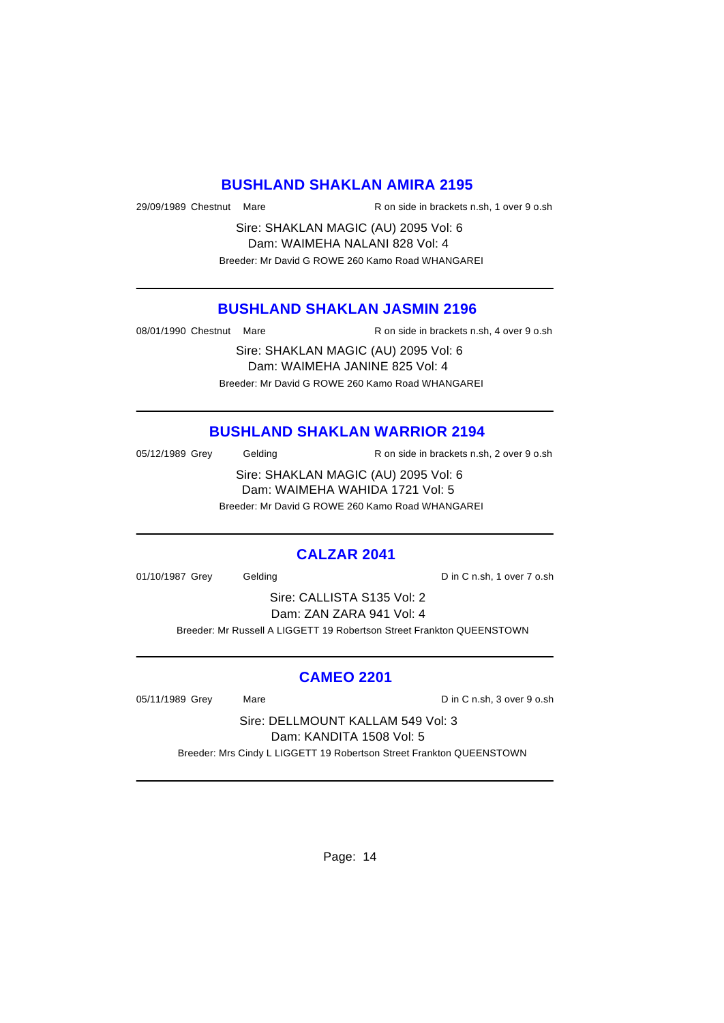#### **BUSHLAND SHAKLAN AMIRA 2195**

29/09/1989 Chestnut Mare R on side in brackets n.sh, 1 over 9 o.sh

Sire: SHAKLAN MAGIC (AU) 2095 Vol: 6 Dam: WAIMEHA NALANI 828 Vol: 4 Breeder: Mr David G ROWE 260 Kamo Road WHANGAREI

## **BUSHLAND SHAKLAN JASMIN 2196**

08/01/1990 Chestnut Mare R on side in brackets n.sh, 4 over 9 o.sh

Sire: SHAKLAN MAGIC (AU) 2095 Vol: 6 Dam: WAIMEHA JANINE 825 Vol: 4 Breeder: Mr David G ROWE 260 Kamo Road WHANGAREI

# **BUSHLAND SHAKLAN WARRIOR 2194**

05/12/1989 Grey Gelding R on side in brackets n.sh, 2 over 9 o.sh

Sire: SHAKLAN MAGIC (AU) 2095 Vol: 6 Dam: WAIMEHA WAHIDA 1721 Vol: 5 Breeder: Mr David G ROWE 260 Kamo Road WHANGAREI

#### **CALZAR 2041**

01/10/1987 Grey Gelding Construction D in C n.sh, 1 over 7 o.sh

Sire: CALLISTA S135 Vol: 2 Dam: ZAN ZARA 941 Vol: 4

Breeder: Mr Russell A LIGGETT 19 Robertson Street Frankton QUEENSTOWN

#### **CAMEO 2201**

05/11/1989 Grey Mare Mare Din C n.sh, 3 over 9 o.sh

Sire: DELLMOUNT KALLAM 549 Vol: 3 Dam: KANDITA 1508 Vol: 5

Breeder: Mrs Cindy L LIGGETT 19 Robertson Street Frankton QUEENSTOWN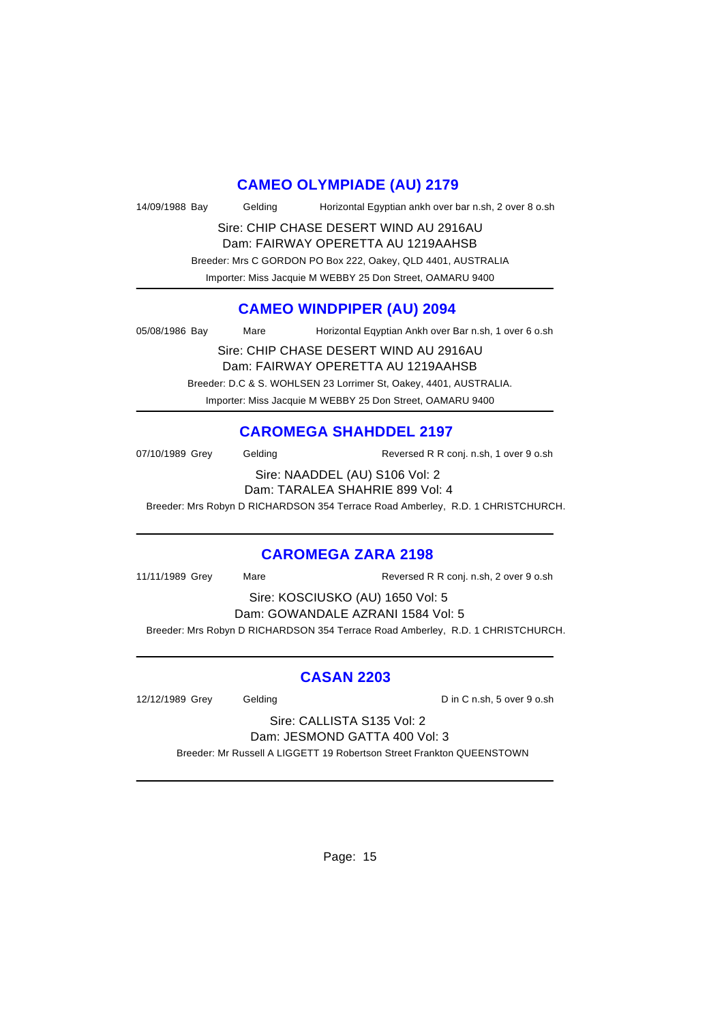## **CAMEO OLYMPIADE (AU) 2179**

| 14/09/1988 Bay | Gelding | Horizontal Egyptian ankh over bar n.sh, 2 over 8 o.sh |
|----------------|---------|-------------------------------------------------------|
|                |         | Sire: CHIP CHASE DESERT WIND AU 2916AU                |

Dam: FAIRWAY OPERETTA AU 1219AAHSB

Breeder: Mrs C GORDON PO Box 222, Oakey, QLD 4401, AUSTRALIA

Importer: Miss Jacquie M WEBBY 25 Don Street, OAMARU 9400

# **CAMEO WINDPIPER (AU) 2094**

05/08/1986 Bay Mare Horizontal Eqyptian Ankh over Bar n.sh, 1 over 6 o.sh

Sire: CHIP CHASE DESERT WIND AU 2916AU Dam: FAIRWAY OPERETTA AU 1219AAHSB Breeder: D.C & S. WOHLSEN 23 Lorrimer St, Oakey, 4401, AUSTRALIA. Importer: Miss Jacquie M WEBBY 25 Don Street, OAMARU 9400

# **CAROMEGA SHAHDDEL 2197**

| 07/10/1989 Grey | Geldina | Reversed R R conj. n.sh, 1 over 9 o.sh                            |
|-----------------|---------|-------------------------------------------------------------------|
|                 |         | Sire: NAADDEL (AU) S106 Vol: 2<br>Dam: TARALEA SHAHRIE 899 Vol: 4 |

Breeder: Mrs Robyn D RICHARDSON 354 Terrace Road Amberley, R.D. 1 CHRISTCHURCH.

#### **CAROMEGA ZARA 2198**

| 11/11/1989 Grey                   | Mare | Reversed R R conj. n.sh, 2 over 9 o.sh                                          |  |  |
|-----------------------------------|------|---------------------------------------------------------------------------------|--|--|
| Sire: KOSCIUSKO (AU) 1650 Vol: 5  |      |                                                                                 |  |  |
| Dam: GOWANDALE AZRANI 1584 Vol: 5 |      |                                                                                 |  |  |
|                                   |      | Breeder: Mrs Robyn D RICHARDSON 354 Terrace Road Amberley, R.D. 1 CHRISTCHURCH. |  |  |

# **CASAN 2203**

12/12/1989 Grey Gelding Construction D in C n.sh, 5 over 9 o.sh

Sire: CALLISTA S135 Vol: 2 Dam: JESMOND GATTA 400 Vol: 3

Breeder: Mr Russell A LIGGETT 19 Robertson Street Frankton QUEENSTOWN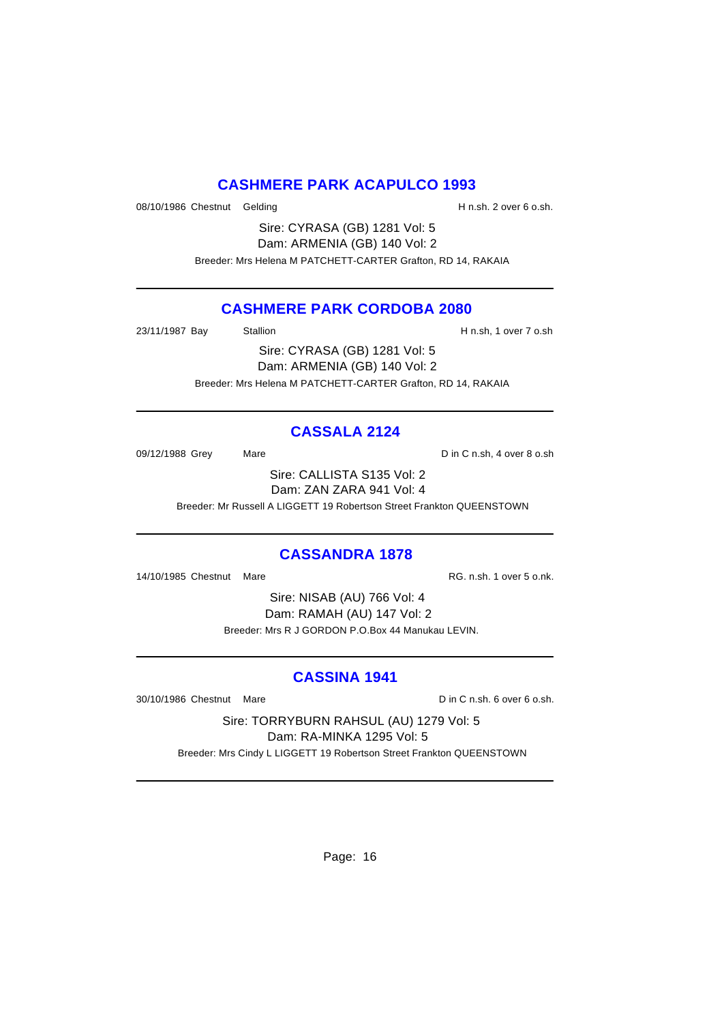# **CASHMERE PARK ACAPULCO 1993**

08/10/1986 Chestnut Gelding H n.sh. 2 over 6 o.sh.

Sire: CYRASA (GB) 1281 Vol: 5 Dam: ARMENIA (GB) 140 Vol: 2 Breeder: Mrs Helena M PATCHETT-CARTER Grafton, RD 14, RAKAIA

# **CASHMERE PARK CORDOBA 2080**

23/11/1987 Bay Stallion H n.sh, 1 over 7 o.sh

Sire: CYRASA (GB) 1281 Vol: 5 Dam: ARMENIA (GB) 140 Vol: 2 Breeder: Mrs Helena M PATCHETT-CARTER Grafton, RD 14, RAKAIA

# **CASSALA 2124**

09/12/1988 Grey Mare Mare Din C n.sh, 4 over 8 o.sh

Sire: CALLISTA S135 Vol: 2 Dam: ZAN ZARA 941 Vol: 4

Breeder: Mr Russell A LIGGETT 19 Robertson Street Frankton QUEENSTOWN

# **CASSANDRA 1878**

14/10/1985 Chestnut Mare **Reserve Accord Participal Accord RG. n.sh. 1 over 5 o.nk.** 

Sire: NISAB (AU) 766 Vol: 4 Dam: RAMAH (AU) 147 Vol: 2 Breeder: Mrs R J GORDON P.O.Box 44 Manukau LEVIN.

# **CASSINA 1941**

30/10/1986 Chestnut Mare D in C n.sh. 6 over 6 o.sh.

Sire: TORRYBURN RAHSUL (AU) 1279 Vol: 5 Dam: RA-MINKA 1295 Vol: 5

Breeder: Mrs Cindy L LIGGETT 19 Robertson Street Frankton QUEENSTOWN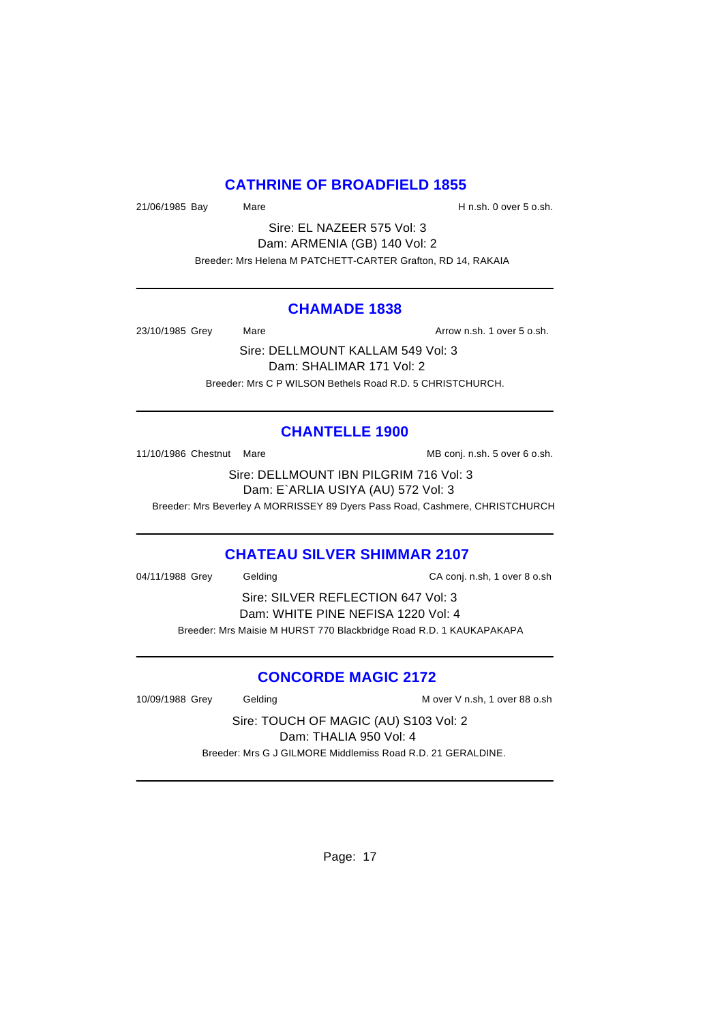# **CATHRINE OF BROADFIELD 1855**

21/06/1985 Bay Mare Mare H n.sh. 0 over 5 o.sh.

Sire: EL NAZEER 575 Vol: 3 Dam: ARMENIA (GB) 140 Vol: 2 Breeder: Mrs Helena M PATCHETT-CARTER Grafton, RD 14, RAKAIA

#### **CHAMADE 1838**

23/10/1985 Grey Mare Mare Arrow n.sh. 1 over 5 o.sh.

Sire: DELLMOUNT KALLAM 549 Vol: 3 Dam: SHALIMAR 171 Vol: 2 Breeder: Mrs C P WILSON Bethels Road R.D. 5 CHRISTCHURCH.

# **CHANTELLE 1900**

11/10/1986 Chestnut Mare MB conj. n.sh. 5 over 6 o.sh.

Sire: DELLMOUNT IBN PILGRIM 716 Vol: 3 Dam: E`ARLIA USIYA (AU) 572 Vol: 3

Breeder: Mrs Beverley A MORRISSEY 89 Dyers Pass Road, Cashmere, CHRISTCHURCH

# **CHATEAU SILVER SHIMMAR 2107**

04/11/1988 Grey Gelding CA conj. n.sh, 1 over 8 o.sh

Sire: SILVER REFLECTION 647 Vol: 3 Dam: WHITE PINE NEFISA 1220 Vol: 4 Breeder: Mrs Maisie M HURST 770 Blackbridge Road R.D. 1 KAUKAPAKAPA

# **CONCORDE MAGIC 2172**

10/09/1988 Grey Gelding Gelding M over V n.sh, 1 over 88 o.sh

Sire: TOUCH OF MAGIC (AU) S103 Vol: 2 Dam: THALIA 950 Vol: 4 Breeder: Mrs G J GILMORE Middlemiss Road R.D. 21 GERALDINE.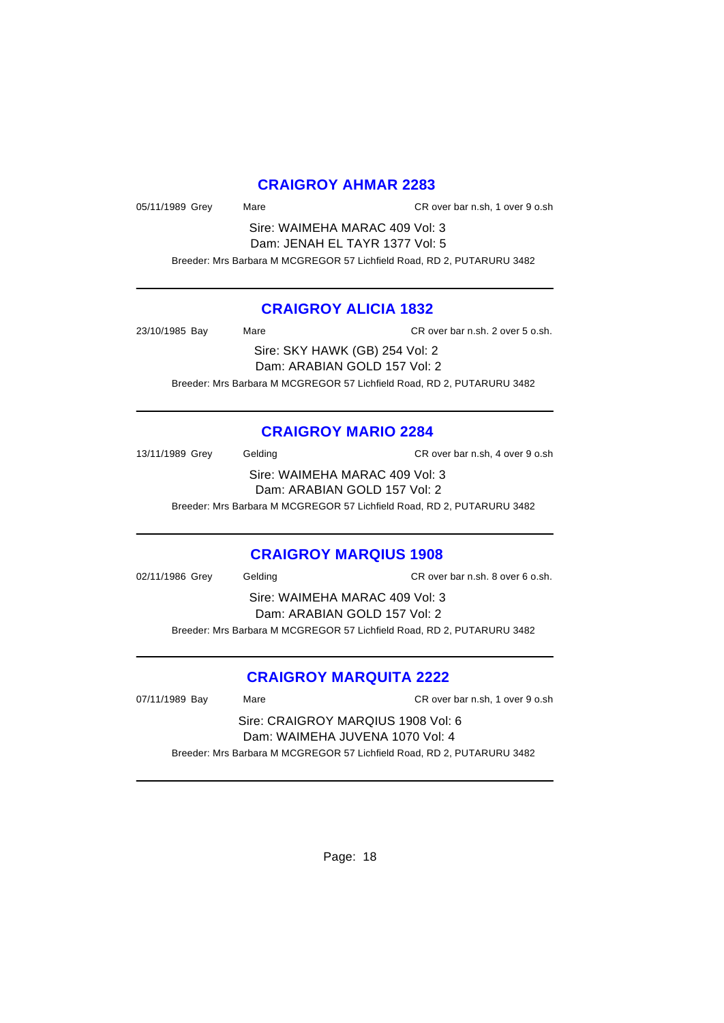## **CRAIGROY AHMAR 2283**

05/11/1989 Grey Mare CR over bar n.sh, 1 over 9 o.sh

Sire: WAIMEHA MARAC 409 Vol: 3 Dam: JENAH EL TAYR 1377 Vol: 5 Breeder: Mrs Barbara M MCGREGOR 57 Lichfield Road, RD 2, PUTARURU 3482

## **CRAIGROY ALICIA 1832**

23/10/1985 Bay Mare CR over bar n.sh. 2 over 5 o.sh. Sire: SKY HAWK (GB) 254 Vol: 2 Dam: ARABIAN GOLD 157 Vol: 2 Breeder: Mrs Barbara M MCGREGOR 57 Lichfield Road, RD 2, PUTARURU 3482

# **CRAIGROY MARIO 2284**

13/11/1989 Grey Gelding CR over bar n.sh, 4 over 9 o.sh Sire: WAIMEHA MARAC 409 Vol: 3 Dam: ARABIAN GOLD 157 Vol: 2 Breeder: Mrs Barbara M MCGREGOR 57 Lichfield Road, RD 2, PUTARURU 3482

# **CRAIGROY MARQIUS 1908**

02/11/1986 Grey Gelding CR over bar n.sh. 8 over 6 o.sh. Sire: WAIMEHA MARAC 409 Vol: 3 Dam: ARABIAN GOLD 157 Vol: 2 Breeder: Mrs Barbara M MCGREGOR 57 Lichfield Road, RD 2, PUTARURU 3482

# **CRAIGROY MARQUITA 2222**

07/11/1989 Bay Mare CR over bar n.sh, 1 over 9 o.sh Sire: CRAIGROY MARQIUS 1908 Vol: 6 Dam: WAIMEHA JUVENA 1070 Vol: 4 Breeder: Mrs Barbara M MCGREGOR 57 Lichfield Road, RD 2, PUTARURU 3482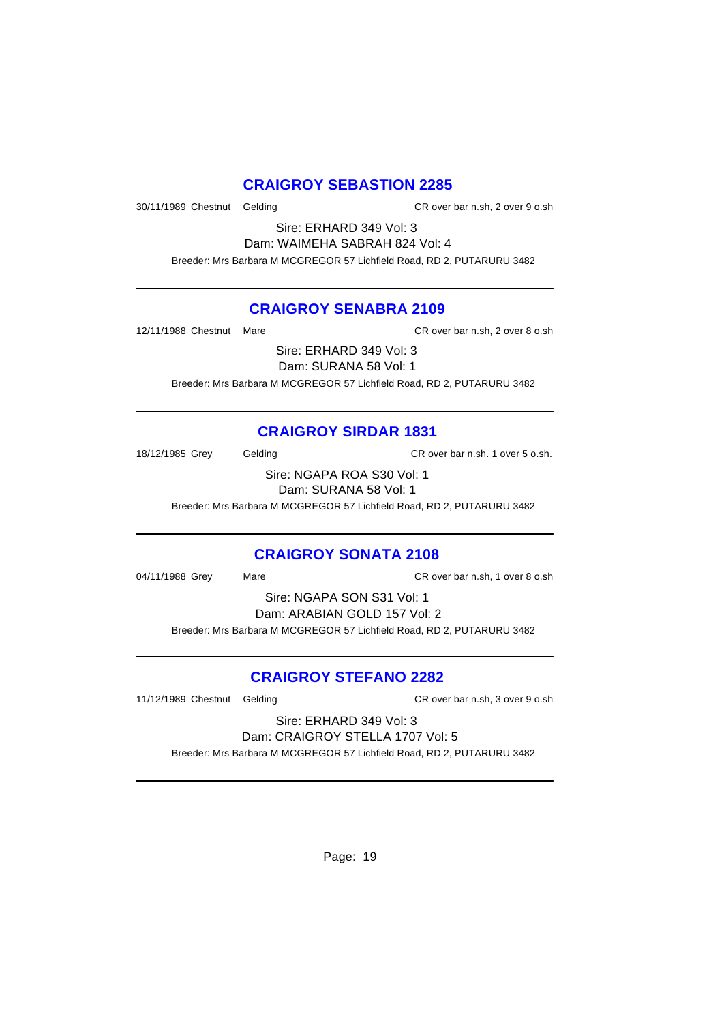# **CRAIGROY SEBASTION 2285**

30/11/1989 Chestnut Gelding CR over bar n.sh, 2 over 9 o.sh

Sire: ERHARD 349 Vol: 3 Dam: WAIMEHA SABRAH 824 Vol: 4

Breeder: Mrs Barbara M MCGREGOR 57 Lichfield Road, RD 2, PUTARURU 3482

## **CRAIGROY SENABRA 2109**

12/11/1988 Chestnut Mare CR over bar n.sh, 2 over 8 o.sh

Sire: ERHARD 349 Vol: 3

Dam: SURANA 58 Vol: 1

Breeder: Mrs Barbara M MCGREGOR 57 Lichfield Road, RD 2, PUTARURU 3482

# **CRAIGROY SIRDAR 1831**

18/12/1985 Grey Gelding CR over bar n.sh. 1 over 5 o.sh.

Sire: NGAPA ROA S30 Vol: 1 Dam: SURANA 58 Vol: 1

Breeder: Mrs Barbara M MCGREGOR 57 Lichfield Road, RD 2, PUTARURU 3482

# **CRAIGROY SONATA 2108**

04/11/1988 Grey Mare CR over bar n.sh, 1 over 8 o.sh

Sire: NGAPA SON S31 Vol: 1 Dam: ARABIAN GOLD 157 Vol: 2 Breeder: Mrs Barbara M MCGREGOR 57 Lichfield Road, RD 2, PUTARURU 3482

# **CRAIGROY STEFANO 2282**

11/12/1989 Chestnut Gelding CR over bar n.sh, 3 over 9 o.sh

Sire: ERHARD 349 Vol: 3 Dam: CRAIGROY STELLA 1707 Vol: 5

Breeder: Mrs Barbara M MCGREGOR 57 Lichfield Road, RD 2, PUTARURU 3482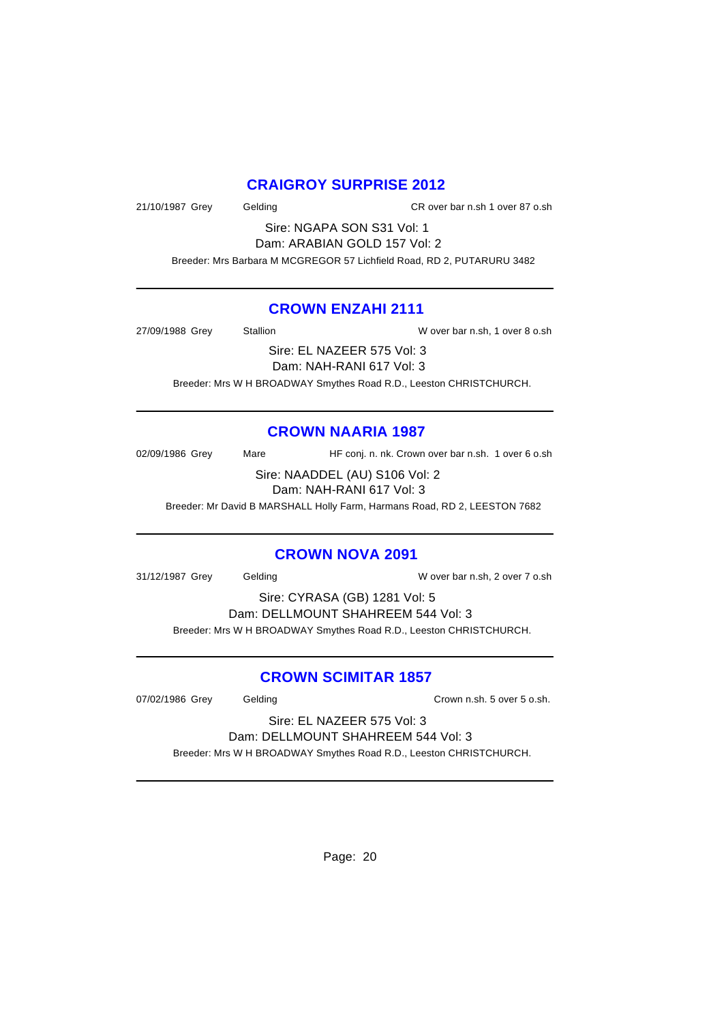# **CRAIGROY SURPRISE 2012**

21/10/1987 Grey Gelding CR over bar n.sh 1 over 87 o.sh

Sire: NGAPA SON S31 Vol: 1 Dam: ARABIAN GOLD 157 Vol: 2

Breeder: Mrs Barbara M MCGREGOR 57 Lichfield Road, RD 2, PUTARURU 3482

## **CROWN ENZAHI 2111**

27/09/1988 Grey Stallion W over bar n.sh, 1 over 8 o.sh

Sire: EL NAZEER 575 Vol: 3

Dam: NAH-RANI 617 Vol: 3

Breeder: Mrs W H BROADWAY Smythes Road R.D., Leeston CHRISTCHURCH.

# **CROWN NAARIA 1987**

02/09/1986 Grey Mare HF conj. n. nk. Crown over bar n.sh. 1 over 6 o.sh

Sire: NAADDEL (AU) S106 Vol: 2 Dam: NAH-RANI 617 Vol: 3

Breeder: Mr David B MARSHALL Holly Farm, Harmans Road, RD 2, LEESTON 7682

# **CROWN NOVA 2091**

31/12/1987 Grey Gelding W over bar n.sh, 2 over 7 o.sh

Sire: CYRASA (GB) 1281 Vol: 5 Dam: DELLMOUNT SHAHREEM 544 Vol: 3 Breeder: Mrs W H BROADWAY Smythes Road R.D., Leeston CHRISTCHURCH.

# **CROWN SCIMITAR 1857**

07/02/1986 Grey Gelding Crown n.sh. 5 over 5 o.sh.

Sire: EL NAZEER 575 Vol: 3 Dam: DELLMOUNT SHAHREEM 544 Vol: 3

Breeder: Mrs W H BROADWAY Smythes Road R.D., Leeston CHRISTCHURCH.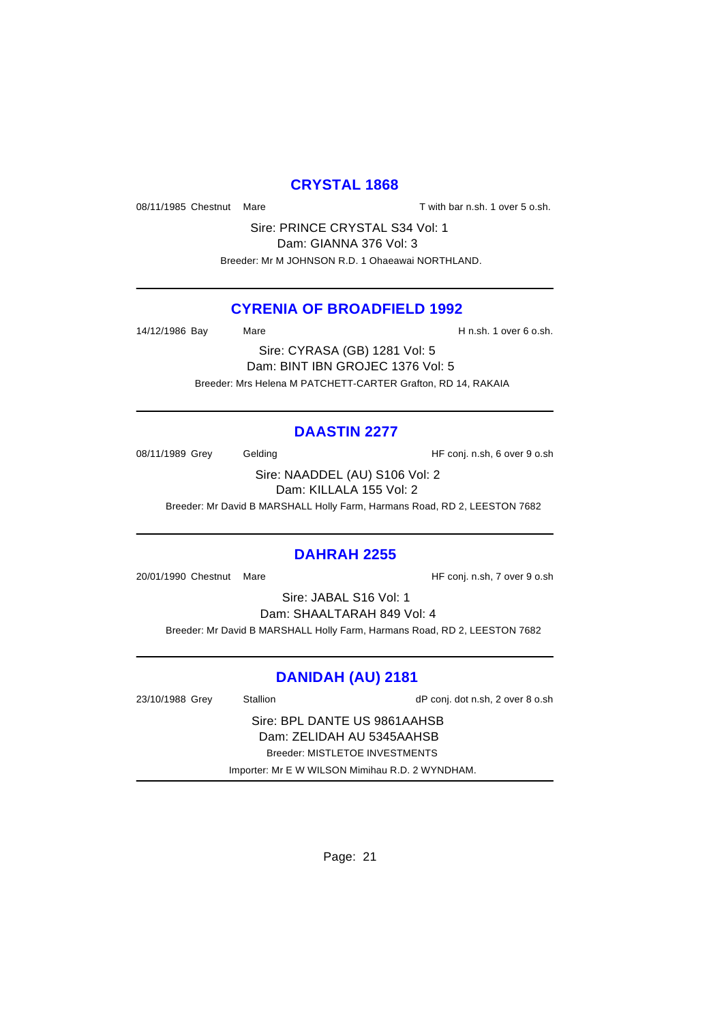## **CRYSTAL 1868**

08/11/1985 Chestnut Mare T with bar n.sh. 1 over 5 o.sh.

Sire: PRINCE CRYSTAL S34 Vol: 1 Dam: GIANNA 376 Vol: 3 Breeder: Mr M JOHNSON R.D. 1 Ohaeawai NORTHLAND.

## **CYRENIA OF BROADFIELD 1992**

14/12/1986 Bay Mare H n.sh. 1 over 6 o.sh.

Sire: CYRASA (GB) 1281 Vol: 5 Dam: BINT IBN GROJEC 1376 Vol: 5 Breeder: Mrs Helena M PATCHETT-CARTER Grafton, RD 14, RAKAIA

# **DAASTIN 2277**

08/11/1989 Grey Gelding Gelding HF conj. n.sh, 6 over 9 o.sh

Sire: NAADDEL (AU) S106 Vol: 2 Dam: KILLALA 155 Vol: 2

Breeder: Mr David B MARSHALL Holly Farm, Harmans Road, RD 2, LEESTON 7682

#### **DAHRAH 2255**

20/01/1990 Chestnut Mare **Market Accord Figure 120** HF conj. n.sh, 7 over 9 o.sh

Sire: JABAL S16 Vol: 1

Dam: SHAALTARAH 849 Vol: 4 Breeder: Mr David B MARSHALL Holly Farm, Harmans Road, RD 2, LEESTON 7682

# **DANIDAH (AU) 2181**

| 23/10/1988 Grey                | Stallion                                        | dP conj. dot n.sh, 2 over 8 o.sh |  |  |
|--------------------------------|-------------------------------------------------|----------------------------------|--|--|
| Sire: BPL DANTE US 9861AAHSB   |                                                 |                                  |  |  |
| Dam: ZELIDAH AU 5345AAHSB      |                                                 |                                  |  |  |
| Breeder: MISTLETOE INVESTMENTS |                                                 |                                  |  |  |
|                                | Importer: Mr E W WILSON Mimihau R.D. 2 WYNDHAM. |                                  |  |  |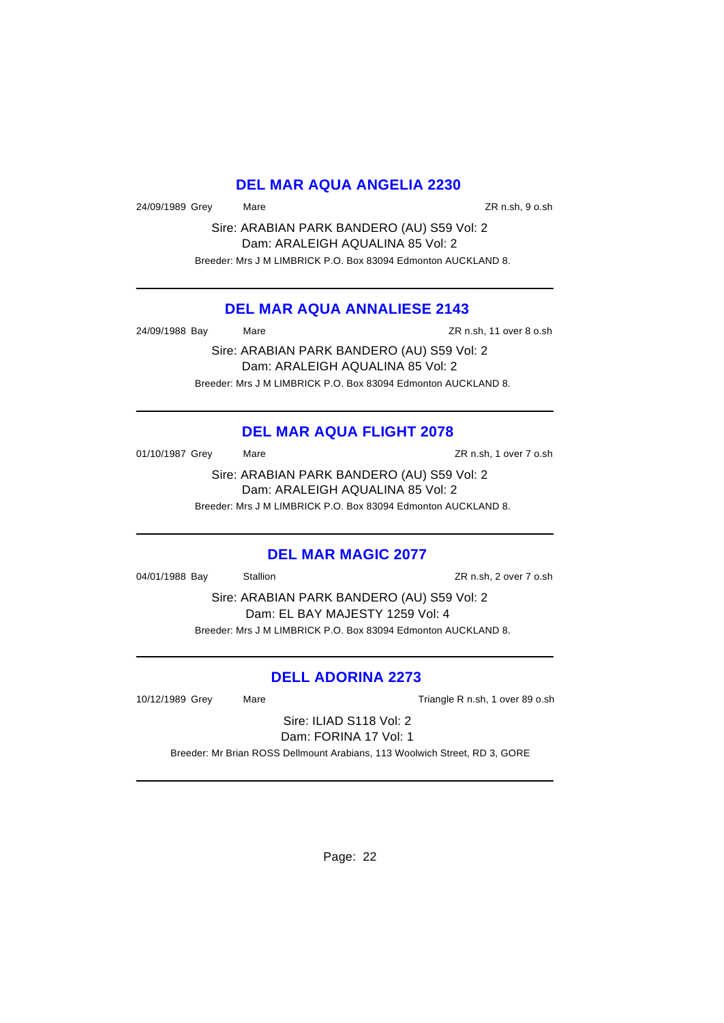# **DEL MAR AQUA ANGELIA 2230**

24/09/1989 Grey Mare ZR n.sh, 9 o.sh

Sire: ARABIAN PARK BANDERO (AU) S59 Vol: 2 Dam: ARALEIGH AQUALINA 85 Vol: 2 Breeder: Mrs J M LIMBRICK P.O. Box 83094 Edmonton AUCKLAND 8.

# **DEL MAR AQUA ANNALIESE 2143**

24/09/1988 Bay Mare ZR n.sh, 11 over 8 o.sh

Sire: ARABIAN PARK BANDERO (AU) S59 Vol: 2 Dam: ARALEIGH AQUALINA 85 Vol: 2 Breeder: Mrs J M LIMBRICK P.O. Box 83094 Edmonton AUCKLAND 8.

# **DEL MAR AQUA FLIGHT 2078**

01/10/1987 Grey Mare Mare 2R n.sh, 1 over 7 o.sh

Sire: ARABIAN PARK BANDERO (AU) S59 Vol: 2 Dam: ARALEIGH AQUALINA 85 Vol: 2 Breeder: Mrs J M LIMBRICK P.O. Box 83094 Edmonton AUCKLAND 8.

# **DEL MAR MAGIC 2077**

04/01/1988 Bay Stallion ZR n.sh, 2 over 7 o.sh

Sire: ARABIAN PARK BANDERO (AU) S59 Vol: 2 Dam: EL BAY MAJESTY 1259 Vol: 4 Breeder: Mrs J M LIMBRICK P.O. Box 83094 Edmonton AUCKLAND 8.

# **DELL ADORINA 2273**

10/12/1989 Grey Mare Mare Triangle R n.sh, 1 over 89 o.sh

Sire: ILIAD S118 Vol: 2 Dam: FORINA 17 Vol: 1

Breeder: Mr Brian ROSS Dellmount Arabians, 113 Woolwich Street, RD 3, GORE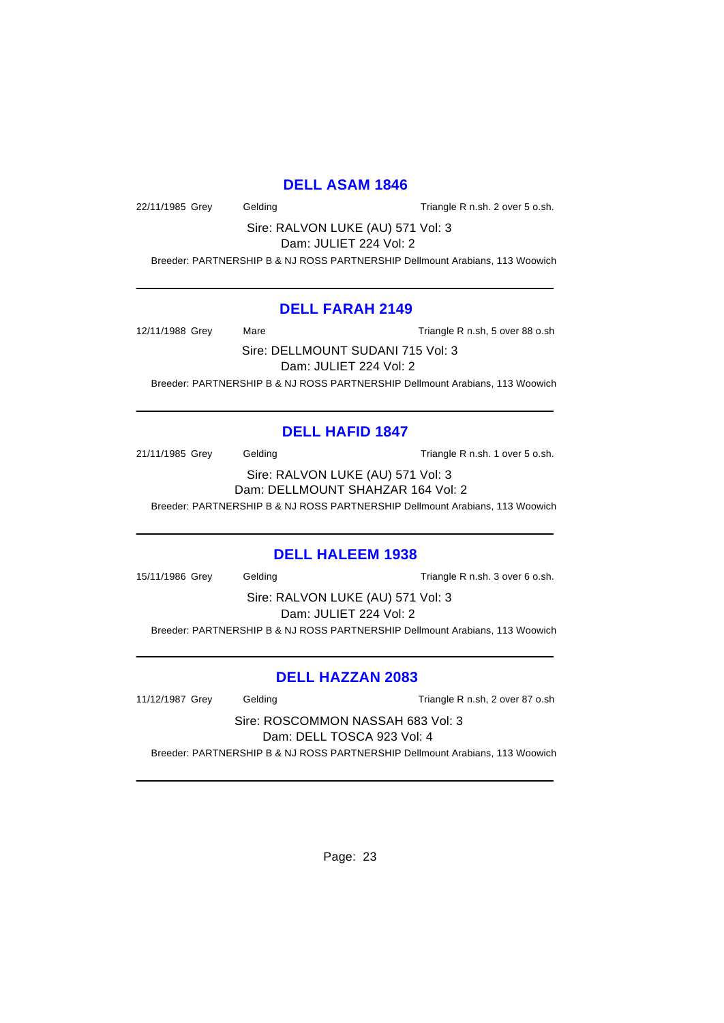## **DELL ASAM 1846**

22/11/1985 Grey Gelding Casset Contract Triangle R n.sh. 2 over 5 o.sh.

Sire: RALVON LUKE (AU) 571 Vol: 3 Dam: JULIET 224 Vol: 2

Breeder: PARTNERSHIP B & NJ ROSS PARTNERSHIP Dellmount Arabians, 113 Woowich

## **DELL FARAH 2149**

12/11/1988 Grey Mare Mare Triangle R n.sh, 5 over 88 o.sh

Sire: DELLMOUNT SUDANI 715 Vol: 3 Dam: JULIET 224 Vol: 2 Breeder: PARTNERSHIP B & NJ ROSS PARTNERSHIP Dellmount Arabians, 113 Woowich

# **DELL HAFID 1847**

21/11/1985 Grey Gelding Casses Contained Triangle R n.sh. 1 over 5 o.sh.

Sire: RALVON LUKE (AU) 571 Vol: 3 Dam: DELLMOUNT SHAHZAR 164 Vol: 2 Breeder: PARTNERSHIP B & NJ ROSS PARTNERSHIP Dellmount Arabians, 113 Woowich

# **DELL HALEEM 1938**

15/11/1986 Grey Gelding Cassett Contract Triangle R n.sh. 3 over 6 o.sh.

Sire: RALVON LUKE (AU) 571 Vol: 3 Dam: JULIET 224 Vol: 2 Breeder: PARTNERSHIP B & NJ ROSS PARTNERSHIP Dellmount Arabians, 113 Woowich

# **DELL HAZZAN 2083**

11/12/1987 Grey Gelding Triangle R n.sh, 2 over 87 o.sh

Sire: ROSCOMMON NASSAH 683 Vol: 3 Dam: DELL TOSCA 923 Vol: 4 Breeder: PARTNERSHIP B & NJ ROSS PARTNERSHIP Dellmount Arabians, 113 Woowich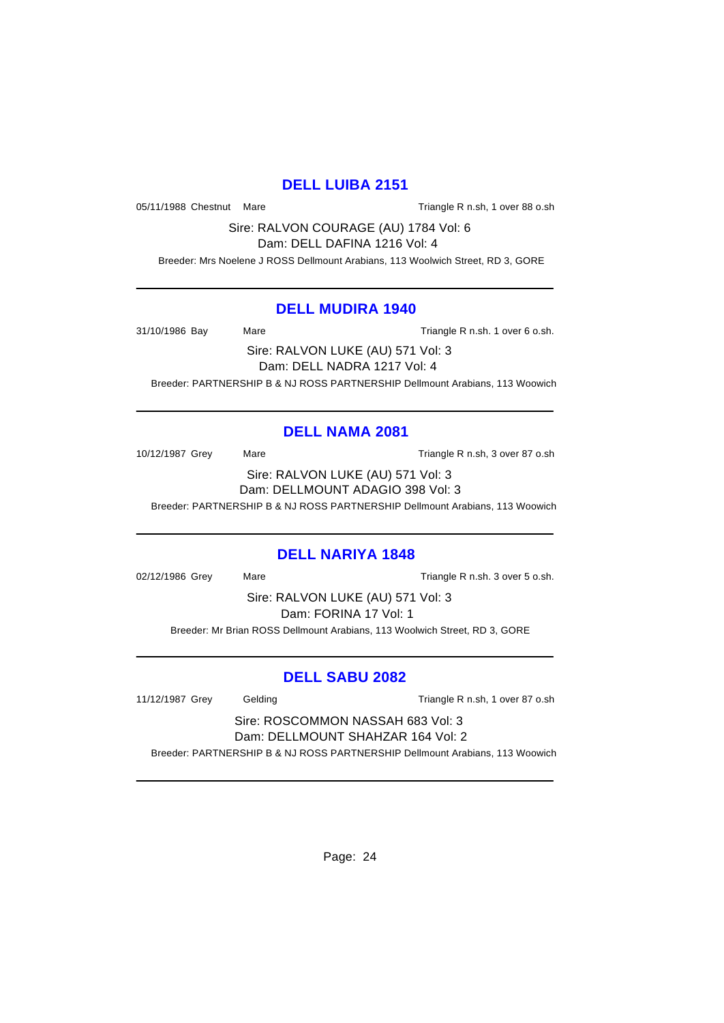# **DELL LUIBA 2151**

05/11/1988 Chestnut Mare Triangle R n.sh, 1 over 88 o.sh

Sire: RALVON COURAGE (AU) 1784 Vol: 6 Dam: DELL DAFINA 1216 Vol: 4

Breeder: Mrs Noelene J ROSS Dellmount Arabians, 113 Woolwich Street, RD 3, GORE

#### **DELL MUDIRA 1940**

31/10/1986 Bay Mare Mare Triangle R n.sh. 1 over 6 o.sh.

Sire: RALVON LUKE (AU) 571 Vol: 3 Dam: DELL NADRA 1217 Vol: 4 Breeder: PARTNERSHIP B & NJ ROSS PARTNERSHIP Dellmount Arabians, 113 Woowich

# **DELL NAMA 2081**

10/12/1987 Grey Mare Mare Triangle R n.sh, 3 over 87 o.sh Sire: RALVON LUKE (AU) 571 Vol: 3 Dam: DELLMOUNT ADAGIO 398 Vol: 3

Breeder: PARTNERSHIP B & NJ ROSS PARTNERSHIP Dellmount Arabians, 113 Woowich

#### **DELL NARIYA 1848**

02/12/1986 Grey Mare Mare Triangle R n.sh. 3 over 5 o.sh.

Sire: RALVON LUKE (AU) 571 Vol: 3 Dam: FORINA 17 Vol: 1

Breeder: Mr Brian ROSS Dellmount Arabians, 113 Woolwich Street, RD 3, GORE

# **DELL SABU 2082**

11/12/1987 Grey Gelding Triangle R n.sh, 1 over 87 o.sh

Sire: ROSCOMMON NASSAH 683 Vol: 3 Dam: DELLMOUNT SHAHZAR 164 Vol: 2

Breeder: PARTNERSHIP B & NJ ROSS PARTNERSHIP Dellmount Arabians, 113 Woowich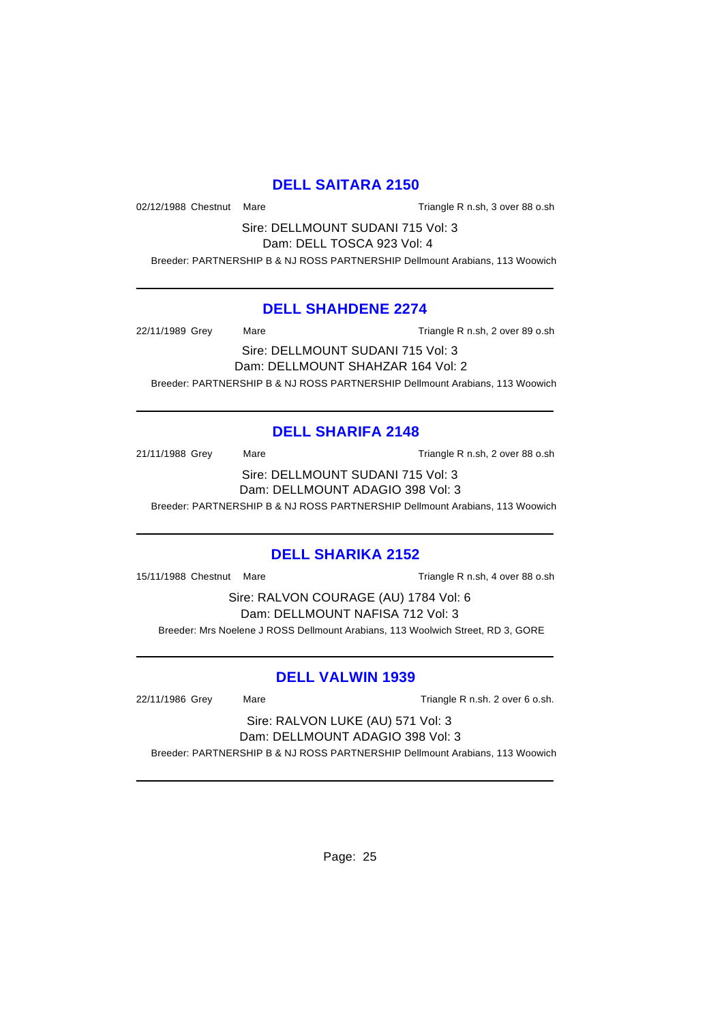# **DELL SAITARA 2150**

02/12/1988 Chestnut Mare Triangle R n.sh, 3 over 88 o.sh

Sire: DELLMOUNT SUDANI 715 Vol: 3 Dam: DELL TOSCA 923 Vol: 4

Breeder: PARTNERSHIP B & NJ ROSS PARTNERSHIP Dellmount Arabians, 113 Woowich

#### **DELL SHAHDENE 2274**

22/11/1989 Grey Mare Triangle R n.sh, 2 over 89 o.sh

Sire: DELLMOUNT SUDANI 715 Vol: 3 Dam: DELLMOUNT SHAHZAR 164 Vol: 2 Breeder: PARTNERSHIP B & NJ ROSS PARTNERSHIP Dellmount Arabians, 113 Woowich

# **DELL SHARIFA 2148**

21/11/1988 Grey Mare Mare Triangle R n.sh, 2 over 88 o.sh Sire: DELLMOUNT SUDANI 715 Vol: 3 Dam: DELLMOUNT ADAGIO 398 Vol: 3

Breeder: PARTNERSHIP B & NJ ROSS PARTNERSHIP Dellmount Arabians, 113 Woowich

# **DELL SHARIKA 2152**

15/11/1988 Chestnut Mare Triangle R n.sh, 4 over 88 o.sh

Sire: RALVON COURAGE (AU) 1784 Vol: 6 Dam: DELLMOUNT NAFISA 712 Vol: 3 Breeder: Mrs Noelene J ROSS Dellmount Arabians, 113 Woolwich Street, RD 3, GORE

# **DELL VALWIN 1939**

22/11/1986 Grey Mare Mare Triangle R n.sh. 2 over 6 o.sh.

Sire: RALVON LUKE (AU) 571 Vol: 3 Dam: DELLMOUNT ADAGIO 398 Vol: 3

Breeder: PARTNERSHIP B & NJ ROSS PARTNERSHIP Dellmount Arabians, 113 Woowich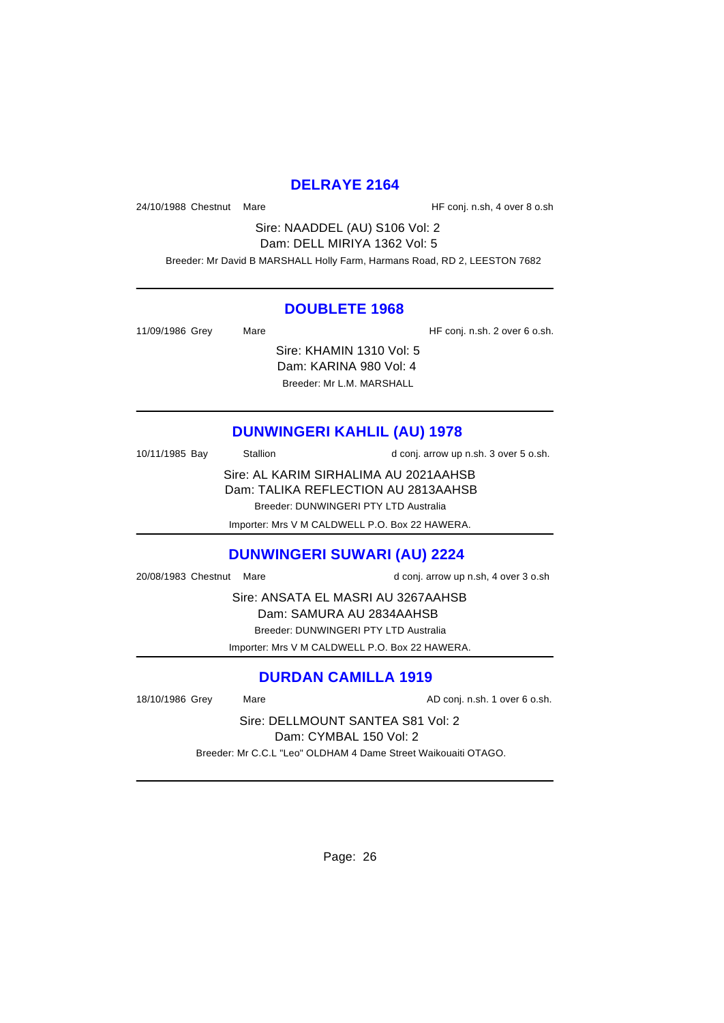## **DELRAYE 2164**

24/10/1988 Chestnut Mare **Market Accord 12-10** HF conj. n.sh, 4 over 8 o.sh

Sire: NAADDEL (AU) S106 Vol: 2 Dam: DELL MIRIYA 1362 Vol: 5 Breeder: Mr David B MARSHALL Holly Farm, Harmans Road, RD 2, LEESTON 7682

#### **DOUBLETE 1968**

| 11/09/1986 Grey | Mare |                           | HF conj. n.sh. 2 over 6 o.sh. |
|-----------------|------|---------------------------|-------------------------------|
|                 |      | Sire: KHAMIN 1310 Vol: 5  |                               |
|                 |      | Dam: KARINA 980 Vol: 4    |                               |
|                 |      | Breeder: Mr L.M. MARSHALL |                               |

# **DUNWINGERI KAHLIL (AU) 1978**

| 10/11/1985 Bay | Stallion | d conj. arrow up n.sh. 3 over 5 o.sh. |
|----------------|----------|---------------------------------------|
|                |          | Sire: AL KARIM SIRHALIMA AU 2021AAHSB |
|                |          | Dam: TALIKA REFLECTION AU 2813AAHSB   |
|                |          | Breeder: DUNWINGERI PTY LTD Australia |

Importer: Mrs V M CALDWELL P.O. Box 22 HAWERA.

# **DUNWINGERI SUWARI (AU) 2224**

20/08/1983 Chestnut Mare d conj. arrow up n.sh, 4 over 3 o.sh

Sire: ANSATA EL MASRI AU 3267AAHSB Dam: SAMURA AU 2834AAHSB

Breeder: DUNWINGERI PTY LTD Australia

Importer: Mrs V M CALDWELL P.O. Box 22 HAWERA.

# **DURDAN CAMILLA 1919**

18/10/1986 Grey Mare Mare AD conj. n.sh. 1 over 6 o.sh.

Sire: DELLMOUNT SANTEA S81 Vol: 2 Dam: CYMBAL 150 Vol: 2

Breeder: Mr C.C.L "Leo" OLDHAM 4 Dame Street Waikouaiti OTAGO.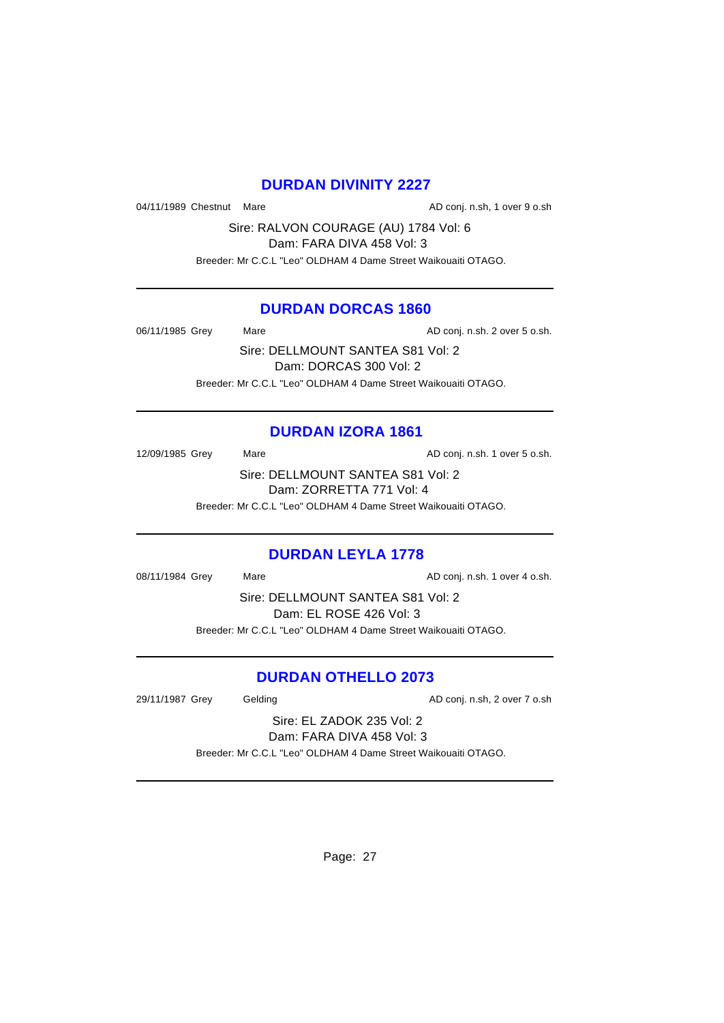# **DURDAN DIVINITY 2227**

04/11/1989 Chestnut Mare **AD** conj. n.sh, 1 over 9 o.sh

Sire: RALVON COURAGE (AU) 1784 Vol: 6 Dam: FARA DIVA 458 Vol: 3

Breeder: Mr C.C.L "Leo" OLDHAM 4 Dame Street Waikouaiti OTAGO.

## **DURDAN DORCAS 1860**

06/11/1985 Grey Mare Mare AD conj. n.sh. 2 over 5 o.sh.

Sire: DELLMOUNT SANTEA S81 Vol: 2 Dam: DORCAS 300 Vol: 2 Breeder: Mr C.C.L "Leo" OLDHAM 4 Dame Street Waikouaiti OTAGO.

# **DURDAN IZORA 1861**

12/09/1985 Grey Mare Mare AD conj. n.sh. 1 over 5 o.sh. Sire: DELLMOUNT SANTEA S81 Vol: 2

Dam: ZORRETTA 771 Vol: 4

Breeder: Mr C.C.L "Leo" OLDHAM 4 Dame Street Waikouaiti OTAGO.

# **DURDAN LEYLA 1778**

08/11/1984 Grey Mare Mare AD conj. n.sh. 1 over 4 o.sh.

Sire: DELLMOUNT SANTEA S81 Vol: 2 Dam: EL ROSE 426 Vol: 3 Breeder: Mr C.C.L "Leo" OLDHAM 4 Dame Street Waikouaiti OTAGO.

# **DURDAN OTHELLO 2073**

29/11/1987 Grey Gelding Conj. n.sh, 2 over 7 o.sh

Sire: EL ZADOK 235 Vol: 2 Dam: FARA DIVA 458 Vol: 3

Breeder: Mr C.C.L "Leo" OLDHAM 4 Dame Street Waikouaiti OTAGO.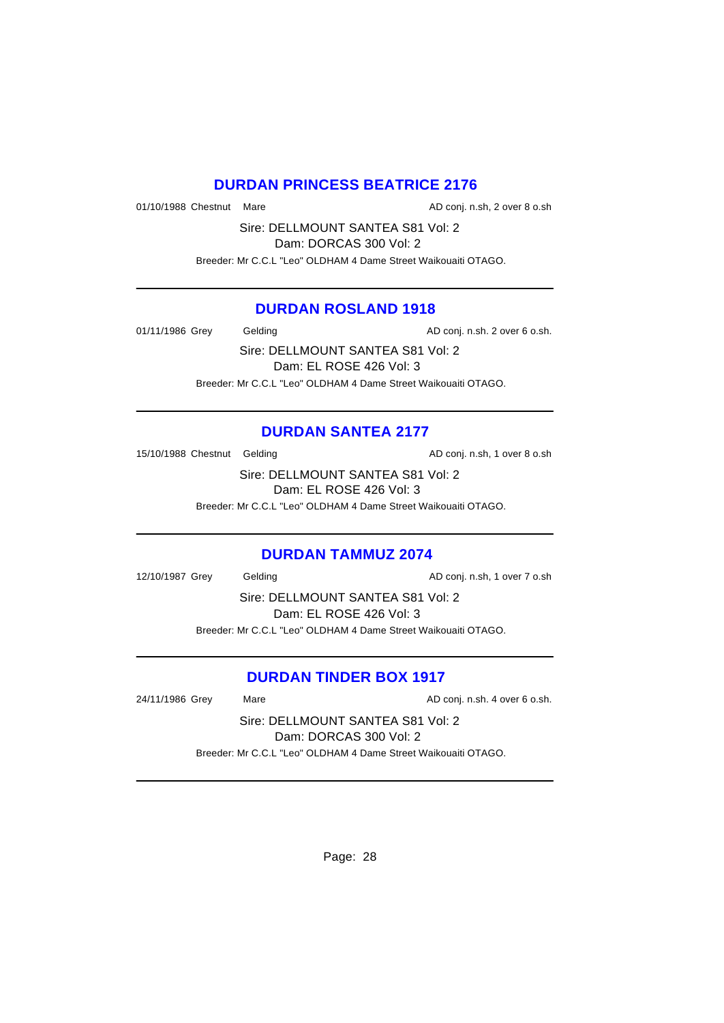## **DURDAN PRINCESS BEATRICE 2176**

01/10/1988 Chestnut Mare **AD** conj. n.sh, 2 over 8 o.sh

Sire: DELLMOUNT SANTEA S81 Vol: 2 Dam: DORCAS 300 Vol: 2

Breeder: Mr C.C.L "Leo" OLDHAM 4 Dame Street Waikouaiti OTAGO.

## **DURDAN ROSLAND 1918**

01/11/1986 Grey Gelding Conj. n.sh. 2 over 6 o.sh.

Sire: DELLMOUNT SANTEA S81 Vol: 2 Dam: EL ROSE 426 Vol: 3 Breeder: Mr C.C.L "Leo" OLDHAM 4 Dame Street Waikouaiti OTAGO.

## **DURDAN SANTEA 2177**

15/10/1988 Chestnut Gelding and and the AD conj. n.sh, 1 over 8 o.sh

Sire: DELLMOUNT SANTEA S81 Vol: 2 Dam: EL ROSE 426 Vol: 3

Breeder: Mr C.C.L "Leo" OLDHAM 4 Dame Street Waikouaiti OTAGO.

#### **DURDAN TAMMUZ 2074**

12/10/1987 Grey Gelding Conj. n.sh, 1 over 7 o.sh

Sire: DELLMOUNT SANTEA S81 Vol: 2 Dam: EL ROSE 426 Vol: 3 Breeder: Mr C.C.L "Leo" OLDHAM 4 Dame Street Waikouaiti OTAGO.

## **DURDAN TINDER BOX 1917**

24/11/1986 Grey Mare Mare AD conj. n.sh. 4 over 6 o.sh.

Sire: DELLMOUNT SANTEA S81 Vol: 2 Dam: DORCAS 300 Vol: 2

Breeder: Mr C.C.L "Leo" OLDHAM 4 Dame Street Waikouaiti OTAGO.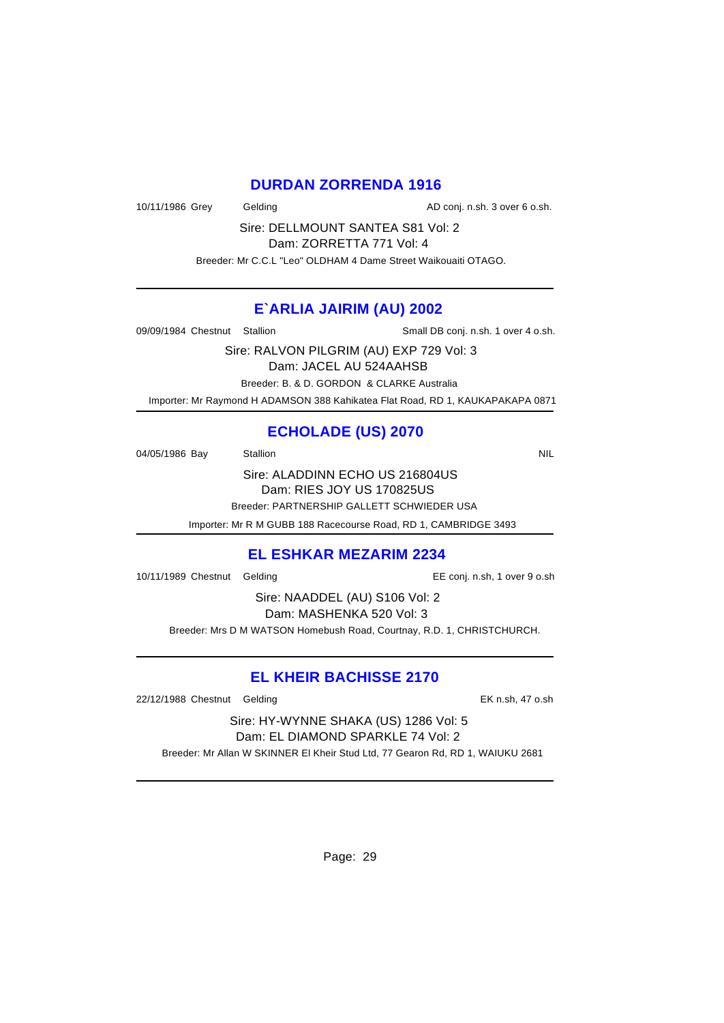## **DURDAN ZORRENDA 1916**

10/11/1986 Grey Gelding Conj. n.sh. 3 over 6 o.sh.

Sire: DELLMOUNT SANTEA S81 Vol: 2 Dam: ZORRETTA 771 Vol: 4

Breeder: Mr C.C.L "Leo" OLDHAM 4 Dame Street Waikouaiti OTAGO.

#### **E`ARLIA JAIRIM (AU) 2002**

09/09/1984 Chestnut Stallion Stallion Supervisory Small DB conj. n.sh. 1 over 4 o.sh.

Sire: RALVON PILGRIM (AU) EXP 729 Vol: 3 Dam: JACEL AU 524AAHSB Breeder: B. & D. GORDON & CLARKE Australia

Importer: Mr Raymond H ADAMSON 388 Kahikatea Flat Road, RD 1, KAUKAPAKAPA 0871

# **ECHOLADE (US) 2070**

04/05/1986 Bay Stallion Station Station Station Station Station Station NIL

Sire: ALADDINN ECHO US 216804US Dam: RIES JOY US 170825US Breeder: PARTNERSHIP GALLETT SCHWIEDER USA

Importer: Mr R M GUBB 188 Racecourse Road, RD 1, CAMBRIDGE 3493

# **EL ESHKAR MEZARIM 2234**

10/11/1989 Chestnut Gelding EE conj. n.sh, 1 over 9 o.sh

Sire: NAADDEL (AU) S106 Vol: 2 Dam: MASHENKA 520 Vol: 3

Breeder: Mrs D M WATSON Homebush Road, Courtnay, R.D. 1, CHRISTCHURCH.

# **EL KHEIR BACHISSE 2170**

22/12/1988 Chestnut Gelding EK n.sh, 47 o.sh

Sire: HY-WYNNE SHAKA (US) 1286 Vol: 5 Dam: EL DIAMOND SPARKLE 74 Vol: 2

Breeder: Mr Allan W SKINNER El Kheir Stud Ltd, 77 Gearon Rd, RD 1, WAIUKU 2681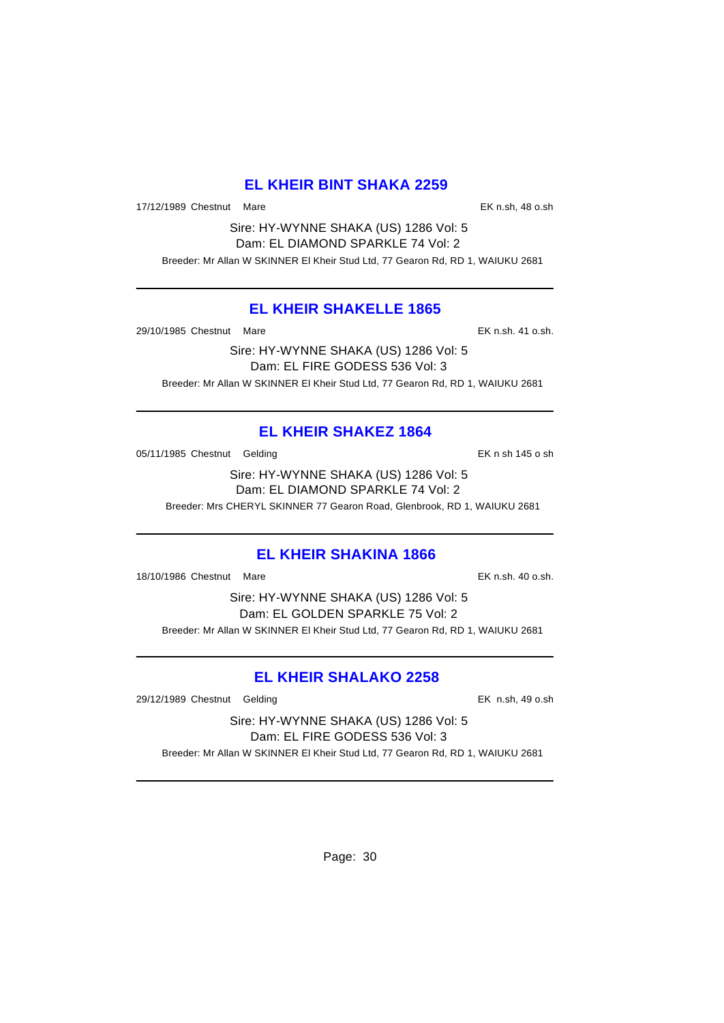# **EL KHEIR BINT SHAKA 2259**

17/12/1989 Chestnut Mare **EX n.sh, 48 o.sh** 

Sire: HY-WYNNE SHAKA (US) 1286 Vol: 5 Dam: EL DIAMOND SPARKLE 74 Vol: 2 Breeder: Mr Allan W SKINNER El Kheir Stud Ltd, 77 Gearon Rd, RD 1, WAIUKU 2681

## **EL KHEIR SHAKELLE 1865**

29/10/1985 Chestnut Mare EK n.sh. 41 o.sh.

Sire: HY-WYNNE SHAKA (US) 1286 Vol: 5 Dam: EL FIRE GODESS 536 Vol: 3 Breeder: Mr Allan W SKINNER El Kheir Stud Ltd, 77 Gearon Rd, RD 1, WAIUKU 2681

# **EL KHEIR SHAKEZ 1864**

05/11/1985 Chestnut Gelding Character Control of the EK n sh 145 o sh

Sire: HY-WYNNE SHAKA (US) 1286 Vol: 5 Dam: EL DIAMOND SPARKLE 74 Vol: 2

Breeder: Mrs CHERYL SKINNER 77 Gearon Road, Glenbrook, RD 1, WAIUKU 2681

## **EL KHEIR SHAKINA 1866**

18/10/1986 Chestnut Mare EK n.sh. 40 o.sh.

Sire: HY-WYNNE SHAKA (US) 1286 Vol: 5 Dam: EL GOLDEN SPARKLE 75 Vol: 2 Breeder: Mr Allan W SKINNER El Kheir Stud Ltd, 77 Gearon Rd, RD 1, WAIUKU 2681

# **EL KHEIR SHALAKO 2258**

29/12/1989 Chestnut Gelding EK n.sh, 49 o.sh

Sire: HY-WYNNE SHAKA (US) 1286 Vol: 5 Dam: EL FIRE GODESS 536 Vol: 3 Breeder: Mr Allan W SKINNER El Kheir Stud Ltd, 77 Gearon Rd, RD 1, WAIUKU 2681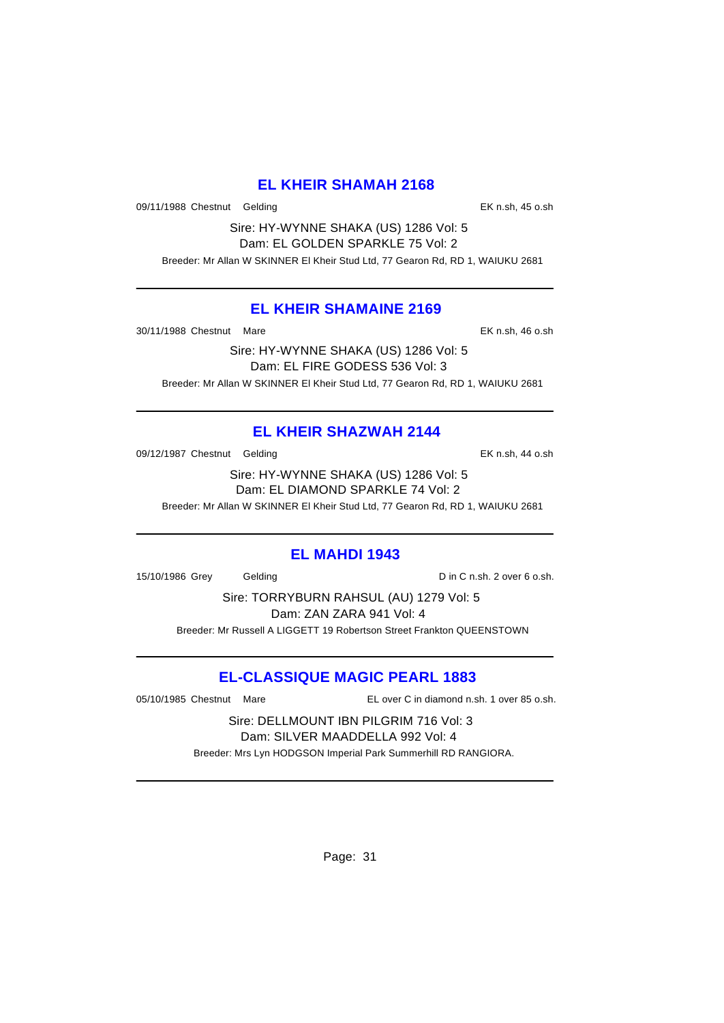## **EL KHEIR SHAMAH 2168**

09/11/1988 Chestnut Gelding Changes Chestnut Gelding Changes Chestnut Celding Changes Chestnut Chestnut Chestnu

Sire: HY-WYNNE SHAKA (US) 1286 Vol: 5 Dam: EL GOLDEN SPARKLE 75 Vol: 2 Breeder: Mr Allan W SKINNER El Kheir Stud Ltd, 77 Gearon Rd, RD 1, WAIUKU 2681

## **EL KHEIR SHAMAINE 2169**

30/11/1988 Chestnut Mare EK n.sh, 46 o.sh

Sire: HY-WYNNE SHAKA (US) 1286 Vol: 5 Dam: EL FIRE GODESS 536 Vol: 3 Breeder: Mr Allan W SKINNER El Kheir Stud Ltd, 77 Gearon Rd, RD 1, WAIUKU 2681

# **EL KHEIR SHAZWAH 2144**

09/12/1987 Chestnut Gelding Character Construction Construction CR No. 3h

Sire: HY-WYNNE SHAKA (US) 1286 Vol: 5 Dam: EL DIAMOND SPARKLE 74 Vol: 2

Breeder: Mr Allan W SKINNER El Kheir Stud Ltd, 77 Gearon Rd, RD 1, WAIUKU 2681

# **EL MAHDI 1943**

15/10/1986 Grey Gelding D in C n.sh. 2 over 6 o.sh.

Sire: TORRYBURN RAHSUL (AU) 1279 Vol: 5 Dam: ZAN ZARA 941 Vol: 4 Breeder: Mr Russell A LIGGETT 19 Robertson Street Frankton QUEENSTOWN

# **EL-CLASSIQUE MAGIC PEARL 1883**

05/10/1985 Chestnut Mare EL over C in diamond n.sh. 1 over 85 o.sh.

Sire: DELLMOUNT IBN PILGRIM 716 Vol: 3 Dam: SILVER MAADDELLA 992 Vol: 4 Breeder: Mrs Lyn HODGSON Imperial Park Summerhill RD RANGIORA.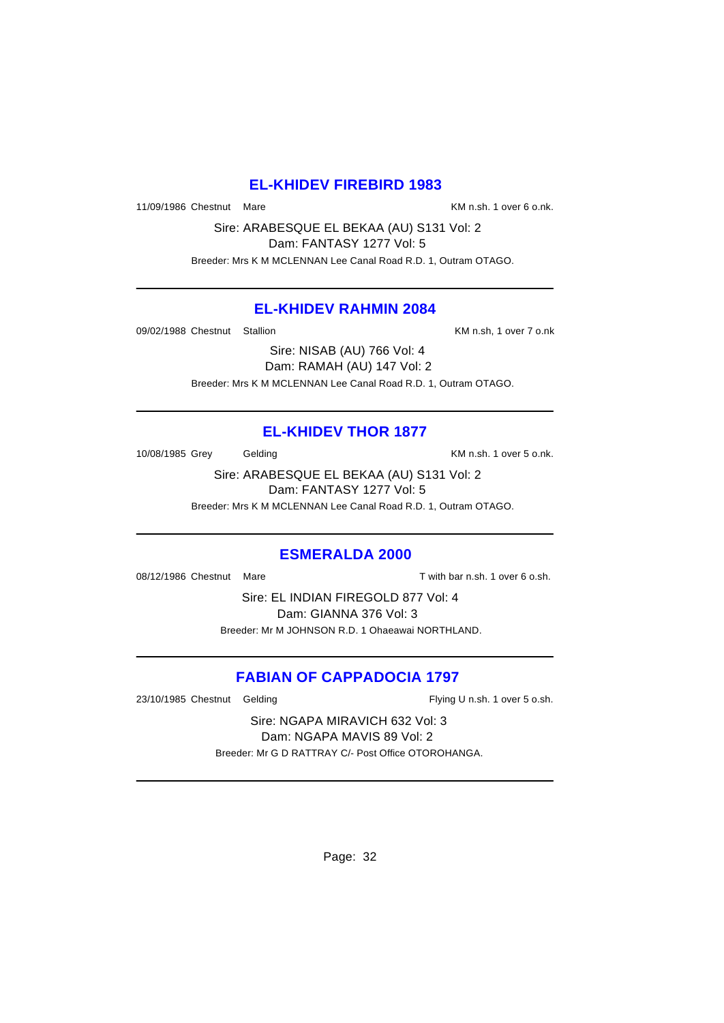## **EL-KHIDEV FIREBIRD 1983**

11/09/1986 Chestnut Mare **KM** n.sh. 1 over 6 o.nk.

Sire: ARABESQUE EL BEKAA (AU) S131 Vol: 2 Dam: FANTASY 1277 Vol: 5

Breeder: Mrs K M MCLENNAN Lee Canal Road R.D. 1, Outram OTAGO.

## **EL-KHIDEV RAHMIN 2084**

09/02/1988 Chestnut Stallion **Channel Communist Chestnut** KM n.sh, 1 over 7 o.nk

Sire: NISAB (AU) 766 Vol: 4 Dam: RAMAH (AU) 147 Vol: 2 Breeder: Mrs K M MCLENNAN Lee Canal Road R.D. 1, Outram OTAGO.

# **EL-KHIDEV THOR 1877**

10/08/1985 Grey Gelding Carrier Controller and Muscom Controller Controller Muscom Controller Gelding

Sire: ARABESQUE EL BEKAA (AU) S131 Vol: 2 Dam: FANTASY 1277 Vol: 5

Breeder: Mrs K M MCLENNAN Lee Canal Road R.D. 1, Outram OTAGO.

#### **ESMERALDA 2000**

08/12/1986 Chestnut Mare T with bar n.sh. 1 over 6 o.sh.

Sire: EL INDIAN FIREGOLD 877 Vol: 4 Dam: GIANNA 376 Vol: 3 Breeder: Mr M JOHNSON R.D. 1 Ohaeawai NORTHLAND.

# **FABIAN OF CAPPADOCIA 1797**

23/10/1985 Chestnut Gelding Flying U n.sh. 1 over 5 o.sh.

Sire: NGAPA MIRAVICH 632 Vol: 3 Dam: NGAPA MAVIS 89 Vol: 2 Breeder: Mr G D RATTRAY C/- Post Office OTOROHANGA.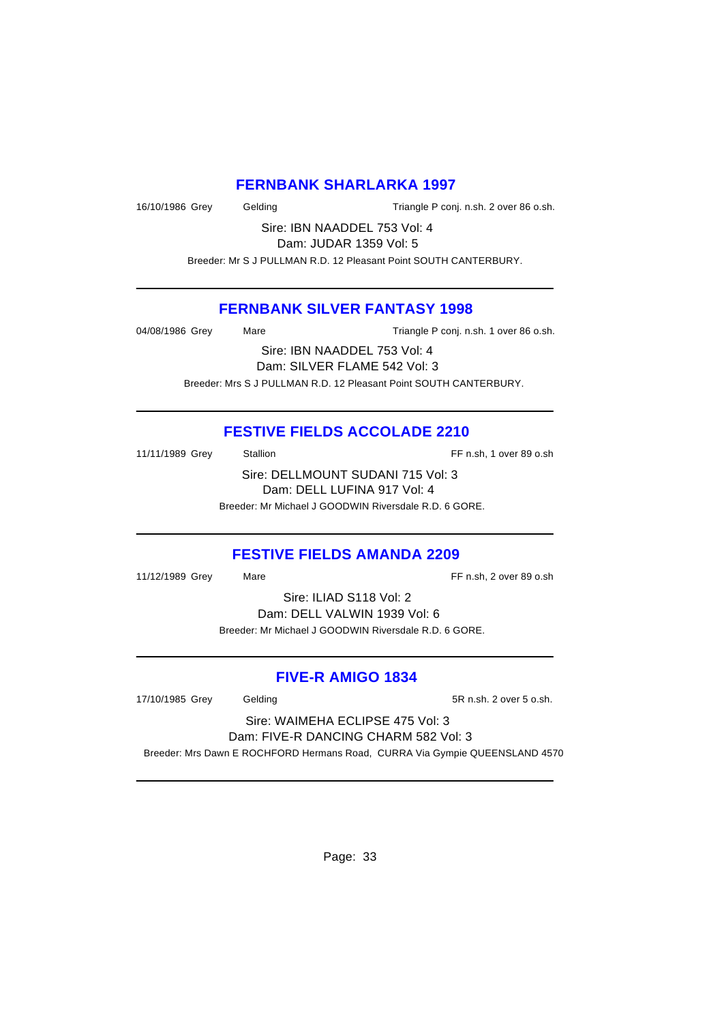## **FERNBANK SHARLARKA 1997**

16/10/1986 Grey Gelding Triangle P conj. n.sh. 2 over 86 o.sh.

Sire: IBN NAADDEL 753 Vol: 4 Dam: JUDAR 1359 Vol: 5

Breeder: Mr S J PULLMAN R.D. 12 Pleasant Point SOUTH CANTERBURY.

## **FERNBANK SILVER FANTASY 1998**

| 04/08/1986 Grey              | Mare | Triangle P conj. n.sh. 1 over 86 o.sh.               |  |
|------------------------------|------|------------------------------------------------------|--|
| Sire: IBN NAADDEL 753 Vol: 4 |      |                                                      |  |
|                              |      | $D = 0$ $\cup$ $D = 0$ $\cup$ $D = 0$ $\cup$ $D = 0$ |  |

Dam: SILVER FLAME 542 Vol: 3 Breeder: Mrs S J PULLMAN R.D. 12 Pleasant Point SOUTH CANTERBURY.

# **FESTIVE FIELDS ACCOLADE 2210**

| 11/11/1989 Grey | <b>Stallion</b>                                       | FF n.sh, 1 over 89 o.sh |
|-----------------|-------------------------------------------------------|-------------------------|
|                 | Sire: DELLMOUNT SUDANI 715 Vol: 3                     |                         |
|                 | Dam: DELL LUFINA 917 Vol: 4                           |                         |
|                 | Breeder: Mr Michael J GOODWIN Riversdale R.D. 6 GORE. |                         |

# **FESTIVE FIELDS AMANDA 2209**

11/12/1989 Grey Mare Mare FF n.sh, 2 over 89 o.sh

Sire: ILIAD S118 Vol: 2 Dam: DELL VALWIN 1939 Vol: 6 Breeder: Mr Michael J GOODWIN Riversdale R.D. 6 GORE.

## **FIVE-R AMIGO 1834**

17/10/1985 Grey Gelding 5R n.sh. 2 over 5 o.sh.

Sire: WAIMEHA ECLIPSE 475 Vol: 3 Dam: FIVE-R DANCING CHARM 582 Vol: 3

Breeder: Mrs Dawn E ROCHFORD Hermans Road, CURRA Via Gympie QUEENSLAND 4570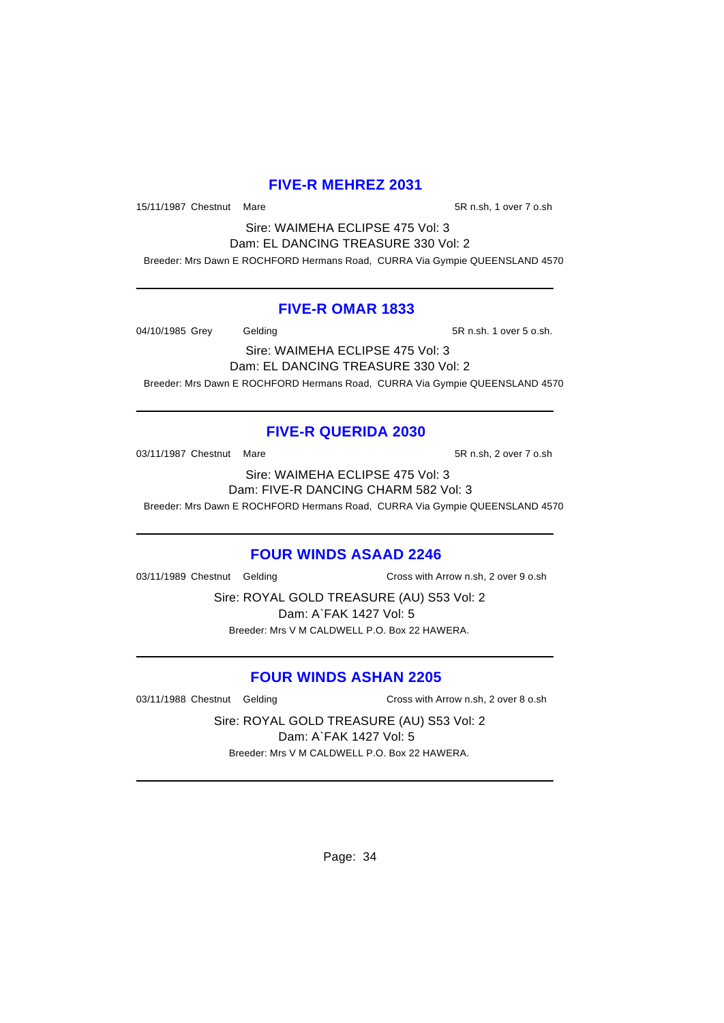## **FIVE-R MEHREZ 2031**

15/11/1987 Chestnut Mare 5R n.sh, 1 over 7 o.sh

Sire: WAIMEHA ECLIPSE 475 Vol: 3 Dam: EL DANCING TREASURE 330 Vol: 2

Breeder: Mrs Dawn E ROCHFORD Hermans Road, CURRA Via Gympie QUEENSLAND 4570

## **FIVE-R OMAR 1833**

04/10/1985 Grey Gelding 5R n.sh. 1 over 5 o.sh.

Sire: WAIMEHA ECLIPSE 475 Vol: 3 Dam: EL DANCING TREASURE 330 Vol: 2 Breeder: Mrs Dawn E ROCHFORD Hermans Road, CURRA Via Gympie QUEENSLAND 4570

# **FIVE-R QUERIDA 2030**

03/11/1987 Chestnut Mare 63/11/1987 Chestnut Mare 5R n.sh, 2 over 7 o.sh

Sire: WAIMEHA ECLIPSE 475 Vol: 3 Dam: FIVE-R DANCING CHARM 582 Vol: 3 Breeder: Mrs Dawn E ROCHFORD Hermans Road, CURRA Via Gympie QUEENSLAND 4570

# **FOUR WINDS ASAAD 2246**

03/11/1989 Chestnut Gelding Cross with Arrow n.sh, 2 over 9 o.sh

Sire: ROYAL GOLD TREASURE (AU) S53 Vol: 2 Dam: A`FAK 1427 Vol: 5 Breeder: Mrs V M CALDWELL P.O. Box 22 HAWERA.

# **FOUR WINDS ASHAN 2205**

03/11/1988 Chestnut Gelding Cross with Arrow n.sh, 2 over 8 o.sh

Sire: ROYAL GOLD TREASURE (AU) S53 Vol: 2 Dam: A`FAK 1427 Vol: 5 Breeder: Mrs V M CALDWELL P.O. Box 22 HAWERA.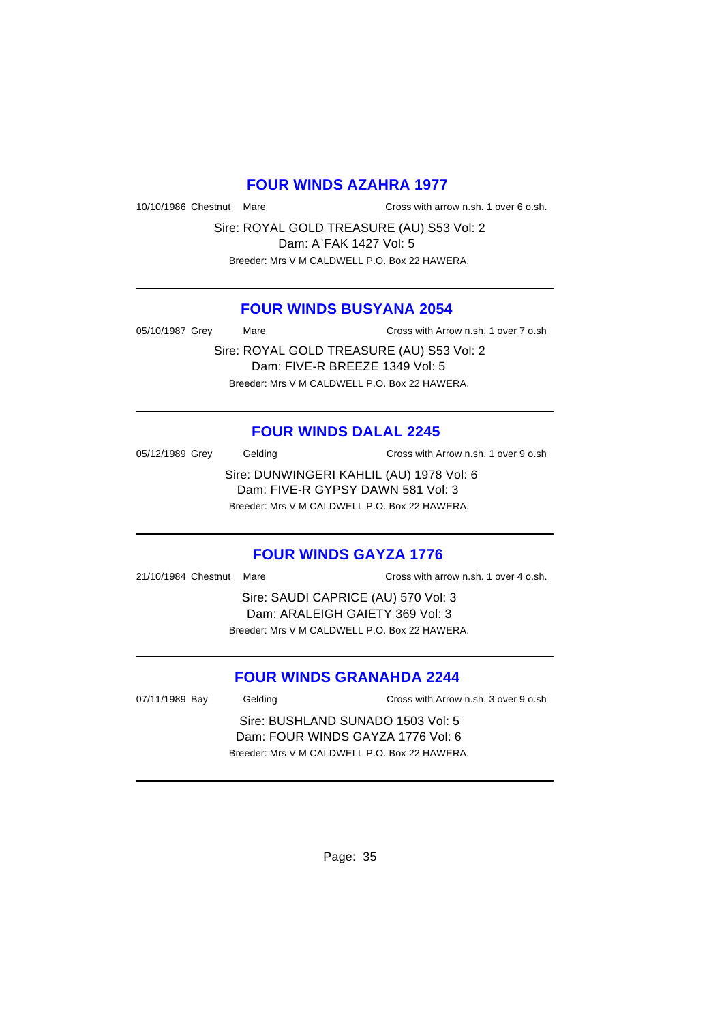### **FOUR WINDS AZAHRA 1977**

10/10/1986 Chestnut Mare Cross with arrow n.sh. 1 over 6 o.sh.

Sire: ROYAL GOLD TREASURE (AU) S53 Vol: 2 Dam: A`FAK 1427 Vol: 5 Breeder: Mrs V M CALDWELL P.O. Box 22 HAWERA.

## **FOUR WINDS BUSYANA 2054**

05/10/1987 Grey Mare Mare Cross with Arrow n.sh, 1 over 7 o.sh

Sire: ROYAL GOLD TREASURE (AU) S53 Vol: 2 Dam: FIVE-R BREEZE 1349 Vol: 5 Breeder: Mrs V M CALDWELL P.O. Box 22 HAWERA.

# **FOUR WINDS DALAL 2245**

05/12/1989 Grey Gelding Cross with Arrow n.sh, 1 over 9 o.sh Sire: DUNWINGERI KAHLIL (AU) 1978 Vol: 6 Dam: FIVE-R GYPSY DAWN 581 Vol: 3

Breeder: Mrs V M CALDWELL P.O. Box 22 HAWERA.

#### **FOUR WINDS GAYZA 1776**

21/10/1984 Chestnut Mare Cross with arrow n.sh. 1 over 4 o.sh.

Sire: SAUDI CAPRICE (AU) 570 Vol: 3 Dam: ARALEIGH GAIETY 369 Vol: 3 Breeder: Mrs V M CALDWELL P.O. Box 22 HAWERA.

# **FOUR WINDS GRANAHDA 2244**

07/11/1989 Bay Gelding Cross with Arrow n.sh, 3 over 9 o.sh

Sire: BUSHLAND SUNADO 1503 Vol: 5 Dam: FOUR WINDS GAYZA 1776 Vol: 6 Breeder: Mrs V M CALDWELL P.O. Box 22 HAWERA.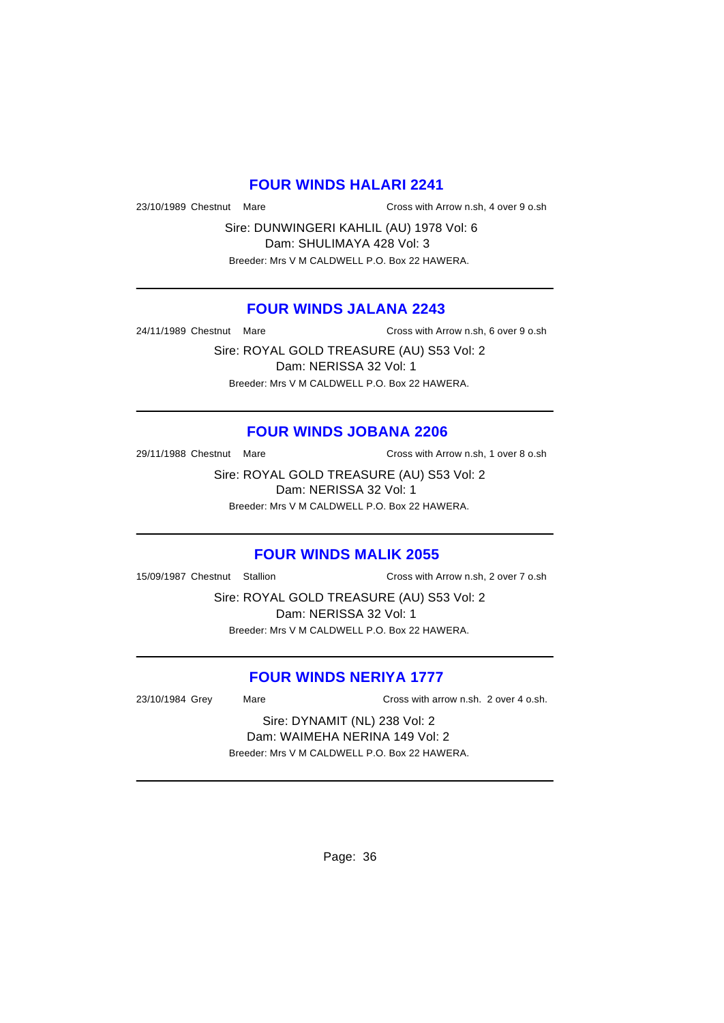# **FOUR WINDS HALARI 2241**

23/10/1989 Chestnut Mare Cross with Arrow n.sh, 4 over 9 o.sh

Sire: DUNWINGERI KAHLIL (AU) 1978 Vol: 6 Dam: SHULIMAYA 428 Vol: 3 Breeder: Mrs V M CALDWELL P.O. Box 22 HAWERA.

## **FOUR WINDS JALANA 2243**

24/11/1989 Chestnut Mare Cross with Arrow n.sh, 6 over 9 o.sh

Sire: ROYAL GOLD TREASURE (AU) S53 Vol: 2 Dam: NERISSA 32 Vol: 1 Breeder: Mrs V M CALDWELL P.O. Box 22 HAWERA.

#### **FOUR WINDS JOBANA 2206**

29/11/1988 Chestnut Mare Cross with Arrow n.sh, 1 over 8 o.sh

Sire: ROYAL GOLD TREASURE (AU) S53 Vol: 2 Dam: NERISSA 32 Vol: 1 Breeder: Mrs V M CALDWELL P.O. Box 22 HAWERA.

#### **FOUR WINDS MALIK 2055**

15/09/1987 Chestnut Stallion Cross with Arrow n.sh, 2 over 7 o.sh

Sire: ROYAL GOLD TREASURE (AU) S53 Vol: 2 Dam: NERISSA 32 Vol: 1 Breeder: Mrs V M CALDWELL P.O. Box 22 HAWERA.

## **FOUR WINDS NERIYA 1777**

23/10/1984 Grey Mare Cross with arrow n.sh. 2 over 4 o.sh.

Sire: DYNAMIT (NL) 238 Vol: 2 Dam: WAIMEHA NERINA 149 Vol: 2 Breeder: Mrs V M CALDWELL P.O. Box 22 HAWERA.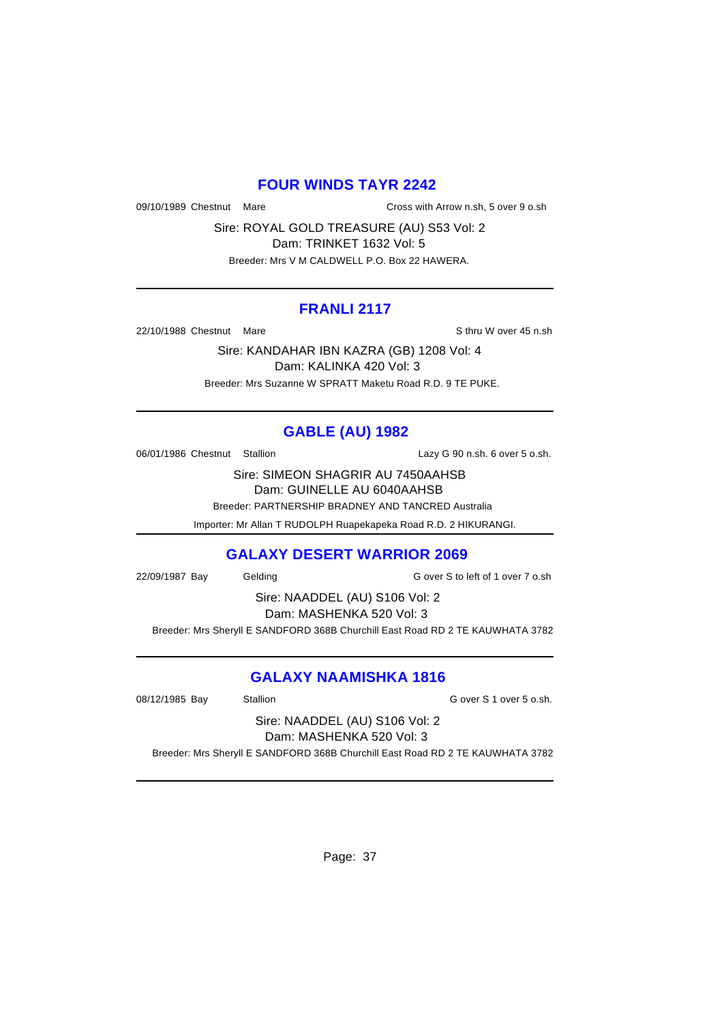#### **FOUR WINDS TAYR 2242**

09/10/1989 Chestnut Mare Cross with Arrow n.sh, 5 over 9 o.sh

Sire: ROYAL GOLD TREASURE (AU) S53 Vol: 2 Dam: TRINKET 1632 Vol: 5 Breeder: Mrs V M CALDWELL P.O. Box 22 HAWERA.

#### **FRANLI 2117**

22/10/1988 Chestnut Mare Sthru W over 45 n.sh

Sire: KANDAHAR IBN KAZRA (GB) 1208 Vol: 4 Dam: KALINKA 420 Vol: 3 Breeder: Mrs Suzanne W SPRATT Maketu Road R.D. 9 TE PUKE.

# **GABLE (AU) 1982**

06/01/1986 Chestnut Stallion Lazy G 90 n.sh. 6 over 5 o.sh.

Sire: SIMEON SHAGRIR AU 7450AAHSB Dam: GUINELLE AU 6040AAHSB

Breeder: PARTNERSHIP BRADNEY AND TANCRED Australia

Importer: Mr Allan T RUDOLPH Ruapekapeka Road R.D. 2 HIKURANGI.

# **GALAXY DESERT WARRIOR 2069**

22/09/1987 Bay Gelding Gelding G over S to left of 1 over 7 o.sh

Sire: NAADDEL (AU) S106 Vol: 2 Dam: MASHENKA 520 Vol: 3

Breeder: Mrs Sheryll E SANDFORD 368B Churchill East Road RD 2 TE KAUWHATA 3782

# **GALAXY NAAMISHKA 1816**

08/12/1985 Bay Stallion Gover S 1 over 5 o.sh.

Sire: NAADDEL (AU) S106 Vol: 2 Dam: MASHENKA 520 Vol: 3

Breeder: Mrs Sheryll E SANDFORD 368B Churchill East Road RD 2 TE KAUWHATA 3782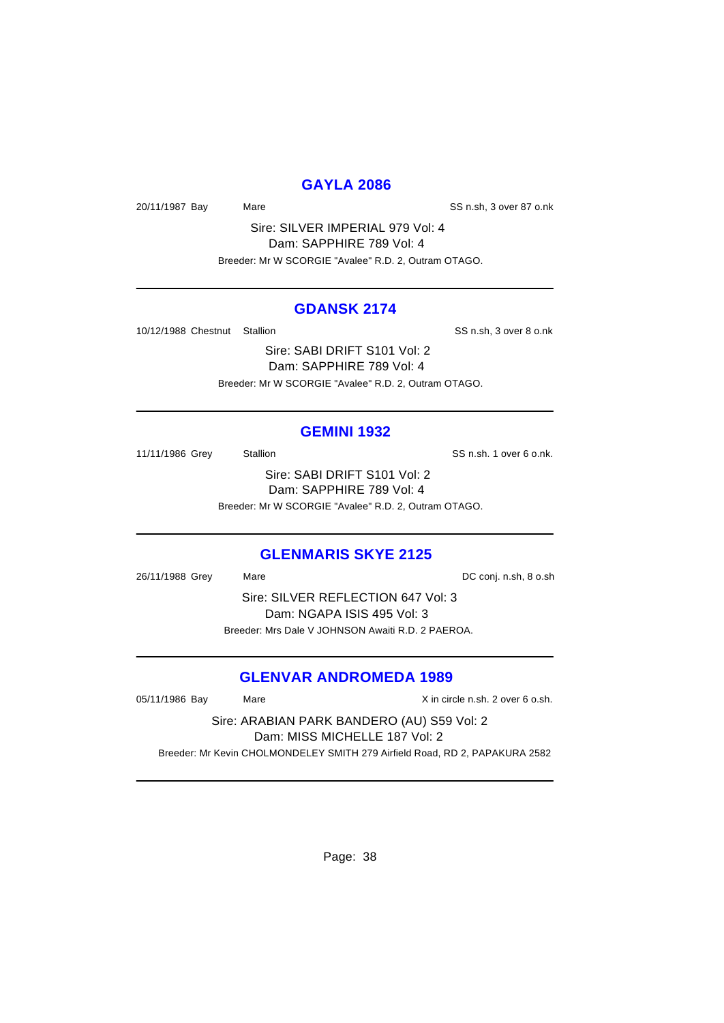### **GAYLA 2086**

20/11/1987 Bay Mare Mare SS n.sh, 3 over 87 o.nk

Sire: SILVER IMPERIAL 979 Vol: 4 Dam: SAPPHIRE 789 Vol: 4 Breeder: Mr W SCORGIE "Avalee" R.D. 2, Outram OTAGO.

#### **GDANSK 2174**

10/12/1988 Chestnut Stallion States of SS n.sh, 3 over 8 o.nk

Sire: SABI DRIFT S101 Vol: 2 Dam: SAPPHIRE 789 Vol: 4 Breeder: Mr W SCORGIE "Avalee" R.D. 2, Outram OTAGO.

#### **GEMINI 1932**

11/11/1986 Grey Stallion State State SS n.sh. 1 over 6 o.nk. Sire: SABI DRIFT S101 Vol: 2 Dam: SAPPHIRE 789 Vol: 4

Breeder: Mr W SCORGIE "Avalee" R.D. 2, Outram OTAGO.

#### **GLENMARIS SKYE 2125**

26/11/1988 Grey Mare Mare 26/11/1988 Grey Mare Sire: SILVER REFLECTION 647 Vol: 3 Dam: NGAPA ISIS 495 Vol: 3 Breeder: Mrs Dale V JOHNSON Awaiti R.D. 2 PAEROA.

# **GLENVAR ANDROMEDA 1989**

| 05/11/1986 Bay                                                              | Mare | X in circle n.sh. 2 over 6 o.sh. |  |
|-----------------------------------------------------------------------------|------|----------------------------------|--|
| Sire: ARABIAN PARK BANDERO (AU) S59 Vol: 2                                  |      |                                  |  |
| Dam: MISS MICHELLE 187 Vol: 2                                               |      |                                  |  |
| Breeder: Mr Kevin CHOLMONDELEY SMITH 279 Airfield Road, RD 2, PAPAKURA 2582 |      |                                  |  |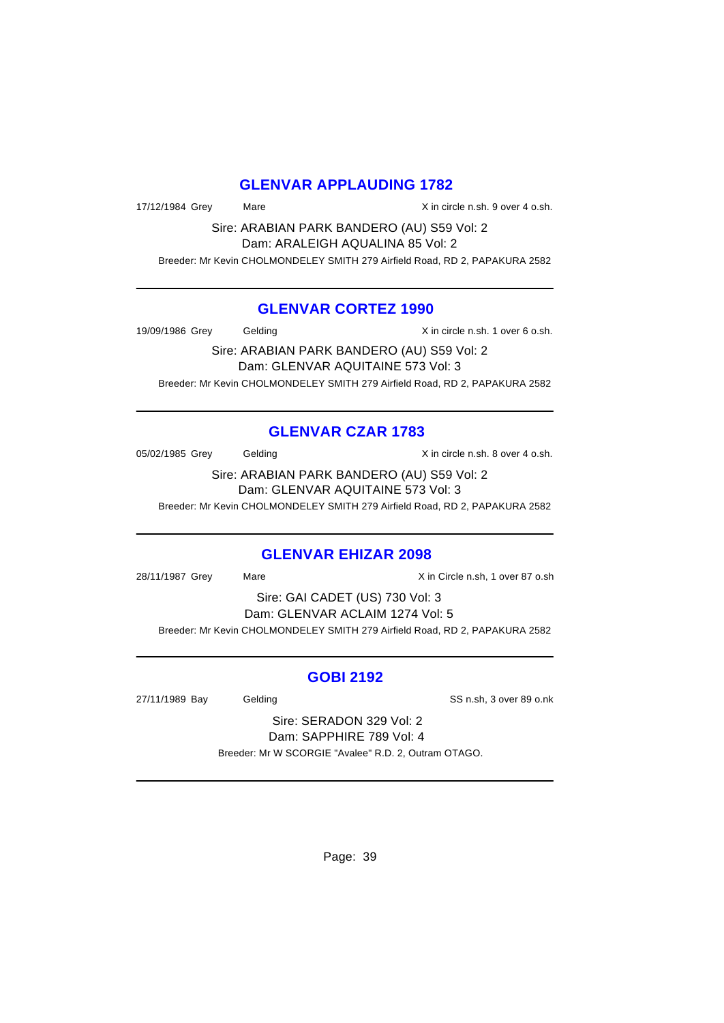### **GLENVAR APPLAUDING 1782**

17/12/1984 Grey Mare Mare X in circle n.sh. 9 over 4 o.sh.

Sire: ARABIAN PARK BANDERO (AU) S59 Vol: 2 Dam: ARALEIGH AQUALINA 85 Vol: 2 Breeder: Mr Kevin CHOLMONDELEY SMITH 279 Airfield Road, RD 2, PAPAKURA 2582

### **GLENVAR CORTEZ 1990**

19/09/1986 Grey Gelding The State of American State Construction of America State of America State of America S

Sire: ARABIAN PARK BANDERO (AU) S59 Vol: 2 Dam: GLENVAR AQUITAINE 573 Vol: 3 Breeder: Mr Kevin CHOLMONDELEY SMITH 279 Airfield Road, RD 2, PAPAKURA 2582

# **GLENVAR CZAR 1783**

05/02/1985 Grey Gelding Contact Contact Contact Contact Contact Contact Contact Contact Contact Contact Contact Contact Contact Contact Contact Contact Contact Contact Contact Contact Contact Contact Contact Contact Contac

Sire: ARABIAN PARK BANDERO (AU) S59 Vol: 2 Dam: GLENVAR AQUITAINE 573 Vol: 3

Breeder: Mr Kevin CHOLMONDELEY SMITH 279 Airfield Road, RD 2, PAPAKURA 2582

# **GLENVAR EHIZAR 2098**

28/11/1987 Grey Mare Mare X in Circle n.sh, 1 over 87 o.sh

Sire: GAI CADET (US) 730 Vol: 3 Dam: GLENVAR ACLAIM 1274 Vol: 5 Breeder: Mr Kevin CHOLMONDELEY SMITH 279 Airfield Road, RD 2, PAPAKURA 2582

# **GOBI 2192**

27/11/1989 Bay Gelding State SS n.sh, 3 over 89 o.nk

Sire: SERADON 329 Vol: 2 Dam: SAPPHIRE 789 Vol: 4 Breeder: Mr W SCORGIE "Avalee" R.D. 2, Outram OTAGO.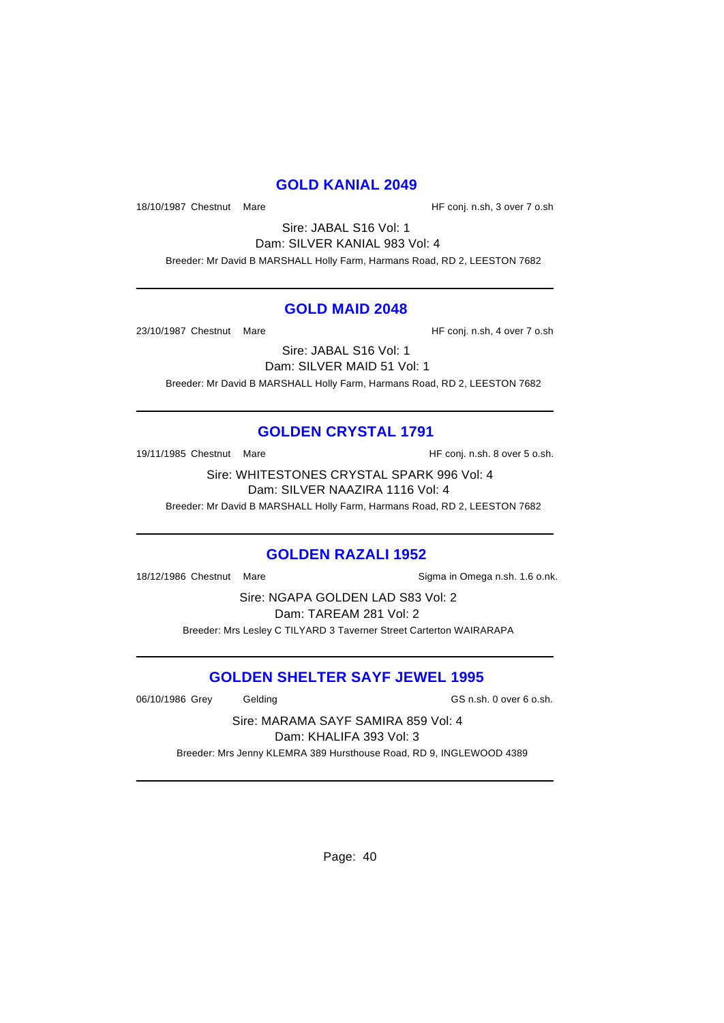#### **GOLD KANIAL 2049**

18/10/1987 Chestnut Mare **Market Accord 18/10/1987** Chestnut Mare

Sire: JABAL S16 Vol: 1 Dam: SILVER KANIAL 983 Vol: 4 Breeder: Mr David B MARSHALL Holly Farm, Harmans Road, RD 2, LEESTON 7682

#### **GOLD MAID 2048**

23/10/1987 Chestnut Mare **Market Accord Figure 33/10/1987** Chestnut Mare

Sire: JABAL S16 Vol: 1 Dam: SILVER MAID 51 Vol: 1 Breeder: Mr David B MARSHALL Holly Farm, Harmans Road, RD 2, LEESTON 7682

# **GOLDEN CRYSTAL 1791**

19/11/1985 Chestnut Mare **Market Except Controller HF** conj. n.sh. 8 over 5 o.sh.

Sire: WHITESTONES CRYSTAL SPARK 996 Vol: 4 Dam: SILVER NAAZIRA 1116 Vol: 4

Breeder: Mr David B MARSHALL Holly Farm, Harmans Road, RD 2, LEESTON 7682

#### **GOLDEN RAZALI 1952**

18/12/1986 Chestnut Mare Sigma in Omega n.sh. 1.6 o.nk.

Sire: NGAPA GOLDEN LAD S83 Vol: 2 Dam: TAREAM 281 Vol: 2 Breeder: Mrs Lesley C TILYARD 3 Taverner Street Carterton WAIRARAPA

# **GOLDEN SHELTER SAYF JEWEL 1995**

06/10/1986 Grey Gelding Gash GS n.sh. 0 over 6 o.sh.

Sire: MARAMA SAYF SAMIRA 859 Vol: 4 Dam: KHALIFA 393 Vol: 3

Breeder: Mrs Jenny KLEMRA 389 Hursthouse Road, RD 9, INGLEWOOD 4389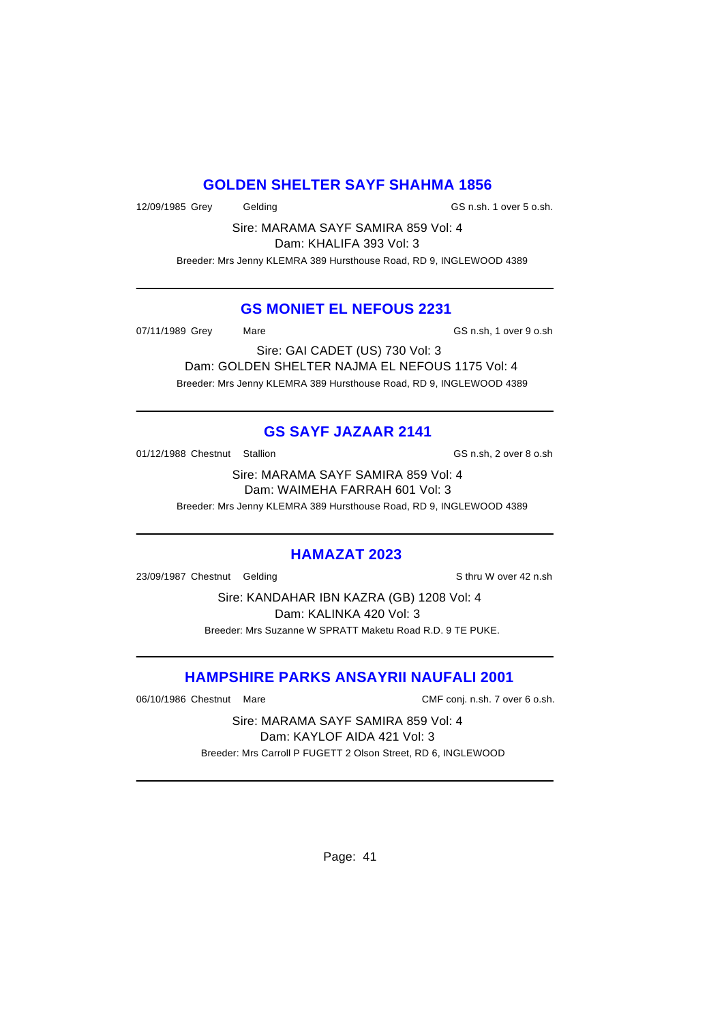### **GOLDEN SHELTER SAYF SHAHMA 1856**

12/09/1985 Grey Gelding GS n.sh. 1 over 5 o.sh.

Sire: MARAMA SAYF SAMIRA 859 Vol: 4 Dam: KHALIFA 393 Vol: 3

Breeder: Mrs Jenny KLEMRA 389 Hursthouse Road, RD 9, INGLEWOOD 4389

#### **GS MONIET EL NEFOUS 2231**

07/11/1989 Grey Mare Mare GS n.sh, 1 over 9 o.sh

Sire: GAI CADET (US) 730 Vol: 3 Dam: GOLDEN SHELTER NAJMA EL NEFOUS 1175 Vol: 4 Breeder: Mrs Jenny KLEMRA 389 Hursthouse Road, RD 9, INGLEWOOD 4389

# **GS SAYF JAZAAR 2141**

01/12/1988 Chestnut Stallion GS n.sh, 2 over 8 o.sh

Sire: MARAMA SAYF SAMIRA 859 Vol: 4 Dam: WAIMEHA FARRAH 601 Vol: 3

Breeder: Mrs Jenny KLEMRA 389 Hursthouse Road, RD 9, INGLEWOOD 4389

#### **HAMAZAT 2023**

23/09/1987 Chestnut Gelding Sthru W over 42 n.sh

Sire: KANDAHAR IBN KAZRA (GB) 1208 Vol: 4 Dam: KALINKA 420 Vol: 3 Breeder: Mrs Suzanne W SPRATT Maketu Road R.D. 9 TE PUKE.

# **HAMPSHIRE PARKS ANSAYRII NAUFALI 2001**

06/10/1986 Chestnut Mare CMF conj. n.sh. 7 over 6 o.sh.

Sire: MARAMA SAYF SAMIRA 859 Vol: 4 Dam: KAYLOF AIDA 421 Vol: 3 Breeder: Mrs Carroll P FUGETT 2 Olson Street, RD 6, INGLEWOOD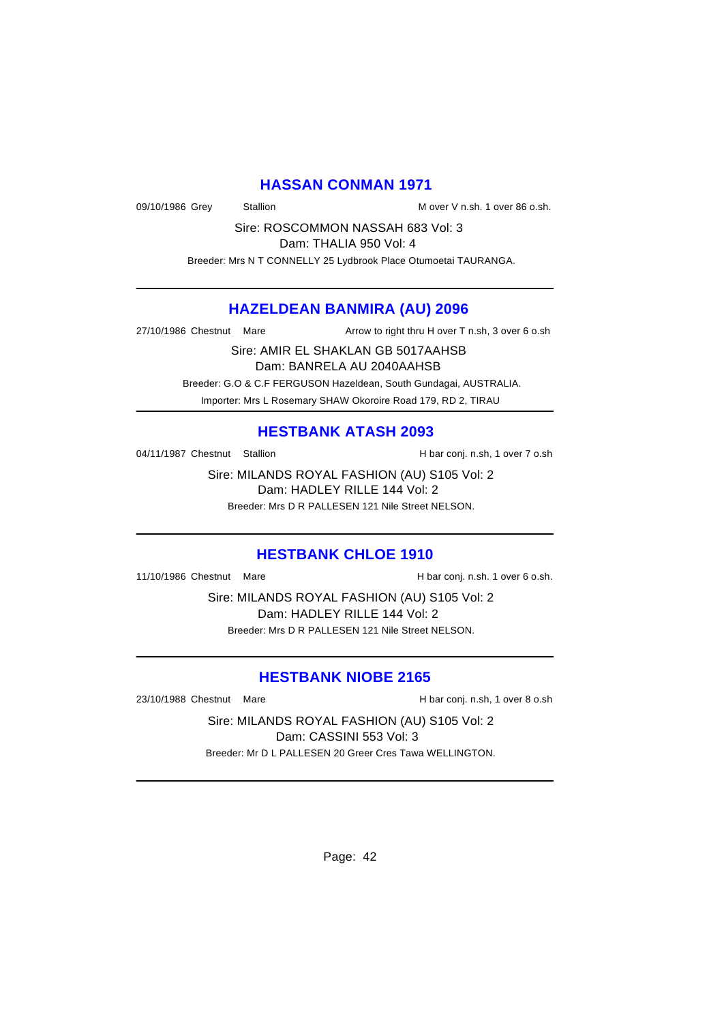### **HASSAN CONMAN 1971**

09/10/1986 Grey Stallion Mover V n.sh. 1 over 86 o.sh.

Sire: ROSCOMMON NASSAH 683 Vol: 3 Dam: THALIA 950 Vol: 4

Breeder: Mrs N T CONNELLY 25 Lydbrook Place Otumoetai TAURANGA.

#### **HAZELDEAN BANMIRA (AU) 2096**

27/10/1986 Chestnut Mare Arrow to right thru H over T n.sh, 3 over 6 o.sh

Sire: AMIR EL SHAKLAN GB 5017AAHSB Dam: BANRELA AU 2040AAHSB Breeder: G.O & C.F FERGUSON Hazeldean, South Gundagai, AUSTRALIA. Importer: Mrs L Rosemary SHAW Okoroire Road 179, RD 2, TIRAU

### **HESTBANK ATASH 2093**

04/11/1987 Chestnut Stallion H bar conj. n.sh, 1 over 7 o.sh

Sire: MILANDS ROYAL FASHION (AU) S105 Vol: 2 Dam: HADLEY RILLE 144 Vol: 2 Breeder: Mrs D R PALLESEN 121 Nile Street NELSON.

#### **HESTBANK CHLOE 1910**

11/10/1986 Chestnut Mare **H** bar conj. n.sh. 1 over 6 o.sh.

Sire: MILANDS ROYAL FASHION (AU) S105 Vol: 2 Dam: HADLEY RILLE 144 Vol: 2 Breeder: Mrs D R PALLESEN 121 Nile Street NELSON.

### **HESTBANK NIOBE 2165**

23/10/1988 Chestnut Mare **H** bar conj. n.sh, 1 over 8 o.sh

Sire: MILANDS ROYAL FASHION (AU) S105 Vol: 2 Dam: CASSINI 553 Vol: 3 Breeder: Mr D L PALLESEN 20 Greer Cres Tawa WELLINGTON.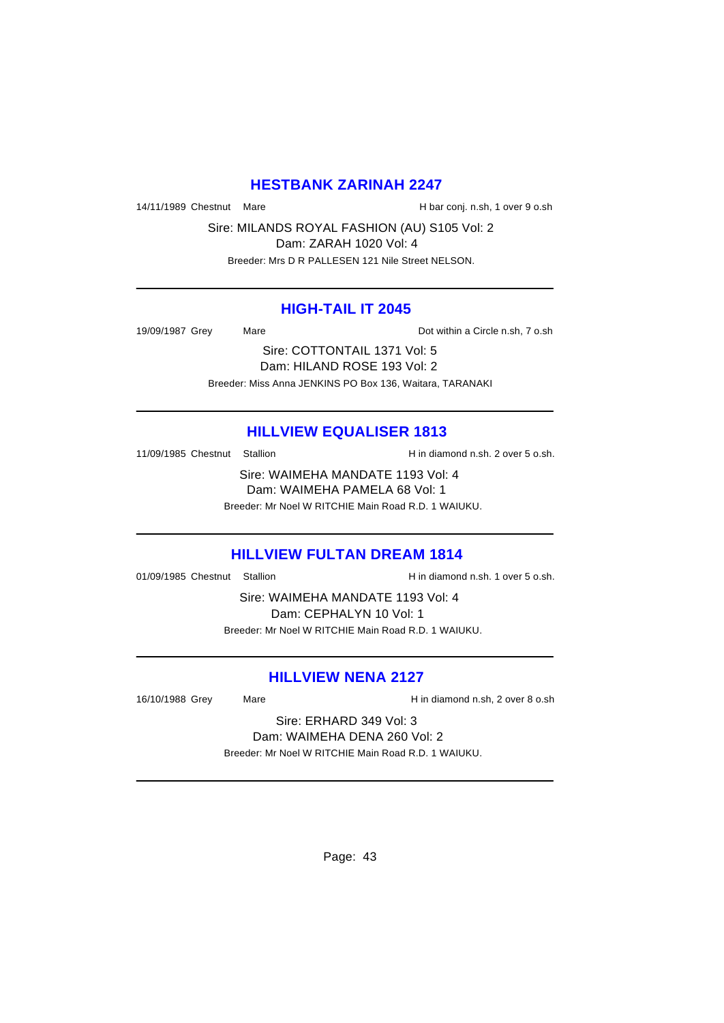### **HESTBANK ZARINAH 2247**

14/11/1989 Chestnut Mare **H** bar conj. n.sh, 1 over 9 o.sh

Sire: MILANDS ROYAL FASHION (AU) S105 Vol: 2 Dam: ZARAH 1020 Vol: 4 Breeder: Mrs D R PALLESEN 121 Nile Street NELSON.

#### **HIGH-TAIL IT 2045**

19/09/1987 Grey Mare Mare Dot within a Circle n.sh, 7 o.sh

Sire: COTTONTAIL 1371 Vol: 5 Dam: HILAND ROSE 193 Vol: 2 Breeder: Miss Anna JENKINS PO Box 136, Waitara, TARANAKI

#### **HILLVIEW EQUALISER 1813**

11/09/1985 Chestnut Stallion H in diamond n.sh. 2 over 5 o.sh.

Sire: WAIMEHA MANDATE 1193 Vol: 4 Dam: WAIMEHA PAMELA 68 Vol: 1 Breeder: Mr Noel W RITCHIE Main Road R.D. 1 WAIUKU.

# **HILLVIEW FULTAN DREAM 1814**

01/09/1985 Chestnut Stallion Hindiamond n.sh. 1 over 5 o.sh.

Sire: WAIMEHA MANDATE 1193 Vol: 4 Dam: CEPHALYN 10 Vol: 1 Breeder: Mr Noel W RITCHIE Main Road R.D. 1 WAIUKU.

### **HILLVIEW NENA 2127**

16/10/1988 Grey Mare Hin diamond n.sh, 2 over 8 o.sh

Sire: ERHARD 349 Vol: 3 Dam: WAIMEHA DENA 260 Vol: 2

Breeder: Mr Noel W RITCHIE Main Road R.D. 1 WAIUKU.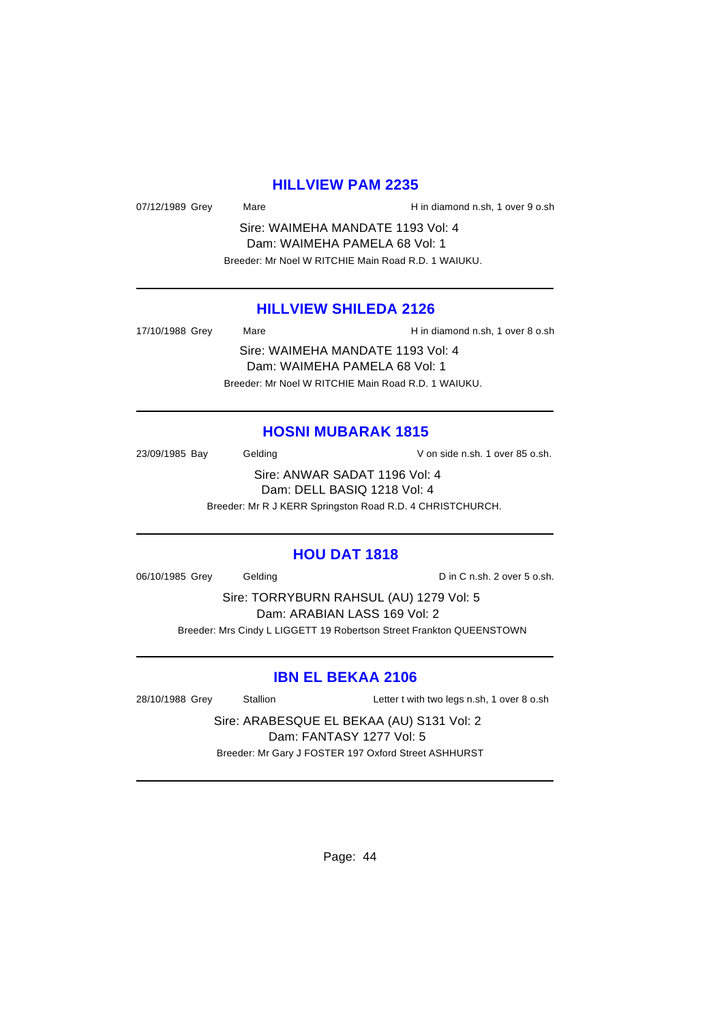# **HILLVIEW PAM 2235**

07/12/1989 Grey Mare Mare H in diamond n.sh, 1 over 9 o.sh

Sire: WAIMEHA MANDATE 1193 Vol: 4 Dam: WAIMEHA PAMELA 68 Vol: 1 Breeder: Mr Noel W RITCHIE Main Road R.D. 1 WAIUKU.

#### **HILLVIEW SHILEDA 2126**

17/10/1988 Grey Mare Hin diamond n.sh, 1 over 8 o.sh Sire: WAIMEHA MANDATE 1193 Vol: 4 Dam: WAIMEHA PAMELA 68 Vol: 1

Breeder: Mr Noel W RITCHIE Main Road R.D. 1 WAIUKU.

#### **HOSNI MUBARAK 1815**

23/09/1985 Bay Gelding Gelding V on side n.sh. 1 over 85 o.sh.

Sire: ANWAR SADAT 1196 Vol: 4 Dam: DELL BASIQ 1218 Vol: 4 Breeder: Mr R J KERR Springston Road R.D. 4 CHRISTCHURCH.

#### **HOU DAT 1818**

06/10/1985 Grey Gelding Construction Consumer D in C n.sh. 2 over 5 o.sh.

Sire: TORRYBURN RAHSUL (AU) 1279 Vol: 5 Dam: ARABIAN LASS 169 Vol: 2 Breeder: Mrs Cindy L LIGGETT 19 Robertson Street Frankton QUEENSTOWN

### **IBN EL BEKAA 2106**

28/10/1988 Grey Stallion Letter t with two legs n.sh, 1 over 8 o.sh

Sire: ARABESQUE EL BEKAA (AU) S131 Vol: 2 Dam: FANTASY 1277 Vol: 5 Breeder: Mr Gary J FOSTER 197 Oxford Street ASHHURST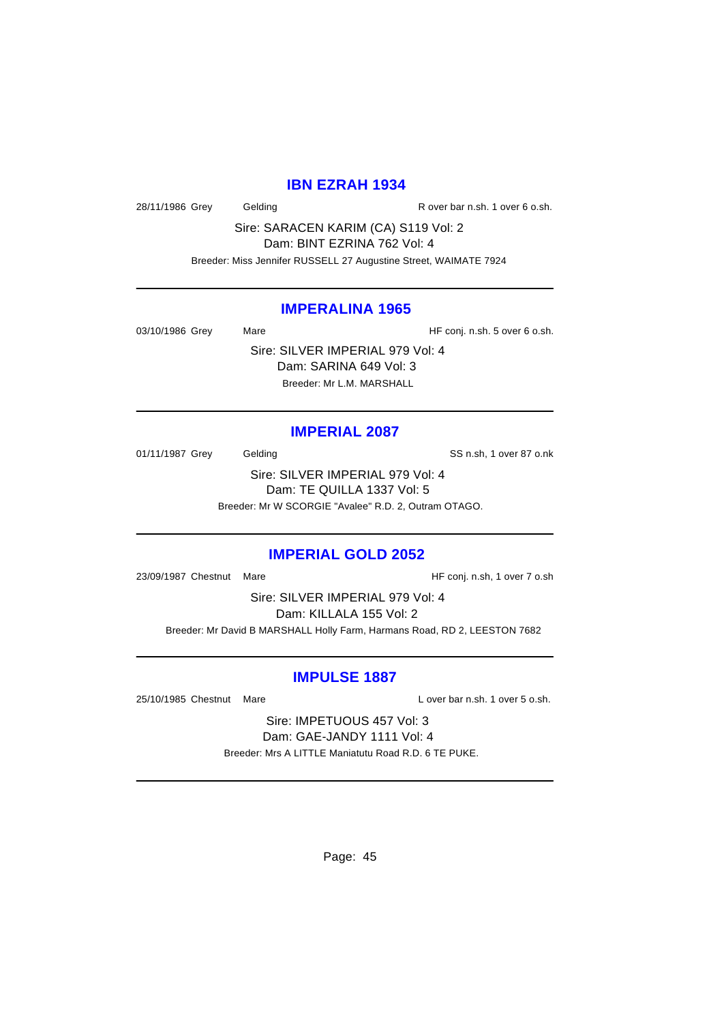# **IBN EZRAH 1934**

28/11/1986 Grey Gelding Casset Controller R over bar n.sh. 1 over 6 o.sh.

Sire: SARACEN KARIM (CA) S119 Vol: 2 Dam: BINT EZRINA 762 Vol: 4

Breeder: Miss Jennifer RUSSELL 27 Augustine Street, WAIMATE 7924

#### **IMPERALINA 1965**

03/10/1986 Grey Mare Mare HF conj. n.sh. 5 over 6 o.sh. Sire: SILVER IMPERIAL 979 Vol: 4 Dam: SARINA 649 Vol: 3

Breeder: Mr L.M. MARSHALL

#### **IMPERIAL 2087**

01/11/1987 Grey Gelding Gelding SS n.sh, 1 over 87 o.nk Sire: SILVER IMPERIAL 979 Vol: 4 Dam: TE QUILLA 1337 Vol: 5 Breeder: Mr W SCORGIE "Avalee" R.D. 2, Outram OTAGO.

### **IMPERIAL GOLD 2052**

23/09/1987 Chestnut Mare **Market Accord Figure 12-10 and HF** conj. n.sh, 1 over 7 o.sh

Sire: SILVER IMPERIAL 979 Vol: 4 Dam: KILLALA 155 Vol: 2 Breeder: Mr David B MARSHALL Holly Farm, Harmans Road, RD 2, LEESTON 7682

#### **IMPULSE 1887**

25/10/1985 Chestnut Mare L over bar n.sh. 1 over 5 o.sh.

Sire: IMPETUOUS 457 Vol: 3 Dam: GAE-JANDY 1111 Vol: 4 Breeder: Mrs A LITTLE Maniatutu Road R.D. 6 TE PUKE.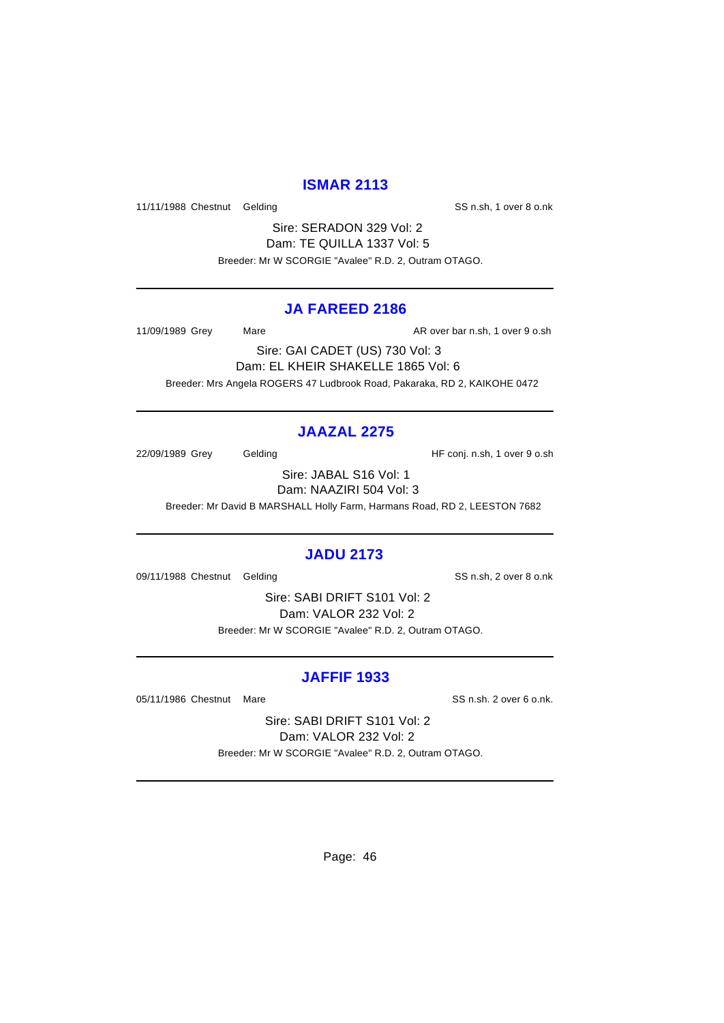### **ISMAR 2113**

11/11/1988 Chestnut Gelding Character SS n.sh, 1 over 8 o.nk

Sire: SERADON 329 Vol: 2 Dam: TE QUILLA 1337 Vol: 5 Breeder: Mr W SCORGIE "Avalee" R.D. 2, Outram OTAGO.

#### **JA FAREED 2186**

11/09/1989 Grey Mare Mare AR over bar n.sh, 1 over 9 o.sh

Sire: GAI CADET (US) 730 Vol: 3 Dam: EL KHEIR SHAKELLE 1865 Vol: 6 Breeder: Mrs Angela ROGERS 47 Ludbrook Road, Pakaraka, RD 2, KAIKOHE 0472

# **JAAZAL 2275**

22/09/1989 Grey Gelding Gelding HF conj. n.sh, 1 over 9 o.sh

Sire: JABAL S16 Vol: 1 Dam: NAAZIRI 504 Vol: 3

Breeder: Mr David B MARSHALL Holly Farm, Harmans Road, RD 2, LEESTON 7682

# **JADU 2173**

09/11/1988 Chestnut Gelding SS n.sh, 2 over 8 o.nk

Sire: SABI DRIFT S101 Vol: 2 Dam: VALOR 232 Vol: 2 Breeder: Mr W SCORGIE "Avalee" R.D. 2, Outram OTAGO.

# **JAFFIF 1933**

05/11/1986 Chestnut Mare SS n.sh. 2 over 6 o.nk.

Sire: SABI DRIFT S101 Vol: 2 Dam: VALOR 232 Vol: 2 Breeder: Mr W SCORGIE "Avalee" R.D. 2, Outram OTAGO.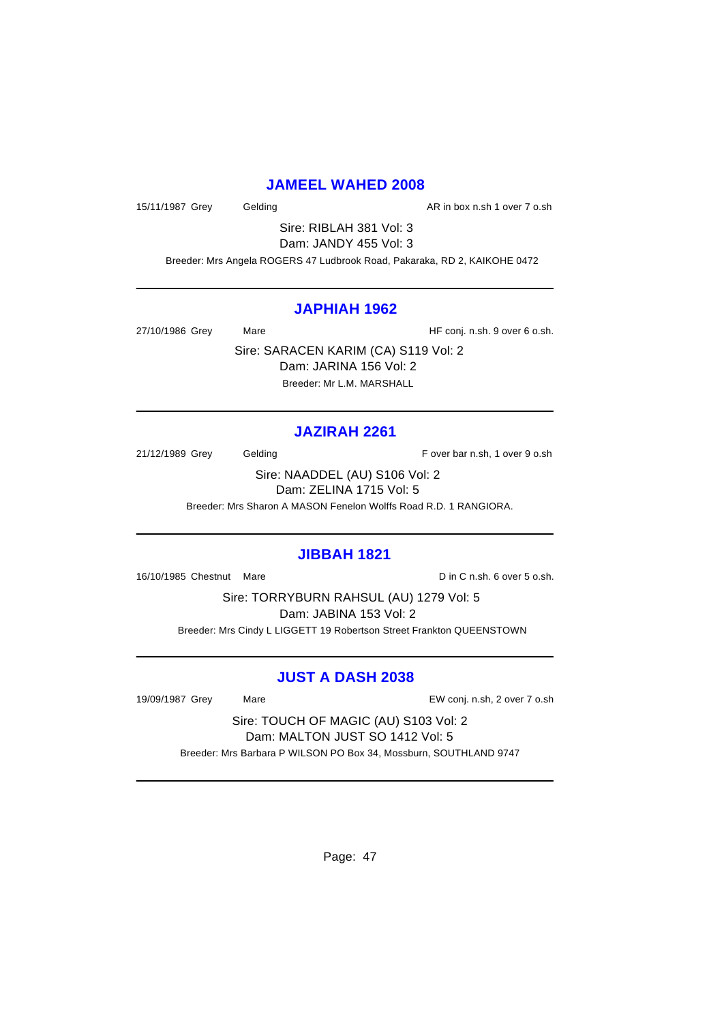### **JAMEEL WAHED 2008**

15/11/1987 Grey Gelding Casset Controller and AR in box n.sh 1 over 7 o.sh

Sire: RIBLAH 381 Vol: 3 Dam: JANDY 455 Vol: 3

Breeder: Mrs Angela ROGERS 47 Ludbrook Road, Pakaraka, RD 2, KAIKOHE 0472

#### **JAPHIAH 1962**

27/10/1986 Grey Mare Mare HF conj. n.sh. 9 over 6 o.sh.

Sire: SARACEN KARIM (CA) S119 Vol: 2 Dam: JARINA 156 Vol: 2 Breeder: Mr L.M. MARSHALL

# **JAZIRAH 2261**

21/12/1989 Grey Gelding Gelding F over bar n.sh, 1 over 9 o.sh

Sire: NAADDEL (AU) S106 Vol: 2 Dam: ZELINA 1715 Vol: 5

Breeder: Mrs Sharon A MASON Fenelon Wolffs Road R.D. 1 RANGIORA.

#### **JIBBAH 1821**

16/10/1985 Chestnut Mare D in C n.sh. 6 over 5 o.sh.

Sire: TORRYBURN RAHSUL (AU) 1279 Vol: 5 Dam: JABINA 153 Vol: 2 Breeder: Mrs Cindy L LIGGETT 19 Robertson Street Frankton QUEENSTOWN

# **JUST A DASH 2038**

19/09/1987 Grey Mare EW conj. n.sh, 2 over 7 o.sh

Sire: TOUCH OF MAGIC (AU) S103 Vol: 2 Dam: MALTON JUST SO 1412 Vol: 5 Breeder: Mrs Barbara P WILSON PO Box 34, Mossburn, SOUTHLAND 9747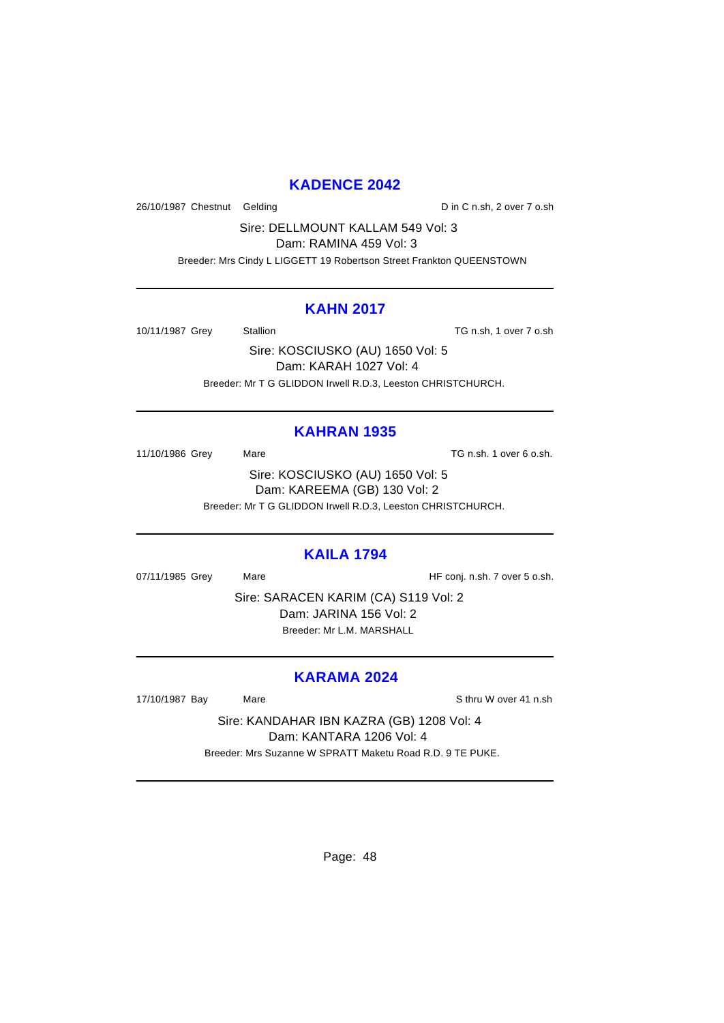### **KADENCE 2042**

26/10/1987 Chestnut Gelding Din C n.sh, 2 over 7 o.sh

Sire: DELLMOUNT KALLAM 549 Vol: 3

Dam: RAMINA 459 Vol: 3

Breeder: Mrs Cindy L LIGGETT 19 Robertson Street Frankton QUEENSTOWN

#### **KAHN 2017**

10/11/1987 Grey Stallion TG n.sh, 1 over 7 o.sh

Sire: KOSCIUSKO (AU) 1650 Vol: 5 Dam: KARAH 1027 Vol: 4 Breeder: Mr T G GLIDDON Irwell R.D.3, Leeston CHRISTCHURCH.

### **KAHRAN 1935**

11/10/1986 Grey Mare Mare TG n.sh. 1 over 6 o.sh. Sire: KOSCIUSKO (AU) 1650 Vol: 5 Dam: KAREEMA (GB) 130 Vol: 2 Breeder: Mr T G GLIDDON Irwell R.D.3, Leeston CHRISTCHURCH.

#### **KAILA 1794**

07/11/1985 Grey Mare Mare HF conj. n.sh. 7 over 5 o.sh.

Sire: SARACEN KARIM (CA) S119 Vol: 2 Dam: JARINA 156 Vol: 2 Breeder: Mr L.M. MARSHALL

### **KARAMA 2024**

17/10/1987 Bay Mare Sthru W over 41 n.sh

Sire: KANDAHAR IBN KAZRA (GB) 1208 Vol: 4 Dam: KANTARA 1206 Vol: 4 Breeder: Mrs Suzanne W SPRATT Maketu Road R.D. 9 TE PUKE.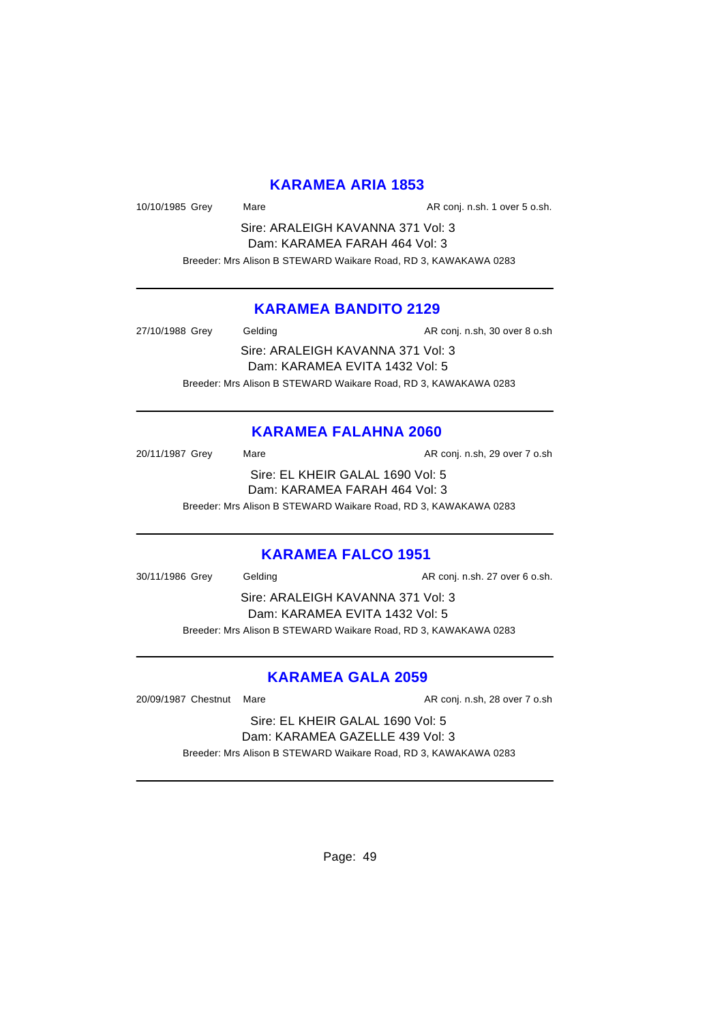### **KARAMEA ARIA 1853**

10/10/1985 Grey Mare Mare AR conj. n.sh. 1 over 5 o.sh.

Sire: ARALEIGH KAVANNA 371 Vol: 3 Dam: KARAMEA FARAH 464 Vol: 3 Breeder: Mrs Alison B STEWARD Waikare Road, RD 3, KAWAKAWA 0283

### **KARAMEA BANDITO 2129**

27/10/1988 Grey Gelding Cash Conj. n.sh, 30 over 8 o.sh Sire: ARALEIGH KAVANNA 371 Vol: 3 Dam: KARAMEA EVITA 1432 Vol: 5 Breeder: Mrs Alison B STEWARD Waikare Road, RD 3, KAWAKAWA 0283

# **KARAMEA FALAHNA 2060**

20/11/1987 Grey Mare Mare AR conj. n.sh, 29 over 7 o.sh Sire: EL KHEIR GALAL 1690 Vol: 5 Dam: KARAMEA FARAH 464 Vol: 3 Breeder: Mrs Alison B STEWARD Waikare Road, RD 3, KAWAKAWA 0283

# **KARAMEA FALCO 1951**

30/11/1986 Grey Gelding Construction AR conj. n.sh. 27 over 6 o.sh. Sire: ARALEIGH KAVANNA 371 Vol: 3 Dam: KARAMEA EVITA 1432 Vol: 5 Breeder: Mrs Alison B STEWARD Waikare Road, RD 3, KAWAKAWA 0283

# **KARAMEA GALA 2059**

20/09/1987 Chestnut Mare **AR conj. n.sh, 28 over 7 o.sh** 

Sire: EL KHEIR GALAL 1690 Vol: 5 Dam: KARAMEA GAZELLE 439 Vol: 3

Breeder: Mrs Alison B STEWARD Waikare Road, RD 3, KAWAKAWA 0283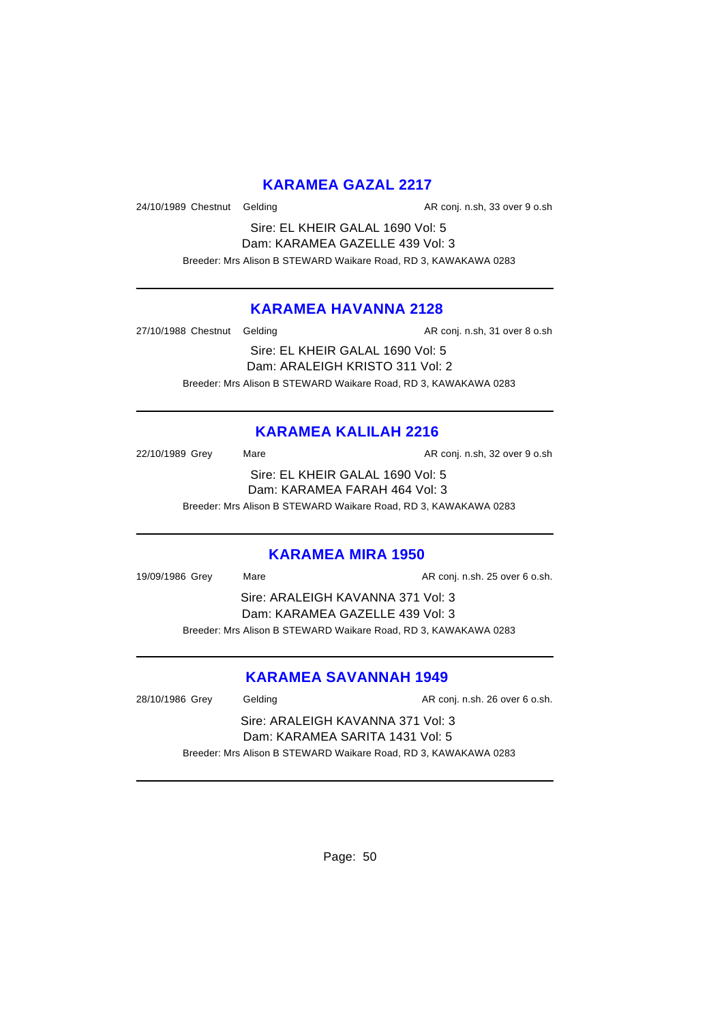# **KARAMEA GAZAL 2217**

24/10/1989 Chestnut Gelding and all and the AR conj. n.sh, 33 over 9 o.sh

Sire: EL KHEIR GALAL 1690 Vol: 5 Dam: KARAMEA GAZELLE 439 Vol: 3 Breeder: Mrs Alison B STEWARD Waikare Road, RD 3, KAWAKAWA 0283

### **KARAMEA HAVANNA 2128**

27/10/1988 Chestnut Gelding and area are also as AR conj. n.sh, 31 over 8 o.sh

Sire: EL KHEIR GALAL 1690 Vol: 5 Dam: ARALEIGH KRISTO 311 Vol: 2 Breeder: Mrs Alison B STEWARD Waikare Road, RD 3, KAWAKAWA 0283

# **KARAMEA KALILAH 2216**

22/10/1989 Grey Mare Mare AR conj. n.sh, 32 over 9 o.sh Sire: EL KHEIR GALAL 1690 Vol: 5 Dam: KARAMEA FARAH 464 Vol: 3 Breeder: Mrs Alison B STEWARD Waikare Road, RD 3, KAWAKAWA 0283

#### **KARAMEA MIRA 1950**

19/09/1986 Grey Mare Mare AR conj. n.sh. 25 over 6 o.sh. Sire: ARALEIGH KAVANNA 371 Vol: 3 Dam: KARAMEA GAZELLE 439 Vol: 3 Breeder: Mrs Alison B STEWARD Waikare Road, RD 3, KAWAKAWA 0283

# **KARAMEA SAVANNAH 1949**

| 28/10/1986 Grey | Gelding                                                         | AR conj. n.sh. 26 over 6 o.sh. |  |
|-----------------|-----------------------------------------------------------------|--------------------------------|--|
|                 | Sire: ARALEIGH KAVANNA 371 Vol: 3                               |                                |  |
|                 | Dam: KARAMEA SARITA 1431 Vol: 5                                 |                                |  |
|                 | Breeder: Mrs Alison B STEWARD Waikare Road, RD 3, KAWAKAWA 0283 |                                |  |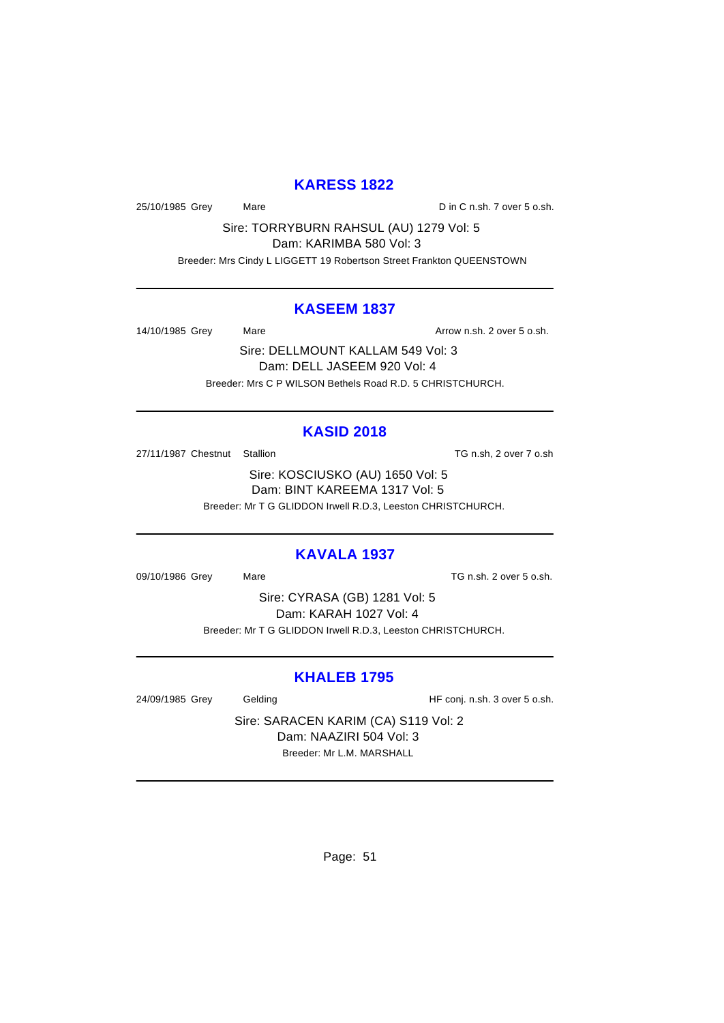### **KARESS 1822**

25/10/1985 Grey Mare Mare Din C n.sh. 7 over 5 o.sh.

Sire: TORRYBURN RAHSUL (AU) 1279 Vol: 5

Dam: KARIMBA 580 Vol: 3

Breeder: Mrs Cindy L LIGGETT 19 Robertson Street Frankton QUEENSTOWN

#### **KASEEM 1837**

14/10/1985 Grey Mare Mare Arrow n.sh. 2 over 5 o.sh.

Sire: DELLMOUNT KALLAM 549 Vol: 3 Dam: DELL JASEEM 920 Vol: 4 Breeder: Mrs C P WILSON Bethels Road R.D. 5 CHRISTCHURCH.

# **KASID 2018**

27/11/1987 Chestnut Stallion Charles Chestnut Stallion TG n.sh, 2 over 7 o.sh

Sire: KOSCIUSKO (AU) 1650 Vol: 5 Dam: BINT KAREEMA 1317 Vol: 5 Breeder: Mr T G GLIDDON Irwell R.D.3, Leeston CHRISTCHURCH.

# **KAVALA 1937**

09/10/1986 Grey Mare Mare TG n.sh. 2 over 5 o.sh.

Sire: CYRASA (GB) 1281 Vol: 5 Dam: KARAH 1027 Vol: 4 Breeder: Mr T G GLIDDON Irwell R.D.3, Leeston CHRISTCHURCH.

# **KHALEB 1795**

24/09/1985 Grey Gelding Gelding HF conj. n.sh. 3 over 5 o.sh.

Sire: SARACEN KARIM (CA) S119 Vol: 2 Dam: NAAZIRI 504 Vol: 3 Breeder: Mr L.M. MARSHALL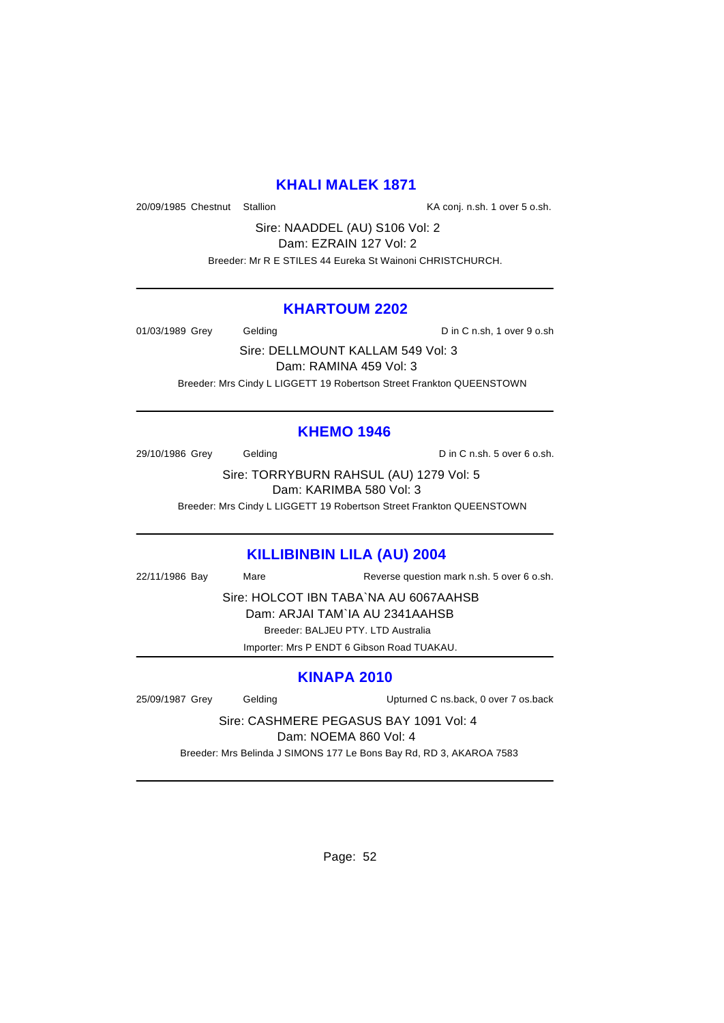### **KHALI MALEK 1871**

20/09/1985 Chestnut Stallion KA conj. n.sh. 1 over 5 o.sh.

Sire: NAADDEL (AU) S106 Vol: 2 Dam: EZRAIN 127 Vol: 2

Breeder: Mr R E STILES 44 Eureka St Wainoni CHRISTCHURCH.

#### **KHARTOUM 2202**

01/03/1989 Grey Gelding Contact D in C n.sh, 1 over 9 o.sh

Sire: DELLMOUNT KALLAM 549 Vol: 3 Dam: RAMINA 459 Vol: 3 Breeder: Mrs Cindy L LIGGETT 19 Robertson Street Frankton QUEENSTOWN

# **KHEMO 1946**

29/10/1986 Grey Gelding Construction D in C n.sh. 5 over 6 o.sh.

Sire: TORRYBURN RAHSUL (AU) 1279 Vol: 5 Dam: KARIMBA 580 Vol: 3

Breeder: Mrs Cindy L LIGGETT 19 Robertson Street Frankton QUEENSTOWN

### **KILLIBINBIN LILA (AU) 2004**

22/11/1986 Bay Mare Reverse question mark n.sh. 5 over 6 o.sh.

Sire: HOLCOT IBN TABA`NA AU 6067AAHSB

Dam: ARJAI TAM`IA AU 2341AAHSB

Breeder: BALJEU PTY. LTD Australia

Importer: Mrs P ENDT 6 Gibson Road TUAKAU.

# **KINAPA 2010**

25/09/1987 Grey Gelding Upturned C ns.back, 0 over 7 os.back

Sire: CASHMERE PEGASUS BAY 1091 Vol: 4

Dam: NOEMA 860 Vol: 4

Breeder: Mrs Belinda J SIMONS 177 Le Bons Bay Rd, RD 3, AKAROA 7583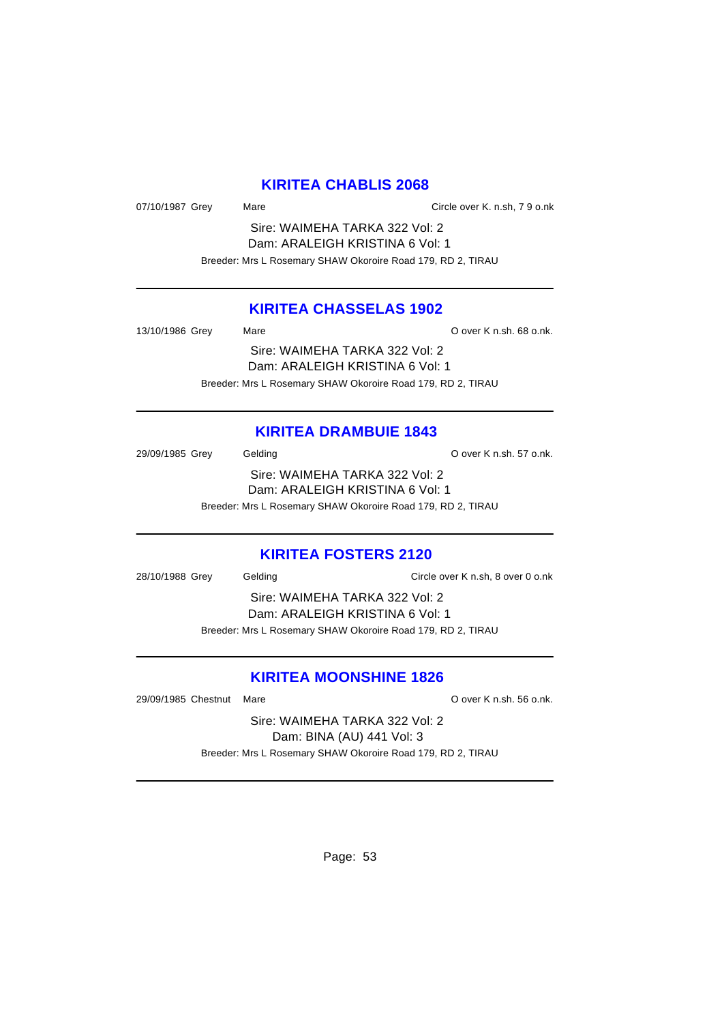# **KIRITEA CHABLIS 2068**

07/10/1987 Grey Mare Mare Circle over K. n.sh, 7 9 o.nk

Sire: WAIMEHA TARKA 322 Vol: 2 Dam: ARALEIGH KRISTINA 6 Vol: 1 Breeder: Mrs L Rosemary SHAW Okoroire Road 179, RD 2, TIRAU

### **KIRITEA CHASSELAS 1902**

| 13/10/1986 Grey | Mare                                                        | O over K n.sh. 68 o.nk. |
|-----------------|-------------------------------------------------------------|-------------------------|
|                 | Sire: WAIMEHA TARKA 322 Vol: 2                              |                         |
|                 | Dam: ARALEIGH KRISTINA 6 Vol: 1                             |                         |
|                 | Breeder: Mrs L Rosemary SHAW Okoroire Road 179, RD 2, TIRAU |                         |

### **KIRITEA DRAMBUIE 1843**

29/09/1985 Grey Gelding Contract Contract Contract Contract Contract O over K n.sh. 57 o.nk. Sire: WAIMEHA TARKA 322 Vol: 2 Dam: ARALEIGH KRISTINA 6 Vol: 1 Breeder: Mrs L Rosemary SHAW Okoroire Road 179, RD 2, TIRAU

#### **KIRITEA FOSTERS 2120**

28/10/1988 Grey Gelding Circle over K n.sh, 8 over 0 o.nk

Sire: WAIMEHA TARKA 322 Vol: 2 Dam: ARALEIGH KRISTINA 6 Vol: 1 Breeder: Mrs L Rosemary SHAW Okoroire Road 179, RD 2, TIRAU

# **KIRITEA MOONSHINE 1826**

29/09/1985 Chestnut Mare **O over K n.sh.** 56 o.nk.

Sire: WAIMEHA TARKA 322 Vol: 2 Dam: BINA (AU) 441 Vol: 3 Breeder: Mrs L Rosemary SHAW Okoroire Road 179, RD 2, TIRAU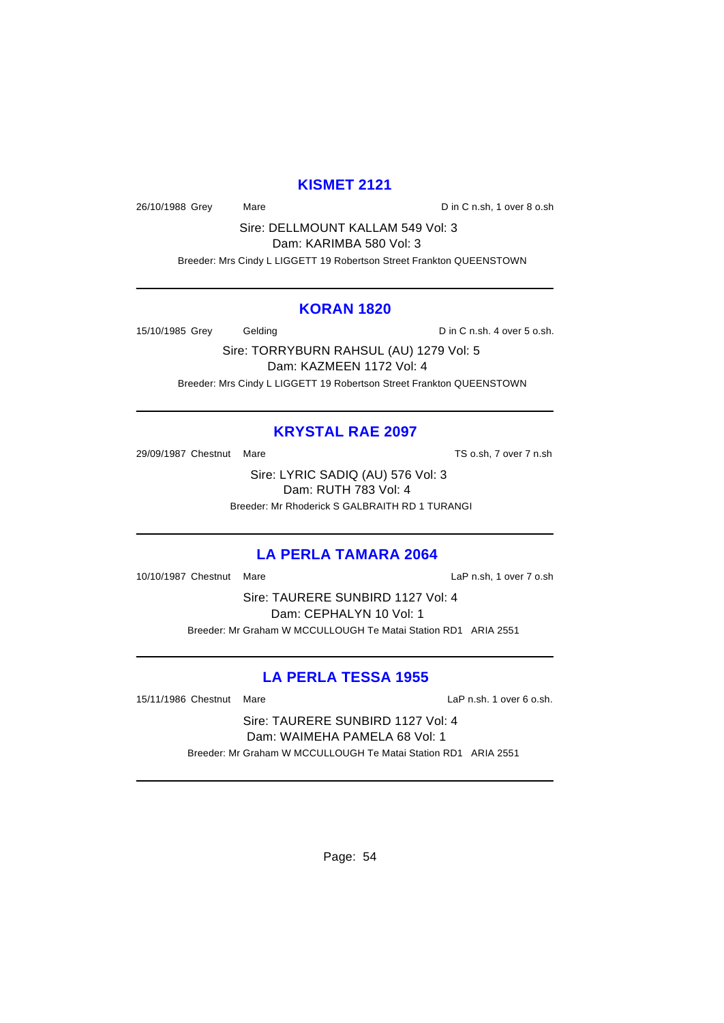### **KISMET 2121**

26/10/1988 Grey Mare Mare Din C n.sh, 1 over 8 o.sh

Sire: DELLMOUNT KALLAM 549 Vol: 3

Dam: KARIMBA 580 Vol: 3

Breeder: Mrs Cindy L LIGGETT 19 Robertson Street Frankton QUEENSTOWN

#### **KORAN 1820**

15/10/1985 Grey Gelding Communication D in C n.sh. 4 over 5 o.sh.

Sire: TORRYBURN RAHSUL (AU) 1279 Vol: 5 Dam: KAZMEEN 1172 Vol: 4 Breeder: Mrs Cindy L LIGGETT 19 Robertson Street Frankton QUEENSTOWN

# **KRYSTAL RAE 2097**

29/09/1987 Chestnut Mare TS o.sh, 7 over 7 n.sh

Sire: LYRIC SADIQ (AU) 576 Vol: 3 Dam: RUTH 783 Vol: 4 Breeder: Mr Rhoderick S GALBRAITH RD 1 TURANGI

# **LA PERLA TAMARA 2064**

10/10/1987 Chestnut Mare LaP n.sh, 1 over 7 o.sh

Sire: TAURERE SUNBIRD 1127 Vol: 4 Dam: CEPHALYN 10 Vol: 1 Breeder: Mr Graham W MCCULLOUGH Te Matai Station RD1 ARIA 2551

# **LA PERLA TESSA 1955**

15/11/1986 Chestnut Mare LaP n.sh. 1 over 6 o.sh.

Sire: TAURERE SUNBIRD 1127 Vol: 4 Dam: WAIMEHA PAMELA 68 Vol: 1 Breeder: Mr Graham W MCCULLOUGH Te Matai Station RD1 ARIA 2551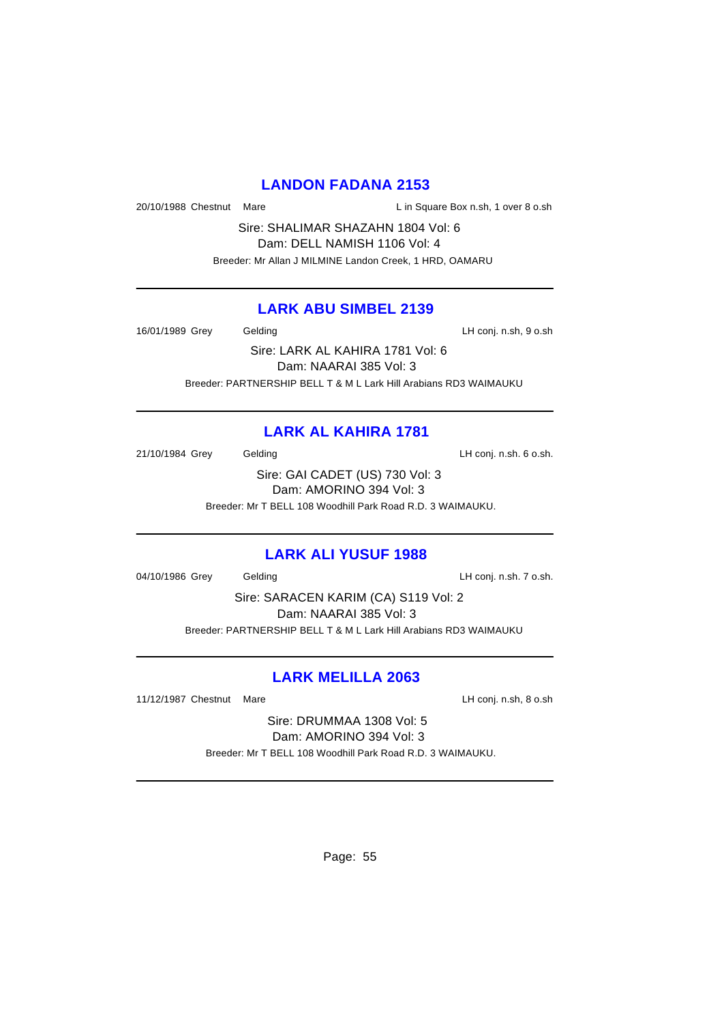### **LANDON FADANA 2153**

20/10/1988 Chestnut Mare Lin Square Box n.sh, 1 over 8 o.sh

Sire: SHALIMAR SHAZAHN 1804 Vol: 6 Dam: DELL NAMISH 1106 Vol: 4

Breeder: Mr Allan J MILMINE Landon Creek, 1 HRD, OAMARU

### **LARK ABU SIMBEL 2139**

16/01/1989 Grey Gelding Care Conj. n.sh, 9 o.sh

Sire: LARK AL KAHIRA 1781 Vol: 6 Dam: NAARAI 385 Vol: 3 Breeder: PARTNERSHIP BELL T & M L Lark Hill Arabians RD3 WAIMAUKU

# **LARK AL KAHIRA 1781**

21/10/1984 Grey Gelding Carrier Conj. n.sh. 6 o.sh.

Sire: GAI CADET (US) 730 Vol: 3 Dam: AMORINO 394 Vol: 3 Breeder: Mr T BELL 108 Woodhill Park Road R.D. 3 WAIMAUKU.

# **LARK ALI YUSUF 1988**

04/10/1986 Grey Gelding Construction Construction Construction Construction Construction Construction Construction Construction Construction Construction Construction Construction Construction Construction Construction Con

Sire: SARACEN KARIM (CA) S119 Vol: 2 Dam: NAARAI 385 Vol: 3 Breeder: PARTNERSHIP BELL T & M L Lark Hill Arabians RD3 WAIMAUKU

# **LARK MELILLA 2063**

11/12/1987 Chestnut Mare **LH** conj. n.sh, 8 o.sh

Sire: DRUMMAA 1308 Vol: 5 Dam: AMORINO 394 Vol: 3 Breeder: Mr T BELL 108 Woodhill Park Road R.D. 3 WAIMAUKU.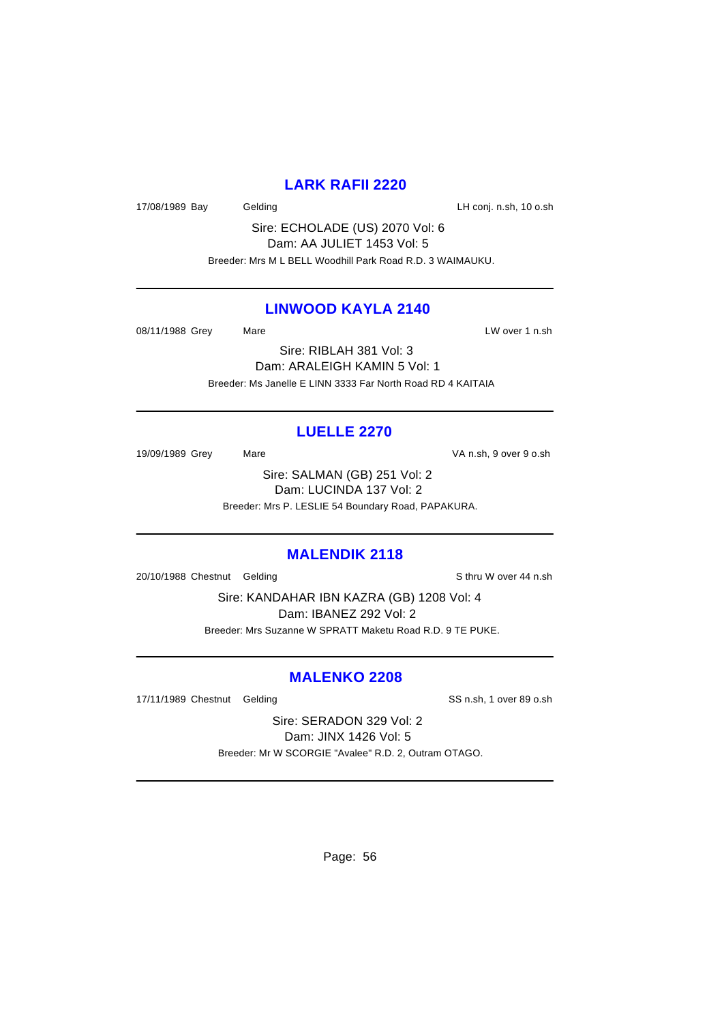### **LARK RAFII 2220**

17/08/1989 Bay Gelding Cash Care Conj. n.sh, 10 o.sh

Sire: ECHOLADE (US) 2070 Vol: 6 Dam: AA JULIET 1453 Vol: 5 Breeder: Mrs M L BELL Woodhill Park Road R.D. 3 WAIMAUKU.

### **LINWOOD KAYLA 2140**

08/11/1988 Grey Mare Mare LW over 1 n.sh

Sire: RIBLAH 381 Vol: 3 Dam: ARALEIGH KAMIN 5 Vol: 1 Breeder: Ms Janelle E LINN 3333 Far North Road RD 4 KAITAIA

# **LUELLE 2270**

19/09/1989 Grey Mare Mare VA n.sh, 9 over 9 o.sh

Sire: SALMAN (GB) 251 Vol: 2 Dam: LUCINDA 137 Vol: 2 Breeder: Mrs P. LESLIE 54 Boundary Road, PAPAKURA.

#### **MALENDIK 2118**

20/10/1988 Chestnut Gelding School and Sthru W over 44 n.sh

Sire: KANDAHAR IBN KAZRA (GB) 1208 Vol: 4 Dam: IBANEZ 292 Vol: 2 Breeder: Mrs Suzanne W SPRATT Maketu Road R.D. 9 TE PUKE.

# **MALENKO 2208**

17/11/1989 Chestnut Gelding SS n.sh, 1 over 89 o.sh

Sire: SERADON 329 Vol: 2 Dam: JINX 1426 Vol: 5 Breeder: Mr W SCORGIE "Avalee" R.D. 2, Outram OTAGO.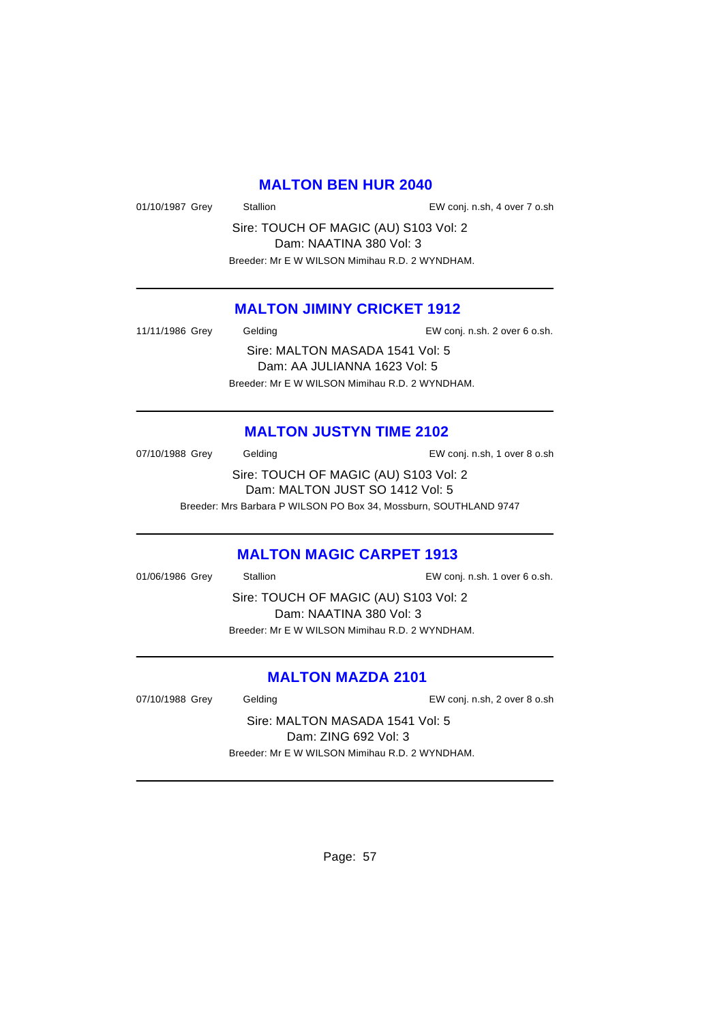### **MALTON BEN HUR 2040**

01/10/1987 Grey Stallion EW conj. n.sh, 4 over 7 o.sh

Sire: TOUCH OF MAGIC (AU) S103 Vol: 2 Dam: NAATINA 380 Vol: 3 Breeder: Mr E W WILSON Mimihau R.D. 2 WYNDHAM.

# **MALTON JIMINY CRICKET 1912**

11/11/1986 Grey Gelding EW conj. n.sh. 2 over 6 o.sh.

Sire: MALTON MASADA 1541 Vol: 5 Dam: AA JULIANNA 1623 Vol: 5 Breeder: Mr E W WILSON Mimihau R.D. 2 WYNDHAM.

### **MALTON JUSTYN TIME 2102**

07/10/1988 Grey Gelding Conj. n.sh, 1 over 8 o.sh Sire: TOUCH OF MAGIC (AU) S103 Vol: 2 Dam: MALTON JUST SO 1412 Vol: 5 Breeder: Mrs Barbara P WILSON PO Box 34, Mossburn, SOUTHLAND 9747

#### **MALTON MAGIC CARPET 1913**

01/06/1986 Grey Stallion EW conj. n.sh. 1 over 6 o.sh. Sire: TOUCH OF MAGIC (AU) S103 Vol: 2 Dam: NAATINA 380 Vol: 3 Breeder: Mr E W WILSON Mimihau R.D. 2 WYNDHAM.

### **MALTON MAZDA 2101**

07/10/1988 Grey Gelding Contact Conj. n.sh, 2 over 8 o.sh

Sire: MALTON MASADA 1541 Vol: 5 Dam: ZING 692 Vol: 3 Breeder: Mr E W WILSON Mimihau R.D. 2 WYNDHAM.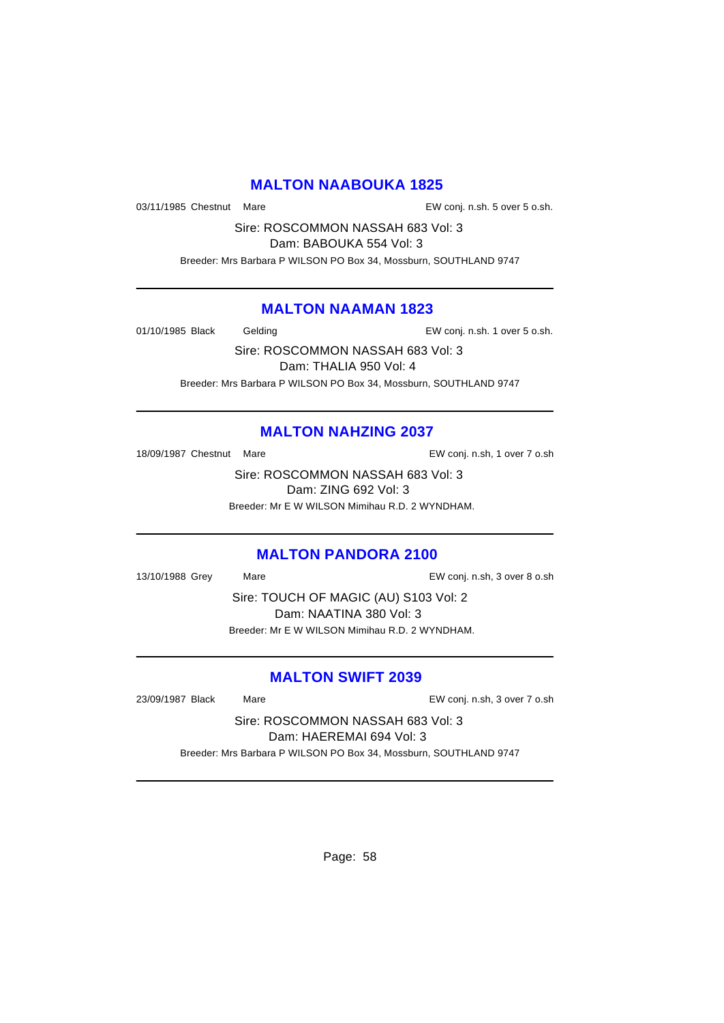# **MALTON NAABOUKA 1825**

03/11/1985 Chestnut Mare **EW** conj. n.sh. 5 over 5 o.sh.

Sire: ROSCOMMON NASSAH 683 Vol: 3

Dam: BABOUKA 554 Vol: 3 Breeder: Mrs Barbara P WILSON PO Box 34, Mossburn, SOUTHLAND 9747

# **MALTON NAAMAN 1823**

01/10/1985 Black Gelding Conj. n.sh. 1 over 5 o.sh.

Sire: ROSCOMMON NASSAH 683 Vol: 3 Dam: THALIA 950 Vol: 4 Breeder: Mrs Barbara P WILSON PO Box 34, Mossburn, SOUTHLAND 9747

# **MALTON NAHZING 2037**

18/09/1987 Chestnut Mare **EW** conj. n.sh, 1 over 7 o.sh

Sire: ROSCOMMON NASSAH 683 Vol: 3 Dam: ZING 692 Vol: 3 Breeder: Mr E W WILSON Mimihau R.D. 2 WYNDHAM.

# **MALTON PANDORA 2100**

13/10/1988 Grey Mare EW conj. n.sh, 3 over 8 o.sh

Sire: TOUCH OF MAGIC (AU) S103 Vol: 2 Dam: NAATINA 380 Vol: 3 Breeder: Mr E W WILSON Mimihau R.D. 2 WYNDHAM.

# **MALTON SWIFT 2039**

23/09/1987 Black Mare EW conj. n.sh, 3 over 7 o.sh

Sire: ROSCOMMON NASSAH 683 Vol: 3 Dam: HAEREMAI 694 Vol: 3 Breeder: Mrs Barbara P WILSON PO Box 34, Mossburn, SOUTHLAND 9747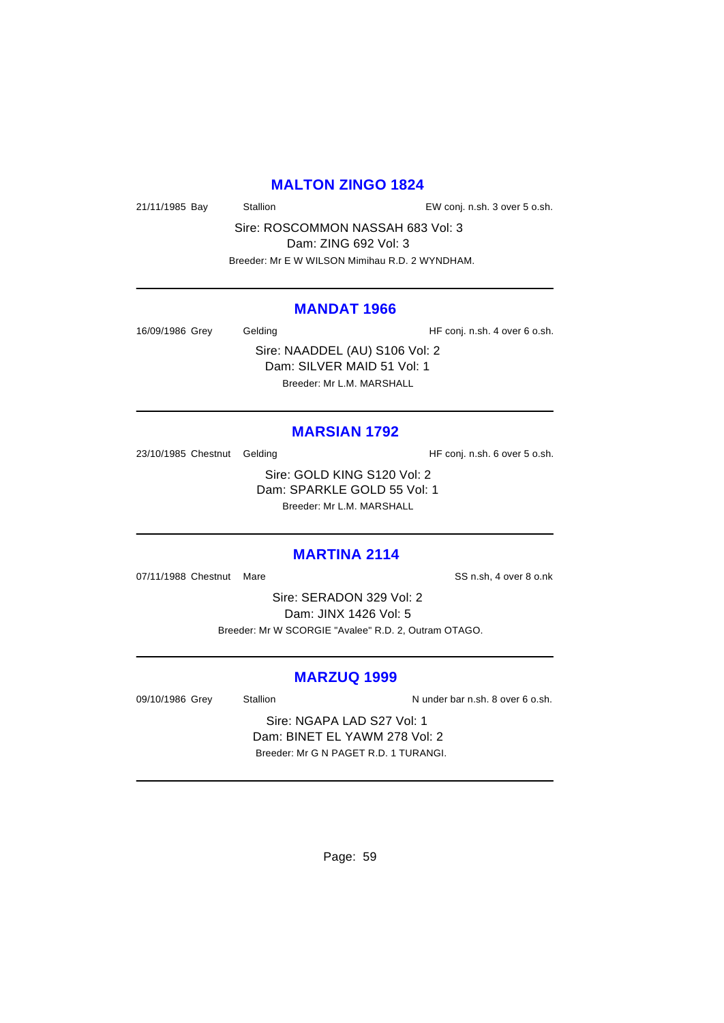### **MALTON ZINGO 1824**

21/11/1985 Bay Stallion EW conj. n.sh. 3 over 5 o.sh.

Sire: ROSCOMMON NASSAH 683 Vol: 3 Dam: ZING 692 Vol: 3 Breeder: Mr E W WILSON Mimihau R.D. 2 WYNDHAM.

#### **MANDAT 1966**

16/09/1986 Grey Gelding Gelding HF conj. n.sh. 4 over 6 o.sh.

Sire: NAADDEL (AU) S106 Vol: 2 Dam: SILVER MAID 51 Vol: 1 Breeder: Mr L.M. MARSHALL

# **MARSIAN 1792**

23/10/1985 Chestnut Gelding The State of HF conj. n.sh. 6 over 5 o.sh.

Sire: GOLD KING S120 Vol: 2 Dam: SPARKLE GOLD 55 Vol: 1 Breeder: Mr L.M. MARSHALL

# **MARTINA 2114**

07/11/1988 Chestnut Mare SS n.sh, 4 over 8 o.nk

Sire: SERADON 329 Vol: 2 Dam: JINX 1426 Vol: 5 Breeder: Mr W SCORGIE "Avalee" R.D. 2, Outram OTAGO.

#### **MARZUQ 1999**

09/10/1986 Grey Stallion Stallion Nunder bar n.sh. 8 over 6 o.sh.

Sire: NGAPA LAD S27 Vol: 1 Dam: BINET EL YAWM 278 Vol: 2 Breeder: Mr G N PAGET R.D. 1 TURANGI.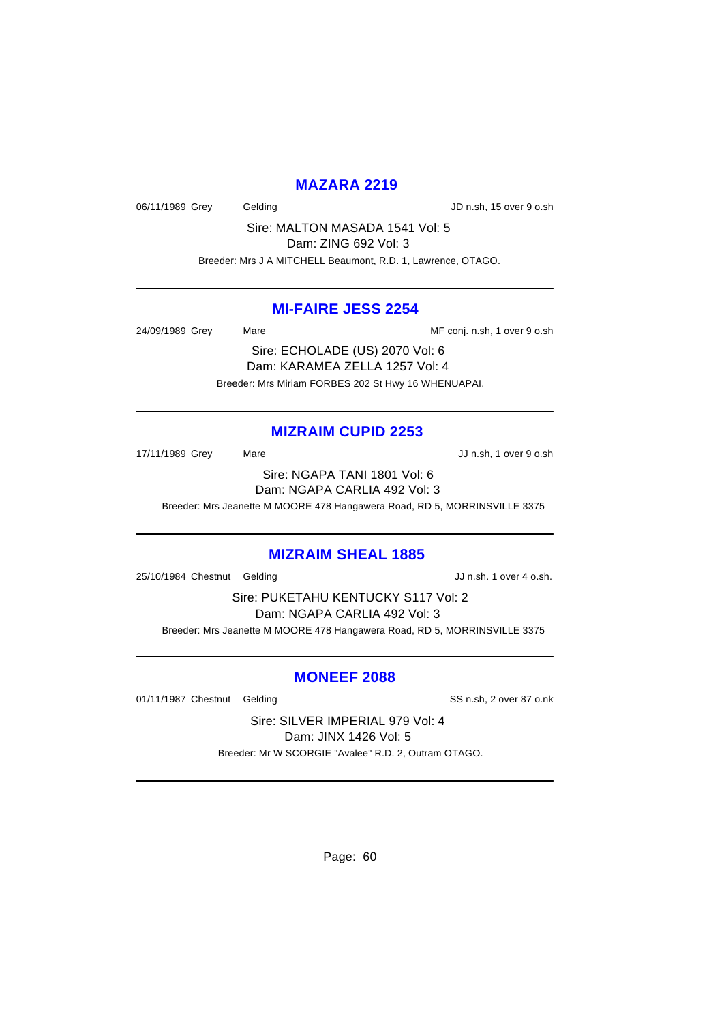### **MAZARA 2219**

06/11/1989 Grey Gelding Gelding JD n.sh, 15 over 9 o.sh

Sire: MALTON MASADA 1541 Vol: 5 Dam: ZING 692 Vol: 3 Breeder: Mrs J A MITCHELL Beaumont, R.D. 1, Lawrence, OTAGO.

#### **MI-FAIRE JESS 2254**

24/09/1989 Grey Mare Mare ME conj. n.sh, 1 over 9 o.sh

Sire: ECHOLADE (US) 2070 Vol: 6 Dam: KARAMEA ZELLA 1257 Vol: 4 Breeder: Mrs Miriam FORBES 202 St Hwy 16 WHENUAPAI.

### **MIZRAIM CUPID 2253**

17/11/1989 Grey Mare Mare JJ n.sh, 1 over 9 o.sh

Sire: NGAPA TANI 1801 Vol: 6 Dam: NGAPA CARLIA 492 Vol: 3

Breeder: Mrs Jeanette M MOORE 478 Hangawera Road, RD 5, MORRINSVILLE 3375

#### **MIZRAIM SHEAL 1885**

25/10/1984 Chestnut Gelding JJ n.sh. 1 over 4 o.sh.

Sire: PUKETAHU KENTUCKY S117 Vol: 2 Dam: NGAPA CARLIA 492 Vol: 3 Breeder: Mrs Jeanette M MOORE 478 Hangawera Road, RD 5, MORRINSVILLE 3375

# **MONEEF 2088**

01/11/1987 Chestnut Gelding SS n.sh, 2 over 87 o.nk

Sire: SILVER IMPERIAL 979 Vol: 4 Dam: JINX 1426 Vol: 5 Breeder: Mr W SCORGIE "Avalee" R.D. 2, Outram OTAGO.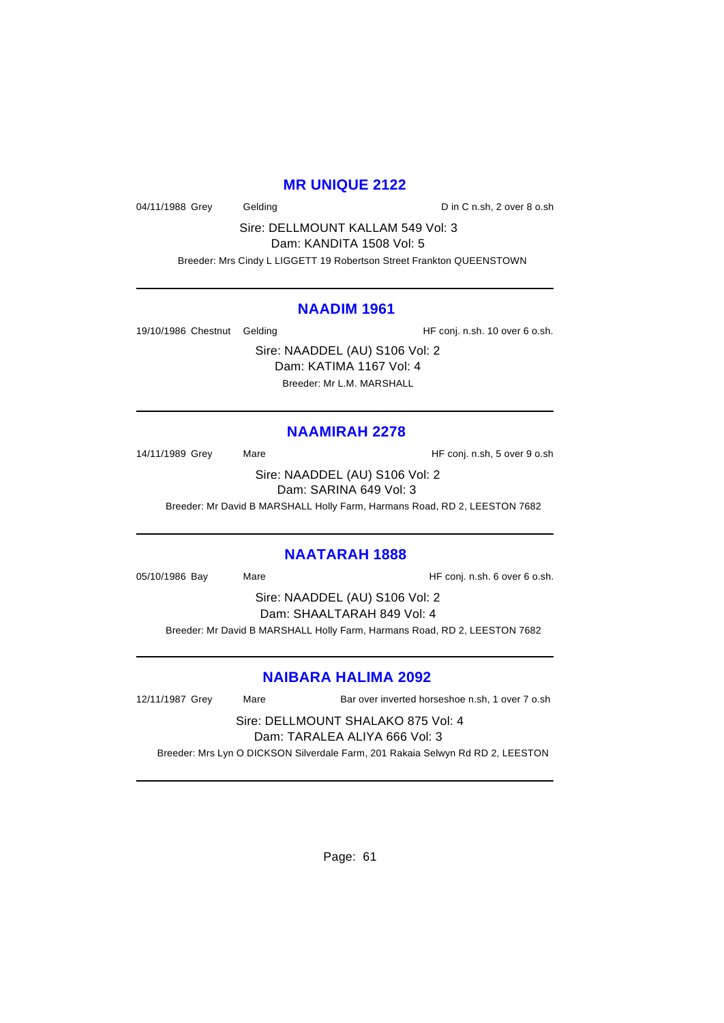### **MR UNIQUE 2122**

04/11/1988 Grey Gelding Constraining D in C n.sh, 2 over 8 o.sh

Sire: DELLMOUNT KALLAM 549 Vol: 3

Dam: KANDITA 1508 Vol: 5

Breeder: Mrs Cindy L LIGGETT 19 Robertson Street Frankton QUEENSTOWN

### **NAADIM 1961**

19/10/1986 Chestnut Gelding The State of HF conj. n.sh. 10 over 6 o.sh.

Sire: NAADDEL (AU) S106 Vol: 2 Dam: KATIMA 1167 Vol: 4 Breeder: Mr L.M. MARSHALL

# **NAAMIRAH 2278**

14/11/1989 Grey Mare Mare HF conj. n.sh, 5 over 9 o.sh

Sire: NAADDEL (AU) S106 Vol: 2 Dam: SARINA 649 Vol: 3

Breeder: Mr David B MARSHALL Holly Farm, Harmans Road, RD 2, LEESTON 7682

# **NAATARAH 1888**

05/10/1986 Bay Mare Mare HF conj. n.sh. 6 over 6 o.sh.

Sire: NAADDEL (AU) S106 Vol: 2 Dam: SHAALTARAH 849 Vol: 4

Breeder: Mr David B MARSHALL Holly Farm, Harmans Road, RD 2, LEESTON 7682

# **NAIBARA HALIMA 2092**

12/11/1987 Grey Mare Bar over inverted horseshoe n.sh, 1 over 7 o.sh

Sire: DELLMOUNT SHALAKO 875 Vol: 4 Dam: TARALEA ALIYA 666 Vol: 3

Breeder: Mrs Lyn O DICKSON Silverdale Farm, 201 Rakaia Selwyn Rd RD 2, LEESTON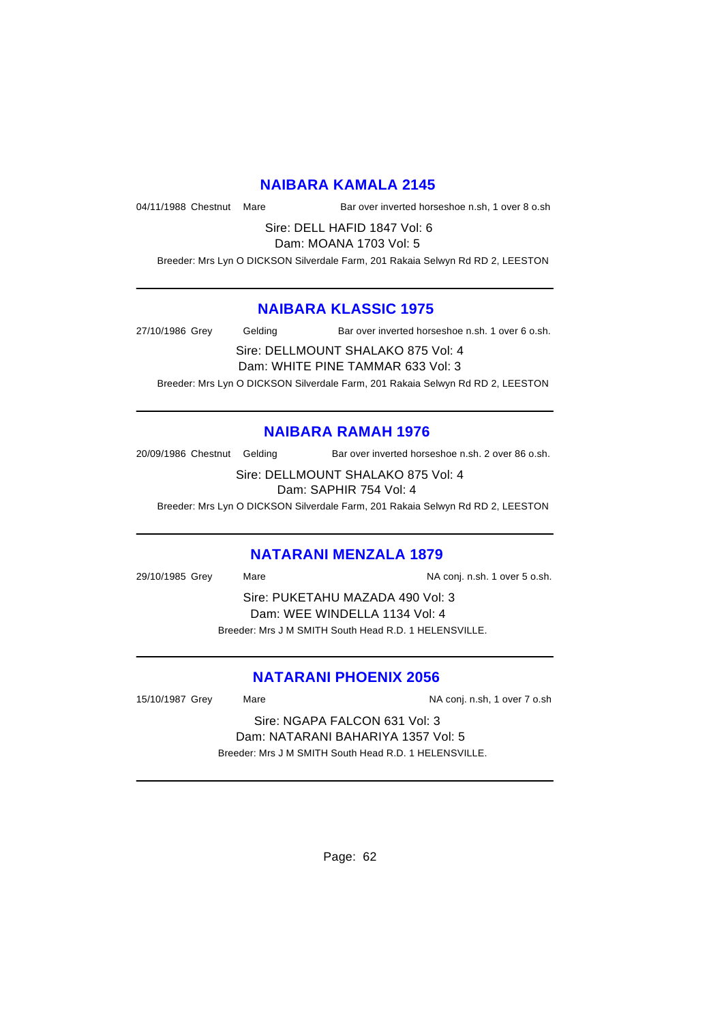### **NAIBARA KAMALA 2145**

04/11/1988 Chestnut Mare Bar over inverted horseshoe n.sh, 1 over 8 o.sh

Sire: DELL HAFID 1847 Vol: 6 Dam: MOANA 1703 Vol: 5

Breeder: Mrs Lyn O DICKSON Silverdale Farm, 201 Rakaia Selwyn Rd RD 2, LEESTON

### **NAIBARA KLASSIC 1975**

27/10/1986 Grey Gelding Bar over inverted horseshoe n.sh. 1 over 6 o.sh.

Sire: DELLMOUNT SHALAKO 875 Vol: 4 Dam: WHITE PINE TAMMAR 633 Vol: 3

Breeder: Mrs Lyn O DICKSON Silverdale Farm, 201 Rakaia Selwyn Rd RD 2, LEESTON

# **NAIBARA RAMAH 1976**

20/09/1986 Chestnut Gelding Bar over inverted horseshoe n.sh. 2 over 86 o.sh.

Sire: DELLMOUNT SHALAKO 875 Vol: 4 Dam: SAPHIR 754 Vol: 4

Breeder: Mrs Lyn O DICKSON Silverdale Farm, 201 Rakaia Selwyn Rd RD 2, LEESTON

#### **NATARANI MENZALA 1879**

29/10/1985 Grey Mare National Markets of NA conj. n.sh. 1 over 5 o.sh. Sire: PUKETAHU MAZADA 490 Vol: 3 Dam: WEE WINDELLA 1134 Vol: 4 Breeder: Mrs J M SMITH South Head R.D. 1 HELENSVILLE.

# **NATARANI PHOENIX 2056**

15/10/1987 Grey Mare Mare NA conj. n.sh, 1 over 7 o.sh

Sire: NGAPA FALCON 631 Vol: 3 Dam: NATARANI BAHARIYA 1357 Vol: 5 Breeder: Mrs J M SMITH South Head R.D. 1 HELENSVILLE.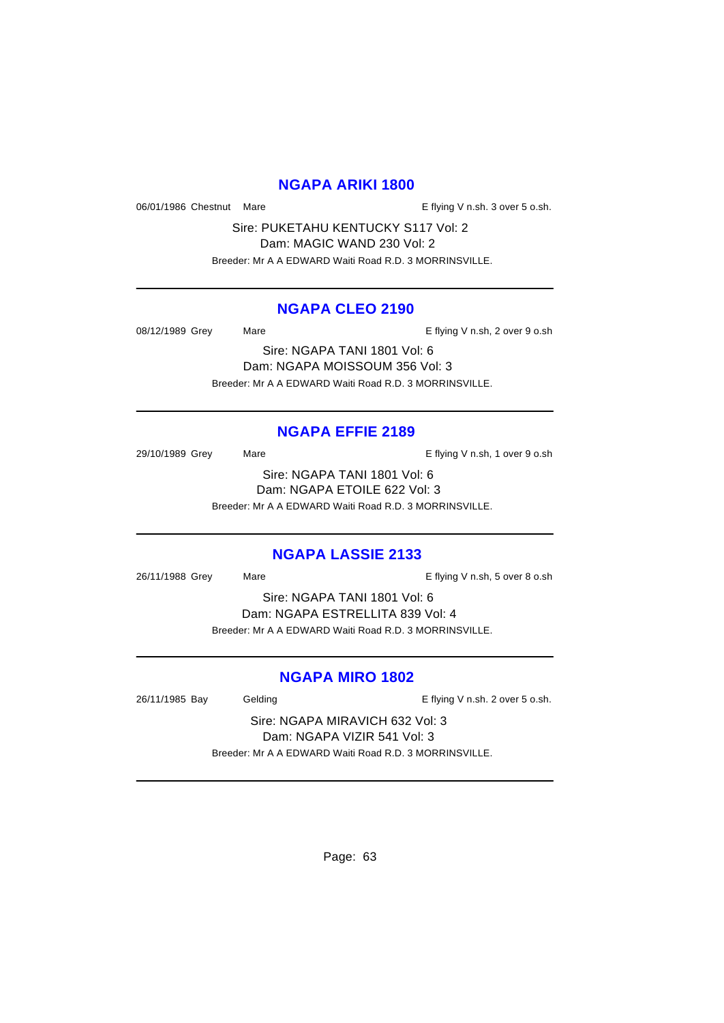### **NGAPA ARIKI 1800**

06/01/1986 Chestnut Mare **E** flying V n.sh. 3 over 5 o.sh.

Sire: PUKETAHU KENTUCKY S117 Vol: 2 Dam: MAGIC WAND 230 Vol: 2 Breeder: Mr A A EDWARD Waiti Road R.D. 3 MORRINSVILLE.

### **NGAPA CLEO 2190**

08/12/1989 Grey Mare Mare E flying V n.sh, 2 over 9 o.sh

Sire: NGAPA TANI 1801 Vol: 6 Dam: NGAPA MOISSOUM 356 Vol: 3 Breeder: Mr A A EDWARD Waiti Road R.D. 3 MORRINSVILLE.

# **NGAPA EFFIE 2189**

29/10/1989 Grey Mare Mare E flying V n.sh, 1 over 9 o.sh Sire: NGAPA TANI 1801 Vol: 6 Dam: NGAPA ETOILE 622 Vol: 3 Breeder: Mr A A EDWARD Waiti Road R.D. 3 MORRINSVILLE.

#### **NGAPA LASSIE 2133**

26/11/1988 Grey Mare E flying V n.sh, 5 over 8 o.sh

Sire: NGAPA TANI 1801 Vol: 6 Dam: NGAPA ESTRELLITA 839 Vol: 4 Breeder: Mr A A EDWARD Waiti Road R.D. 3 MORRINSVILLE.

#### **NGAPA MIRO 1802**

26/11/1985 Bay Gelding Casset Controller E flying V n.sh. 2 over 5 o.sh.

Sire: NGAPA MIRAVICH 632 Vol: 3 Dam: NGAPA VIZIR 541 Vol: 3 Breeder: Mr A A EDWARD Waiti Road R.D. 3 MORRINSVILLE.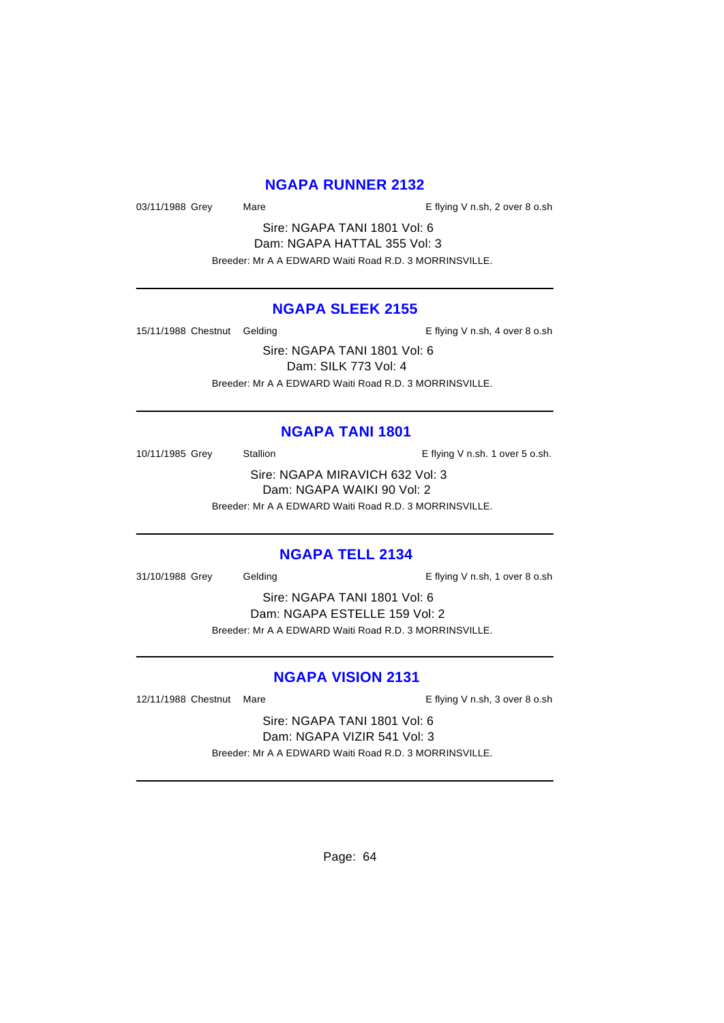### **NGAPA RUNNER 2132**

03/11/1988 Grey Mare Mare E flying V n.sh, 2 over 8 o.sh

Sire: NGAPA TANI 1801 Vol: 6 Dam: NGAPA HATTAL 355 Vol: 3 Breeder: Mr A A EDWARD Waiti Road R.D. 3 MORRINSVILLE.

### **NGAPA SLEEK 2155**

15/11/1988 Chestnut Gelding The State of E flying V n.sh, 4 over 8 o.sh

Sire: NGAPA TANI 1801 Vol: 6 Dam: SILK 773 Vol: 4 Breeder: Mr A A EDWARD Waiti Road R.D. 3 MORRINSVILLE.

#### **NGAPA TANI 1801**

10/11/1985 Grey Stallion **E** flying V n.sh. 1 over 5 o.sh.

Sire: NGAPA MIRAVICH 632 Vol: 3 Dam: NGAPA WAIKI 90 Vol: 2 Breeder: Mr A A EDWARD Waiti Road R.D. 3 MORRINSVILLE.

#### **NGAPA TELL 2134**

31/10/1988 Grey Gelding Gelding E flying V n.sh, 1 over 8 o.sh

Sire: NGAPA TANI 1801 Vol: 6 Dam: NGAPA ESTELLE 159 Vol: 2 Breeder: Mr A A EDWARD Waiti Road R.D. 3 MORRINSVILLE.

#### **NGAPA VISION 2131**

12/11/1988 Chestnut Mare **E** flying V n.sh, 3 over 8 o.sh

Sire: NGAPA TANI 1801 Vol: 6 Dam: NGAPA VIZIR 541 Vol: 3 Breeder: Mr A A EDWARD Waiti Road R.D. 3 MORRINSVILLE.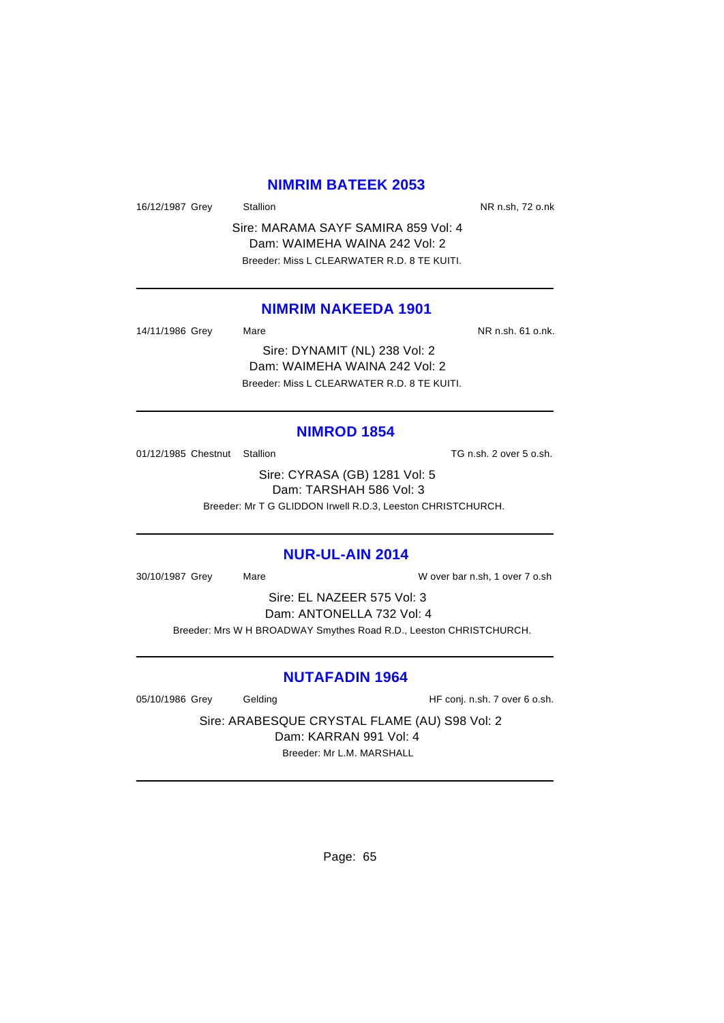### **NIMRIM BATEEK 2053**

16/12/1987 Grey Stallion Stallion State State NR n.sh, 72 o.nk

Sire: MARAMA SAYF SAMIRA 859 Vol: 4 Dam: WAIMEHA WAINA 242 Vol: 2 Breeder: Miss L CLEARWATER R.D. 8 TE KUITI.

#### **NIMRIM NAKEEDA 1901**

14/11/1986 Grey Mare National Markets of the NR n.sh. 61 o.nk.

Sire: DYNAMIT (NL) 238 Vol: 2 Dam: WAIMEHA WAINA 242 Vol: 2 Breeder: Miss L CLEARWATER R.D. 8 TE KUITI.

#### **NIMROD 1854**

01/12/1985 Chestnut Stallion TG n.sh. 2 over 5 o.sh.

Sire: CYRASA (GB) 1281 Vol: 5 Dam: TARSHAH 586 Vol: 3 Breeder: Mr T G GLIDDON Irwell R.D.3, Leeston CHRISTCHURCH.

#### **NUR-UL-AIN 2014**

30/10/1987 Grey Mare W over bar n.sh, 1 over 7 o.sh

Sire: EL NAZEER 575 Vol: 3 Dam: ANTONELLA 732 Vol: 4

Breeder: Mrs W H BROADWAY Smythes Road R.D., Leeston CHRISTCHURCH.

#### **NUTAFADIN 1964**

05/10/1986 Grey Gelding Gelding HF conj. n.sh. 7 over 6 o.sh.

Sire: ARABESQUE CRYSTAL FLAME (AU) S98 Vol: 2 Dam: KARRAN 991 Vol: 4 Breeder: Mr L.M. MARSHALL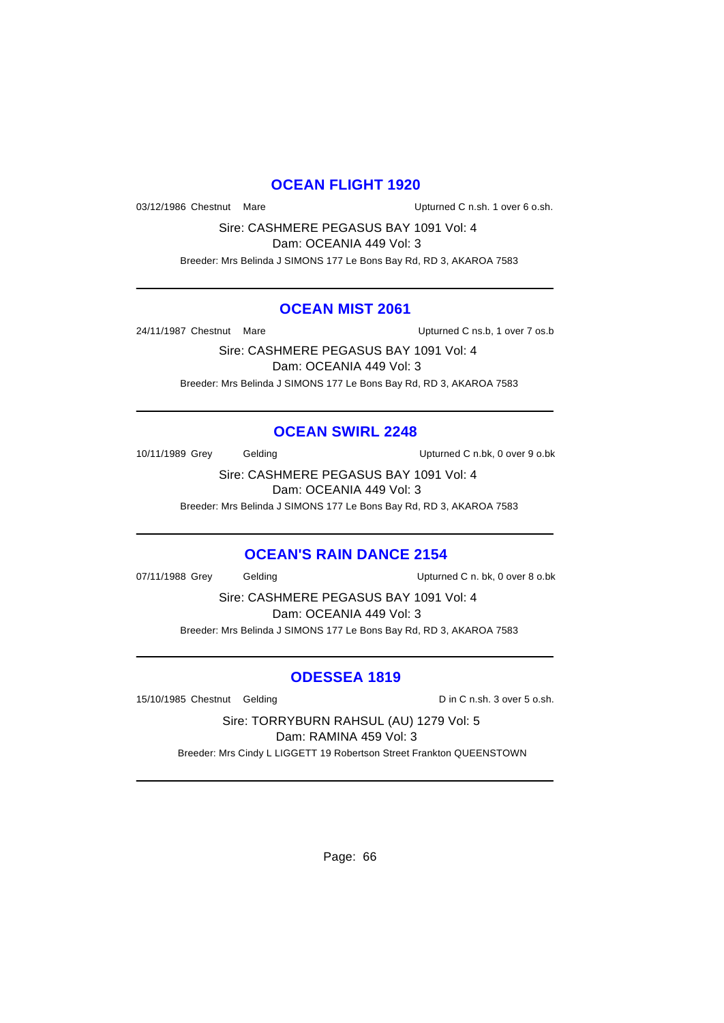## **OCEAN FLIGHT 1920**

03/12/1986 Chestnut Mare **National Constanting Constructs** Upturned C n.sh. 1 over 6 o.sh.

Sire: CASHMERE PEGASUS BAY 1091 Vol: 4 Dam: OCEANIA 449 Vol: 3

Breeder: Mrs Belinda J SIMONS 177 Le Bons Bay Rd, RD 3, AKAROA 7583

#### **OCEAN MIST 2061**

24/11/1987 Chestnut Mare Changes and Muslim Upturned C ns.b, 1 over 7 os.b

Sire: CASHMERE PEGASUS BAY 1091 Vol: 4 Dam: OCEANIA 449 Vol: 3 Breeder: Mrs Belinda J SIMONS 177 Le Bons Bay Rd, RD 3, AKAROA 7583

### **OCEAN SWIRL 2248**

10/11/1989 Grey Gelding Upturned C n.bk, 0 over 9 o.bk

Sire: CASHMERE PEGASUS BAY 1091 Vol: 4 Dam: OCEANIA 449 Vol: 3

Breeder: Mrs Belinda J SIMONS 177 Le Bons Bay Rd, RD 3, AKAROA 7583

#### **OCEAN'S RAIN DANCE 2154**

07/11/1988 Grey Gelding Communication Upturned C n. bk, 0 over 8 o.bk

Sire: CASHMERE PEGASUS BAY 1091 Vol: 4 Dam: OCEANIA 449 Vol: 3 Breeder: Mrs Belinda J SIMONS 177 Le Bons Bay Rd, RD 3, AKAROA 7583

# **ODESSEA 1819**

15/10/1985 Chestnut Gelding Din C n.sh. 3 over 5 o.sh.

Sire: TORRYBURN RAHSUL (AU) 1279 Vol: 5 Dam: RAMINA 459 Vol: 3

Breeder: Mrs Cindy L LIGGETT 19 Robertson Street Frankton QUEENSTOWN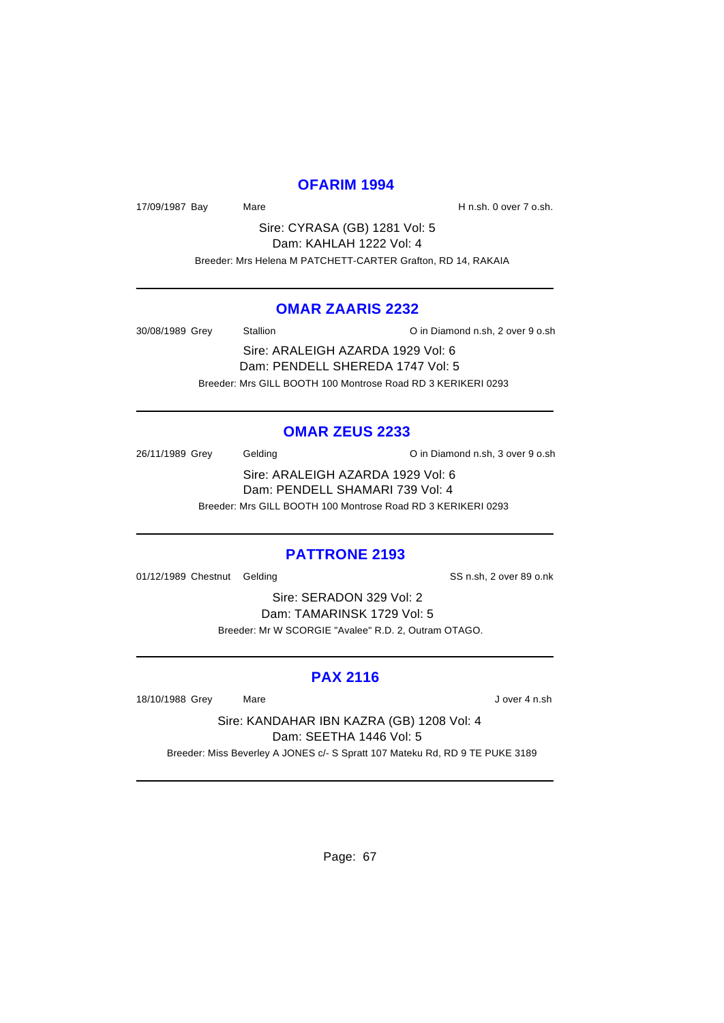### **OFARIM 1994**

17/09/1987 Bay Mare Mare H n.sh. 0 over 7 o.sh.

Sire: CYRASA (GB) 1281 Vol: 5 Dam: KAHLAH 1222 Vol: 4 Breeder: Mrs Helena M PATCHETT-CARTER Grafton, RD 14, RAKAIA

#### **OMAR ZAARIS 2232**

30/08/1989 Grey Stallion O in Diamond n.sh, 2 over 9 o.sh

Sire: ARALEIGH AZARDA 1929 Vol: 6 Dam: PENDELL SHEREDA 1747 Vol: 5 Breeder: Mrs GILL BOOTH 100 Montrose Road RD 3 KERIKERI 0293

#### **OMAR ZEUS 2233**

26/11/1989 Grey Gelding Communication C in Diamond n.sh, 3 over 9 o.sh Sire: ARALEIGH AZARDA 1929 Vol: 6

Dam: PENDELL SHAMARI 739 Vol: 4

Breeder: Mrs GILL BOOTH 100 Montrose Road RD 3 KERIKERI 0293

#### **PATTRONE 2193**

01/12/1989 Chestnut Gelding SS n.sh, 2 over 89 o.nk

Sire: SERADON 329 Vol: 2 Dam: TAMARINSK 1729 Vol: 5 Breeder: Mr W SCORGIE "Avalee" R.D. 2, Outram OTAGO.

### **PAX 2116**

18/10/1988 Grey Mare J over 4 n.sh

Sire: KANDAHAR IBN KAZRA (GB) 1208 Vol: 4 Dam: SEETHA 1446 Vol: 5 Breeder: Miss Beverley A JONES c/- S Spratt 107 Mateku Rd, RD 9 TE PUKE 3189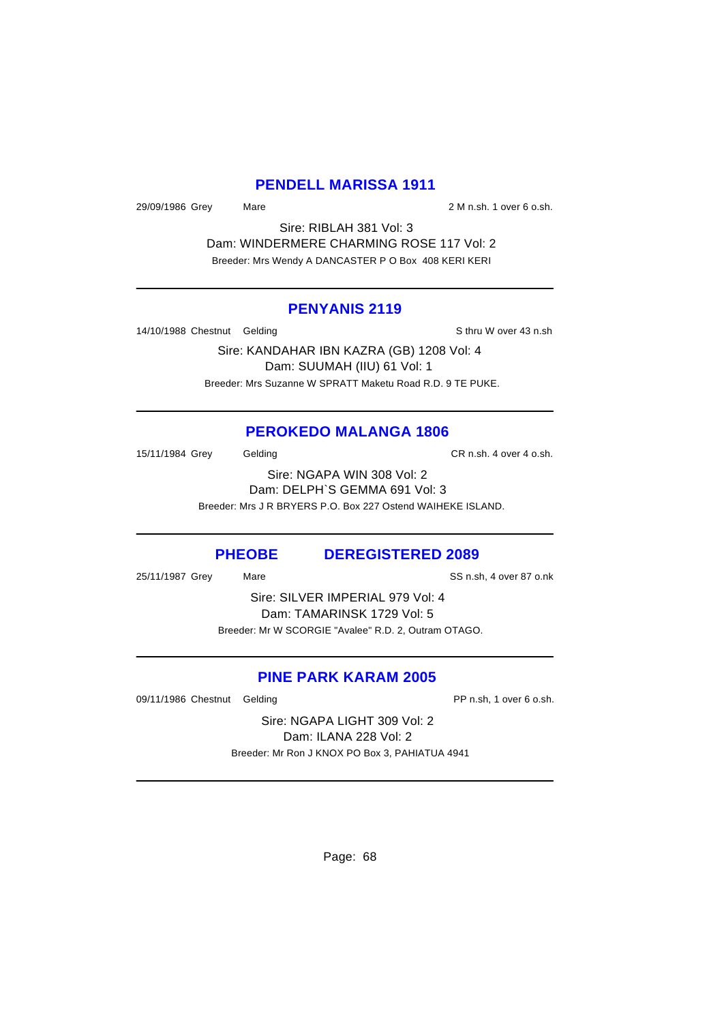# **PENDELL MARISSA 1911**

29/09/1986 Grey Mare 2 M n.sh. 1 over 6 o.sh.

Sire: RIBLAH 381 Vol: 3 Dam: WINDERMERE CHARMING ROSE 117 Vol: 2 Breeder: Mrs Wendy A DANCASTER P O Box 408 KERI KERI

#### **PENYANIS 2119**

14/10/1988 Chestnut Gelding Sthru W over 43 n.sh

Sire: KANDAHAR IBN KAZRA (GB) 1208 Vol: 4 Dam: SUUMAH (IIU) 61 Vol: 1 Breeder: Mrs Suzanne W SPRATT Maketu Road R.D. 9 TE PUKE.

#### **PEROKEDO MALANGA 1806**

15/11/1984 Grey Gelding CR n.sh. 4 over 4 o.sh.

Sire: NGAPA WIN 308 Vol: 2 Dam: DELPH`S GEMMA 691 Vol: 3 Breeder: Mrs J R BRYERS P.O. Box 227 Ostend WAIHEKE ISLAND.

### **PHEOBE DEREGISTERED 2089**

25/11/1987 Grey Mare Same SS n.sh, 4 over 87 o.nk

Sire: SILVER IMPERIAL 979 Vol: 4 Dam: TAMARINSK 1729 Vol: 5 Breeder: Mr W SCORGIE "Avalee" R.D. 2, Outram OTAGO.

# **PINE PARK KARAM 2005**

09/11/1986 Chestnut Gelding **PP n.sh, 1** over 6 o.sh.

Sire: NGAPA LIGHT 309 Vol: 2 Dam: ILANA 228 Vol: 2 Breeder: Mr Ron J KNOX PO Box 3, PAHIATUA 4941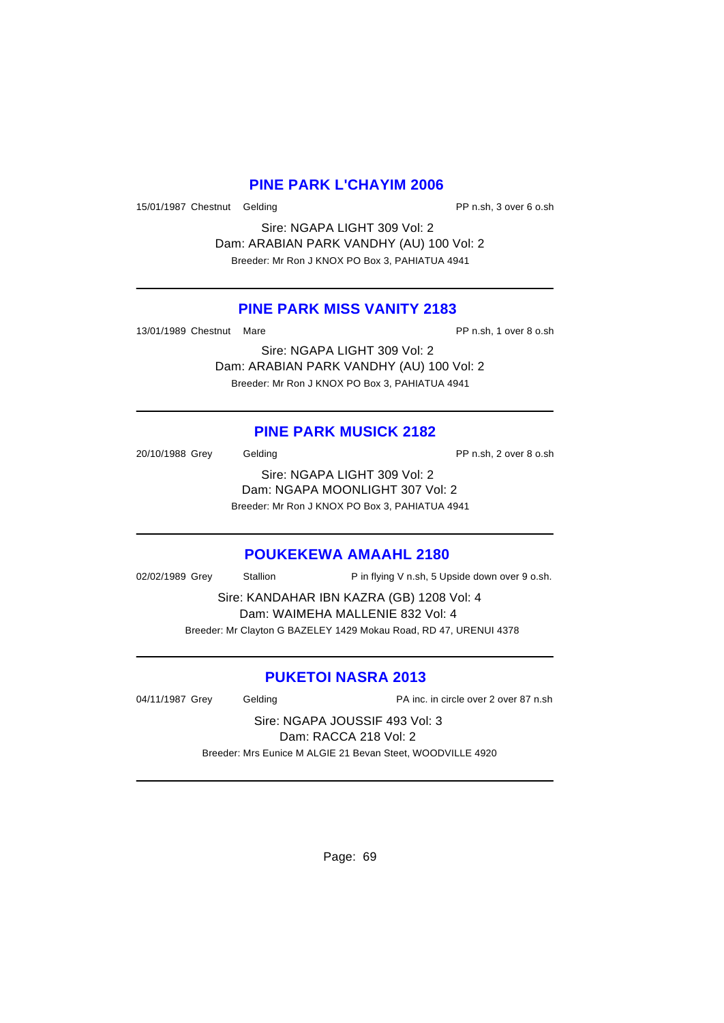### **PINE PARK L'CHAYIM 2006**

15/01/1987 Chestnut Gelding **PP n.sh, 3 over 6 o.sh** 

Sire: NGAPA LIGHT 309 Vol: 2 Dam: ARABIAN PARK VANDHY (AU) 100 Vol: 2 Breeder: Mr Ron J KNOX PO Box 3, PAHIATUA 4941

### **PINE PARK MISS VANITY 2183**

13/01/1989 Chestnut Mare PP n.sh, 1 over 8 o.sh

Sire: NGAPA LIGHT 309 Vol: 2 Dam: ARABIAN PARK VANDHY (AU) 100 Vol: 2 Breeder: Mr Ron J KNOX PO Box 3, PAHIATUA 4941

# **PINE PARK MUSICK 2182**

20/10/1988 Grey Gelding Cash Control of the PP n.sh, 2 over 8 o.sh Sire: NGAPA LIGHT 309 Vol: 2 Dam: NGAPA MOONLIGHT 307 Vol: 2 Breeder: Mr Ron J KNOX PO Box 3, PAHIATUA 4941

#### **POUKEKEWA AMAAHL 2180**

02/02/1989 Grey Stallion P in flying V n.sh, 5 Upside down over 9 o.sh.

Sire: KANDAHAR IBN KAZRA (GB) 1208 Vol: 4 Dam: WAIMEHA MALLENIE 832 Vol: 4 Breeder: Mr Clayton G BAZELEY 1429 Mokau Road, RD 47, URENUI 4378

# **PUKETOI NASRA 2013**

04/11/1987 Grey Gelding PA inc. in circle over 2 over 87 n.sh

Sire: NGAPA JOUSSIF 493 Vol: 3 Dam: RACCA 218 Vol: 2 Breeder: Mrs Eunice M ALGIE 21 Bevan Steet, WOODVILLE 4920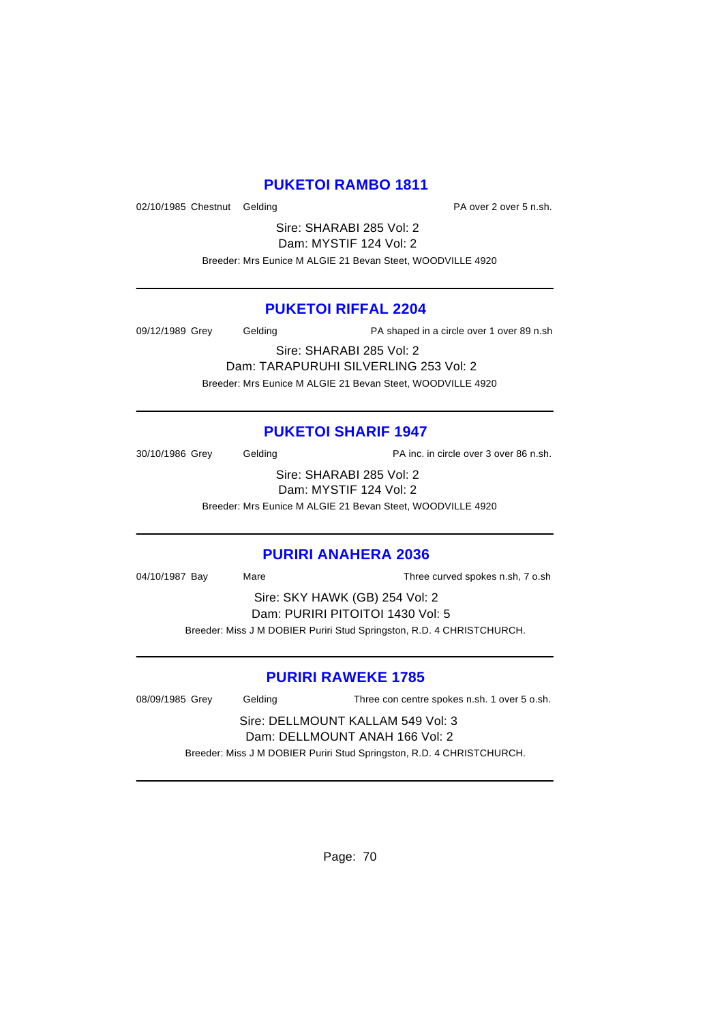# **PUKETOI RAMBO 1811**

02/10/1985 Chestnut Gelding **PA** over 2 over 5 n.sh.

Sire: SHARABI 285 Vol: 2 Dam: MYSTIF 124 Vol: 2

Breeder: Mrs Eunice M ALGIE 21 Bevan Steet, WOODVILLE 4920

### **PUKETOI RIFFAL 2204**

09/12/1989 Grey Gelding PA shaped in a circle over 1 over 89 n.sh

Sire: SHARABI 285 Vol: 2 Dam: TARAPURUHI SILVERLING 253 Vol: 2 Breeder: Mrs Eunice M ALGIE 21 Bevan Steet, WOODVILLE 4920

# **PUKETOI SHARIF 1947**

30/10/1986 Grey Gelding Case Contract PA inc. in circle over 3 over 86 n.sh.

Sire: SHARABI 285 Vol: 2 Dam: MYSTIF 124 Vol: 2

Breeder: Mrs Eunice M ALGIE 21 Bevan Steet, WOODVILLE 4920

# **PURIRI ANAHERA 2036**

04/10/1987 Bay Mare Three curved spokes n.sh, 7 o.sh

Sire: SKY HAWK (GB) 254 Vol: 2 Dam: PURIRI PITOITOI 1430 Vol: 5 Breeder: Miss J M DOBIER Puriri Stud Springston, R.D. 4 CHRISTCHURCH.

# **PURIRI RAWEKE 1785**

08/09/1985 Grey Gelding Three con centre spokes n.sh. 1 over 5 o.sh. Sire: DELLMOUNT KALLAM 549 Vol: 3

Dam: DELLMOUNT ANAH 166 Vol: 2 Breeder: Miss J M DOBIER Puriri Stud Springston, R.D. 4 CHRISTCHURCH.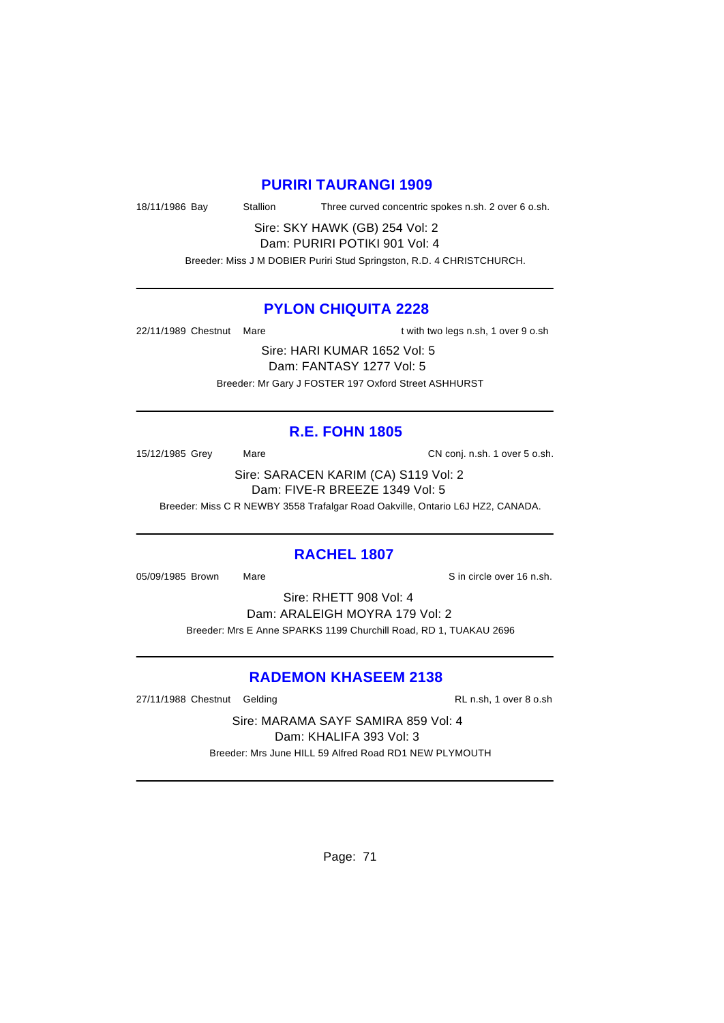#### **PURIRI TAURANGI 1909**

18/11/1986 Bay Stallion Three curved concentric spokes n.sh. 2 over 6 o.sh.

Sire: SKY HAWK (GB) 254 Vol: 2 Dam: PURIRI POTIKI 901 Vol: 4

Breeder: Miss J M DOBIER Puriri Stud Springston, R.D. 4 CHRISTCHURCH.

### **PYLON CHIQUITA 2228**

22/11/1989 Chestnut Mare the state of twith two legs n.sh, 1 over 9 o.sh

Sire: HARI KUMAR 1652 Vol: 5 Dam: FANTASY 1277 Vol: 5 Breeder: Mr Gary J FOSTER 197 Oxford Street ASHHURST

### **R.E. FOHN 1805**

15/12/1985 Grey Mare Mare CN conj. n.sh. 1 over 5 o.sh.

Sire: SARACEN KARIM (CA) S119 Vol: 2 Dam: FIVE-R BREEZE 1349 Vol: 5

Breeder: Miss C R NEWBY 3558 Trafalgar Road Oakville, Ontario L6J HZ2, CANADA.

#### **RACHEL 1807**

05/09/1985 Brown Mare Sincircle over 16 n.sh.

Sire: RHETT 908 Vol: 4 Dam: ARALEIGH MOYRA 179 Vol: 2 Breeder: Mrs E Anne SPARKS 1199 Churchill Road, RD 1, TUAKAU 2696

# **RADEMON KHASEEM 2138**

27/11/1988 Chestnut Gelding RL n.sh, 1 over 8 o.sh

Sire: MARAMA SAYF SAMIRA 859 Vol: 4 Dam: KHALIFA 393 Vol: 3 Breeder: Mrs June HILL 59 Alfred Road RD1 NEW PLYMOUTH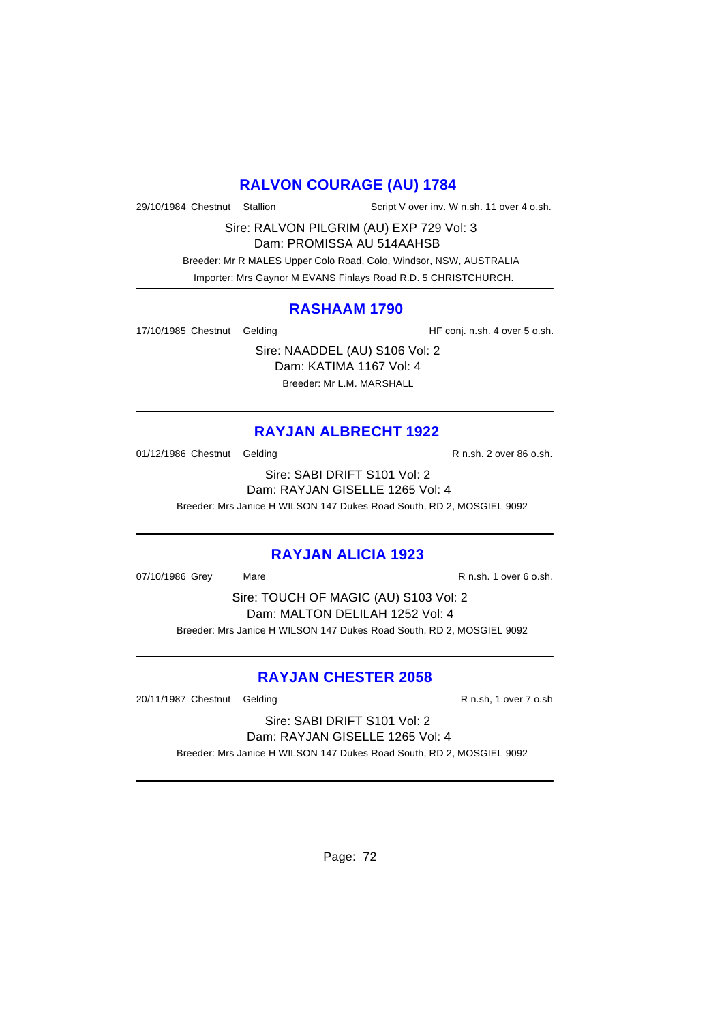# **RALVON COURAGE (AU) 1784**

29/10/1984 Chestnut Stallion Script V over inv. W n.sh. 11 over 4 o.sh.

Sire: RALVON PILGRIM (AU) EXP 729 Vol: 3

Dam: PROMISSA AU 514AAHSB

 Breeder: Mr R MALES Upper Colo Road, Colo, Windsor, NSW, AUSTRALIA Importer: Mrs Gaynor M EVANS Finlays Road R.D. 5 CHRISTCHURCH.

#### **RASHAAM 1790**

17/10/1985 Chestnut Gelding The State of HF conj. n.sh. 4 over 5 o.sh.

Sire: NAADDEL (AU) S106 Vol: 2 Dam: KATIMA 1167 Vol: 4 Breeder: Mr L.M. MARSHALL

# **RAYJAN ALBRECHT 1922**

01/12/1986 Chestnut Gelding Character Chestnut Gelding R n.sh. 2 over 86 o.sh.

Sire: SABI DRIFT S101 Vol: 2 Dam: RAYJAN GISELLE 1265 Vol: 4 Breeder: Mrs Janice H WILSON 147 Dukes Road South, RD 2, MOSGIEL 9092

# **RAYJAN ALICIA 1923**

07/10/1986 Grey Mare R n.sh. 1 over 6 o.sh.

Sire: TOUCH OF MAGIC (AU) S103 Vol: 2 Dam: MALTON DELILAH 1252 Vol: 4 Breeder: Mrs Janice H WILSON 147 Dukes Road South, RD 2, MOSGIEL 9092

# **RAYJAN CHESTER 2058**

20/11/1987 Chestnut Gelding R n.sh, 1 over 7 o.sh

Sire: SABI DRIFT S101 Vol: 2 Dam: RAYJAN GISELLE 1265 Vol: 4

Breeder: Mrs Janice H WILSON 147 Dukes Road South, RD 2, MOSGIEL 9092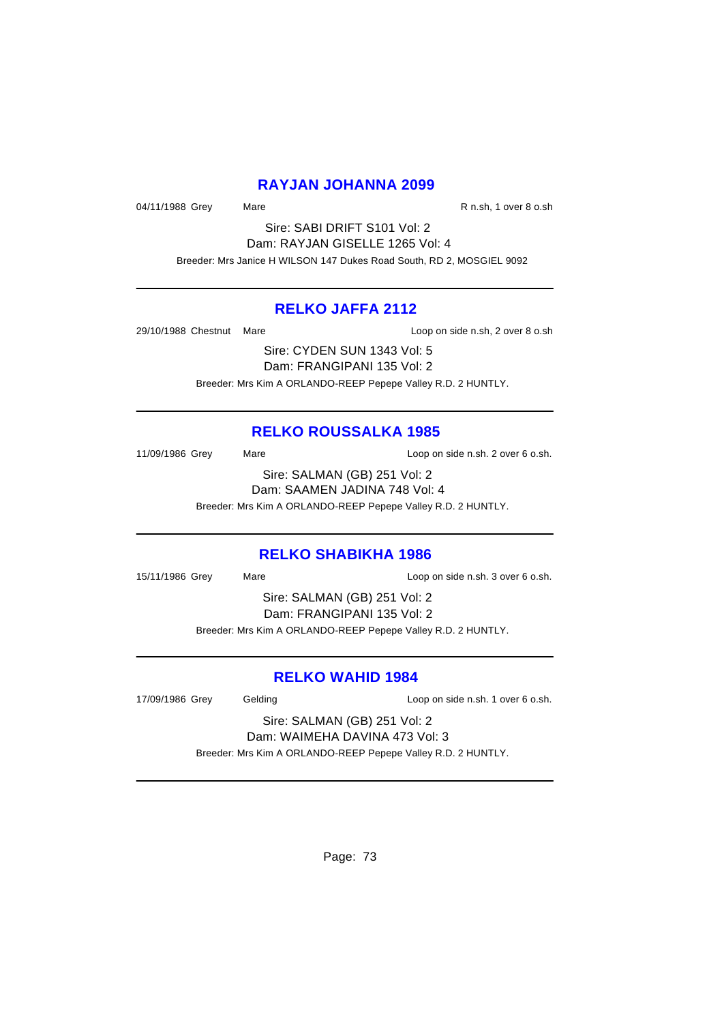### **RAYJAN JOHANNA 2099**

04/11/1988 Grey Mare Mare R n.sh, 1 over 8 o.sh

Sire: SABI DRIFT S101 Vol: 2 Dam: RAYJAN GISELLE 1265 Vol: 4 Breeder: Mrs Janice H WILSON 147 Dukes Road South, RD 2, MOSGIEL 9092

### **RELKO JAFFA 2112**

29/10/1988 Chestnut Mare **Loop on side n.sh, 2 over 8 o.sh** 

Sire: CYDEN SUN 1343 Vol: 5 Dam: FRANGIPANI 135 Vol: 2 Breeder: Mrs Kim A ORLANDO-REEP Pepepe Valley R.D. 2 HUNTLY.

# **RELKO ROUSSALKA 1985**

11/09/1986 Grey Mare Loop on side n.sh. 2 over 6 o.sh.

Sire: SALMAN (GB) 251 Vol: 2 Dam: SAAMEN JADINA 748 Vol: 4 Breeder: Mrs Kim A ORLANDO-REEP Pepepe Valley R.D. 2 HUNTLY.

### **RELKO SHABIKHA 1986**

15/11/1986 Grey Mare Loop on side n.sh. 3 over 6 o.sh.

Sire: SALMAN (GB) 251 Vol: 2 Dam: FRANGIPANI 135 Vol: 2 Breeder: Mrs Kim A ORLANDO-REEP Pepepe Valley R.D. 2 HUNTLY.

### **RELKO WAHID 1984**

17/09/1986 Grey Gelding Loop on side n.sh. 1 over 6 o.sh.

Sire: SALMAN (GB) 251 Vol: 2 Dam: WAIMEHA DAVINA 473 Vol: 3

Breeder: Mrs Kim A ORLANDO-REEP Pepepe Valley R.D. 2 HUNTLY.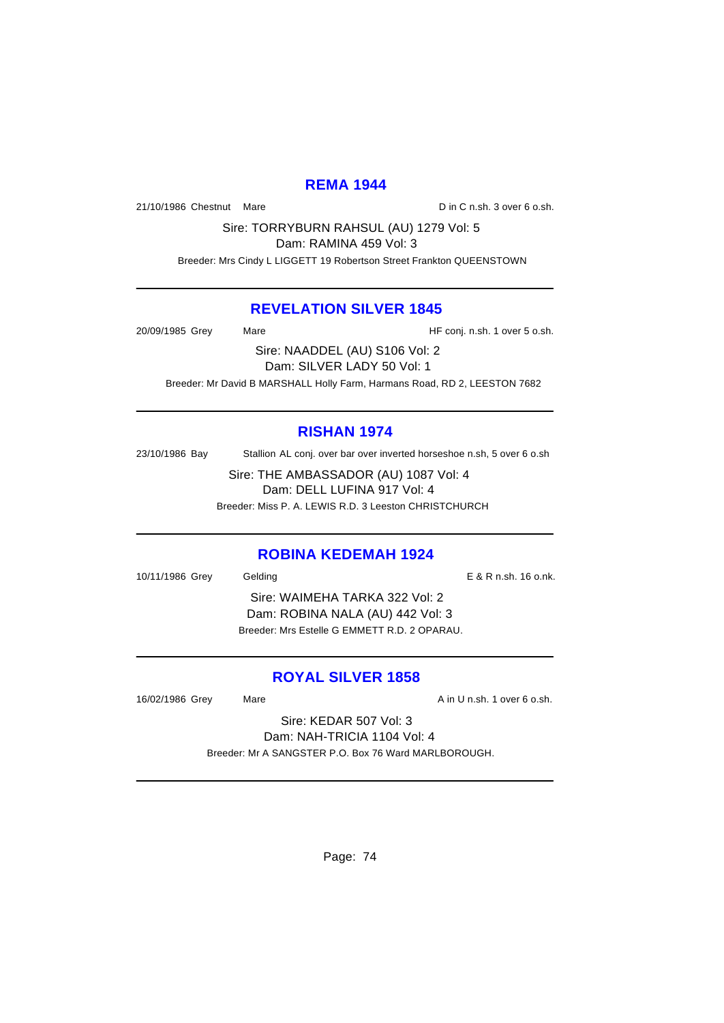# **REMA 1944**

21/10/1986 Chestnut Mare D in C n.sh. 3 over 6 o.sh.

Sire: TORRYBURN RAHSUL (AU) 1279 Vol: 5

Dam: RAMINA 459 Vol: 3

Breeder: Mrs Cindy L LIGGETT 19 Robertson Street Frankton QUEENSTOWN

### **REVELATION SILVER 1845**

20/09/1985 Grey Mare Mare HF conj. n.sh. 1 over 5 o.sh.

Sire: NAADDEL (AU) S106 Vol: 2 Dam: SILVER LADY 50 Vol: 1 Breeder: Mr David B MARSHALL Holly Farm, Harmans Road, RD 2, LEESTON 7682

# **RISHAN 1974**

23/10/1986 Bay Stallion AL conj. over bar over inverted horseshoe n.sh, 5 over 6 o.sh

Sire: THE AMBASSADOR (AU) 1087 Vol: 4 Dam: DELL LUFINA 917 Vol: 4 Breeder: Miss P. A. LEWIS R.D. 3 Leeston CHRISTCHURCH

# **ROBINA KEDEMAH 1924**

10/11/1986 Grey Gelding E & R n.sh. 16 o.nk.

Sire: WAIMEHA TARKA 322 Vol: 2 Dam: ROBINA NALA (AU) 442 Vol: 3 Breeder: Mrs Estelle G EMMETT R.D. 2 OPARAU.

# **ROYAL SILVER 1858**

16/02/1986 Grey Mare Mare A in U n.sh. 1 over 6 o.sh.

Sire: KEDAR 507 Vol: 3 Dam: NAH-TRICIA 1104 Vol: 4 Breeder: Mr A SANGSTER P.O. Box 76 Ward MARLBOROUGH.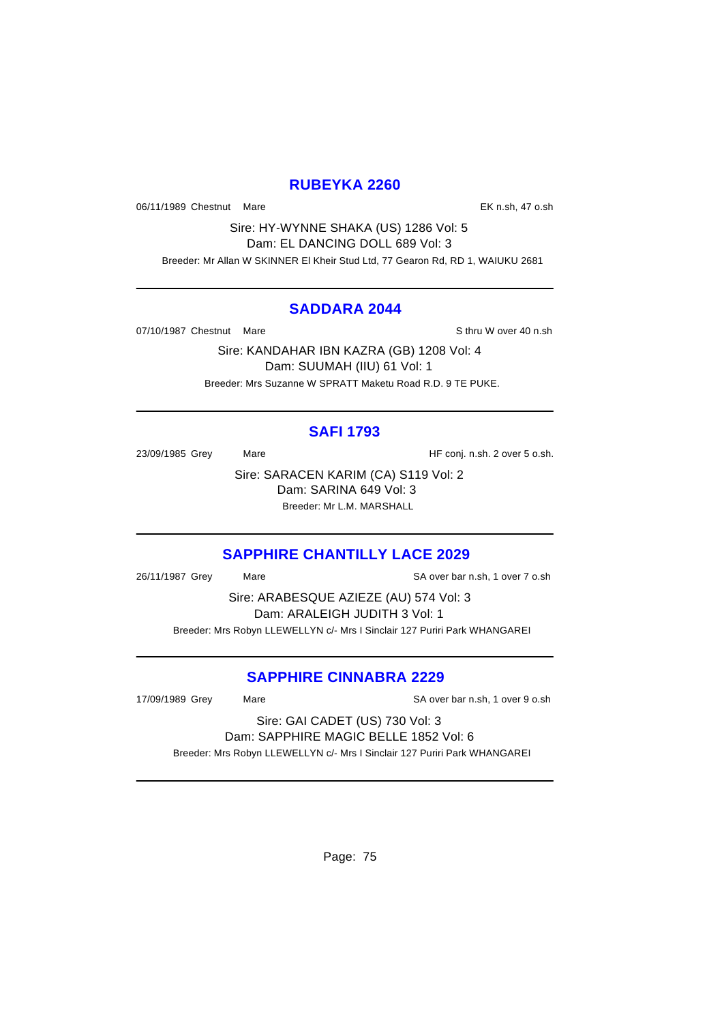### **RUBEYKA 2260**

06/11/1989 Chestnut Mare **EX n.sh, 47 o.sh** 

Sire: HY-WYNNE SHAKA (US) 1286 Vol: 5 Dam: EL DANCING DOLL 689 Vol: 3 Breeder: Mr Allan W SKINNER El Kheir Stud Ltd, 77 Gearon Rd, RD 1, WAIUKU 2681

#### **SADDARA 2044**

07/10/1987 Chestnut Mare Sthru W over 40 n.sh

Sire: KANDAHAR IBN KAZRA (GB) 1208 Vol: 4 Dam: SUUMAH (IIU) 61 Vol: 1 Breeder: Mrs Suzanne W SPRATT Maketu Road R.D. 9 TE PUKE.

# **SAFI 1793**

23/09/1985 Grey Mare Mare HF conj. n.sh. 2 over 5 o.sh.

Sire: SARACEN KARIM (CA) S119 Vol: 2 Dam: SARINA 649 Vol: 3 Breeder: Mr L.M. MARSHALL

# **SAPPHIRE CHANTILLY LACE 2029**

26/11/1987 Grey Mare SA over bar n.sh, 1 over 7 o.sh

Sire: ARABESQUE AZIEZE (AU) 574 Vol: 3 Dam: ARALEIGH JUDITH 3 Vol: 1 Breeder: Mrs Robyn LLEWELLYN c/- Mrs I Sinclair 127 Puriri Park WHANGAREI

# **SAPPHIRE CINNABRA 2229**

17/09/1989 Grey Mare SA over bar n.sh, 1 over 9 o.sh

#### Sire: GAI CADET (US) 730 Vol: 3 Dam: SAPPHIRE MAGIC BELLE 1852 Vol: 6

Breeder: Mrs Robyn LLEWELLYN c/- Mrs I Sinclair 127 Puriri Park WHANGAREI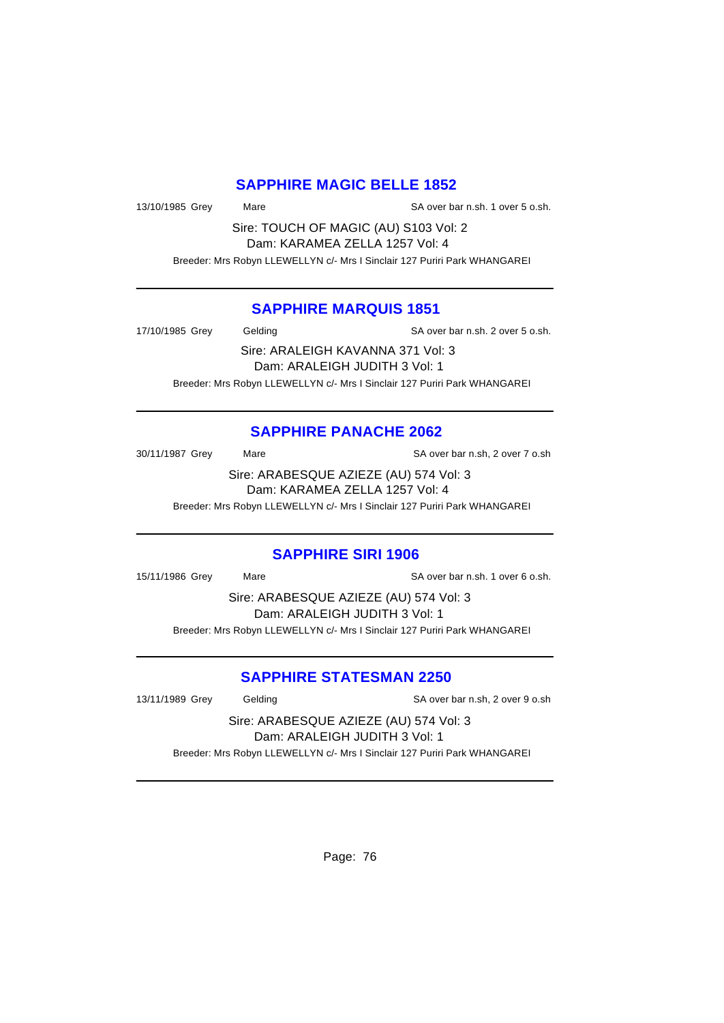## **SAPPHIRE MAGIC BELLE 1852**

13/10/1985 Grey Mare SA over bar n.sh. 1 over 5 o.sh.

Sire: TOUCH OF MAGIC (AU) S103 Vol: 2 Dam: KARAMEA ZELLA 1257 Vol: 4

Breeder: Mrs Robyn LLEWELLYN c/- Mrs I Sinclair 127 Puriri Park WHANGAREI

#### **SAPPHIRE MARQUIS 1851**

17/10/1985 Grey Gelding SA over bar n.sh. 2 over 5 o.sh.

Sire: ARALEIGH KAVANNA 371 Vol: 3 Dam: ARALEIGH JUDITH 3 Vol: 1 Breeder: Mrs Robyn LLEWELLYN c/- Mrs I Sinclair 127 Puriri Park WHANGAREI

# **SAPPHIRE PANACHE 2062**

30/11/1987 Grey Mare Mare SA over bar n.sh, 2 over 7 o.sh

Sire: ARABESQUE AZIEZE (AU) 574 Vol: 3 Dam: KARAMEA ZELLA 1257 Vol: 4

Breeder: Mrs Robyn LLEWELLYN c/- Mrs I Sinclair 127 Puriri Park WHANGAREI

### **SAPPHIRE SIRI 1906**

15/11/1986 Grey Mare SA over bar n.sh. 1 over 6 o.sh.

Sire: ARABESQUE AZIEZE (AU) 574 Vol: 3 Dam: ARALEIGH JUDITH 3 Vol: 1 Breeder: Mrs Robyn LLEWELLYN c/- Mrs I Sinclair 127 Puriri Park WHANGAREI

# **SAPPHIRE STATESMAN 2250**

13/11/1989 Grey Gelding SA over bar n.sh, 2 over 9 o.sh

Sire: ARABESQUE AZIEZE (AU) 574 Vol: 3 Dam: ARALEIGH JUDITH 3 Vol: 1

Breeder: Mrs Robyn LLEWELLYN c/- Mrs I Sinclair 127 Puriri Park WHANGAREI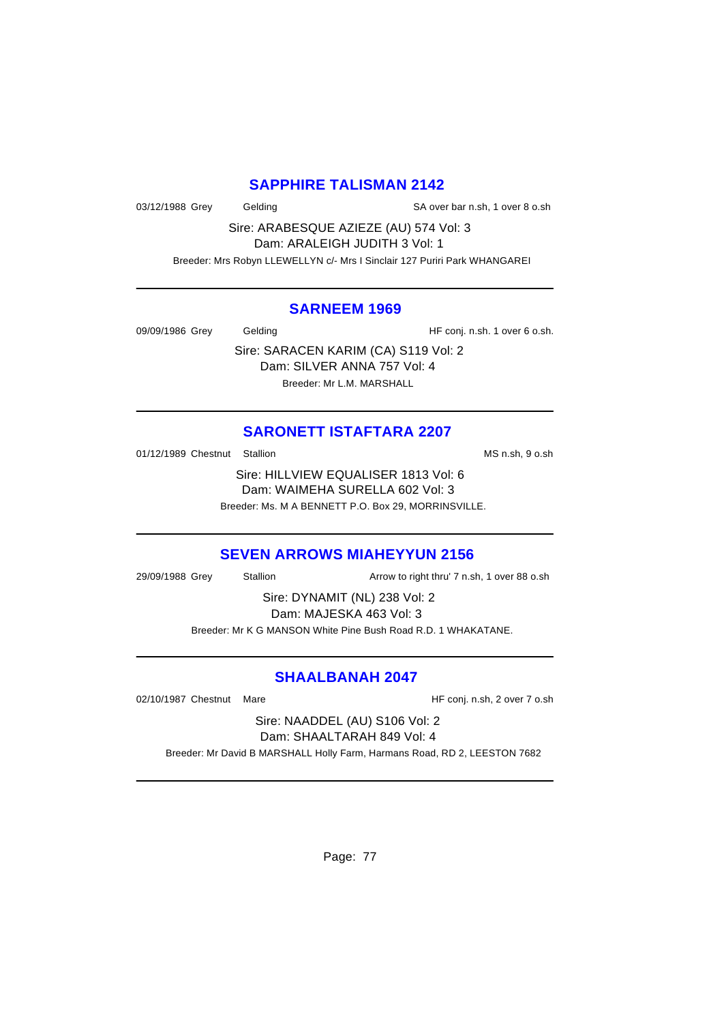# **SAPPHIRE TALISMAN 2142**

03/12/1988 Grey Gelding Gelding SA over bar n.sh, 1 over 8 o.sh

Sire: ARABESQUE AZIEZE (AU) 574 Vol: 3 Dam: ARALEIGH JUDITH 3 Vol: 1

Breeder: Mrs Robyn LLEWELLYN c/- Mrs I Sinclair 127 Puriri Park WHANGAREI

#### **SARNEEM 1969**

09/09/1986 Grey Gelding Gelding HF conj. n.sh. 1 over 6 o.sh.

Sire: SARACEN KARIM (CA) S119 Vol: 2 Dam: SILVER ANNA 757 Vol: 4 Breeder: Mr L.M. MARSHALL

# **SARONETT ISTAFTARA 2207**

01/12/1989 Chestnut Stallion MS n.sh, 9 o.sh

Sire: HILLVIEW EQUALISER 1813 Vol: 6 Dam: WAIMEHA SURELLA 602 Vol: 3 Breeder: Ms. M A BENNETT P.O. Box 29, MORRINSVILLE.

# **SEVEN ARROWS MIAHEYYUN 2156**

29/09/1988 Grey Stallion Arrow to right thru' 7 n.sh, 1 over 88 o.sh

Sire: DYNAMIT (NL) 238 Vol: 2 Dam: MAJESKA 463 Vol: 3 Breeder: Mr K G MANSON White Pine Bush Road R.D. 1 WHAKATANE.

# **SHAALBANAH 2047**

02/10/1987 Chestnut Mare **Mark 1988** HF conj. n.sh, 2 over 7 o.sh

Sire: NAADDEL (AU) S106 Vol: 2 Dam: SHAALTARAH 849 Vol: 4

Breeder: Mr David B MARSHALL Holly Farm, Harmans Road, RD 2, LEESTON 7682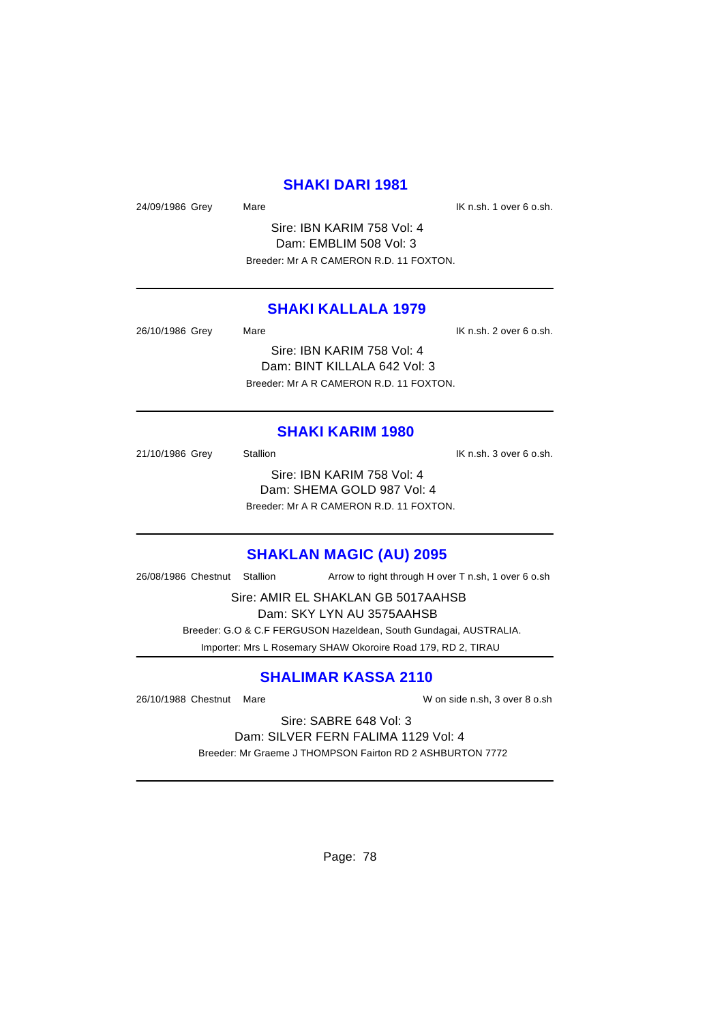### **SHAKI DARI 1981**

24/09/1986 Grey Mare Mare IX n.sh. 1 over 6 o.sh.

Sire: IBN KARIM 758 Vol: 4 Dam: EMBLIM 508 Vol: 3 Breeder: Mr A R CAMERON R.D. 11 FOXTON.

### **SHAKI KALLALA 1979**

| 26/10/1986 Grey | Mare                                    | IK n.sh. 2 over 6 o.sh. |
|-----------------|-----------------------------------------|-------------------------|
|                 | Sire: IBN KARIM 758 Vol: 4              |                         |
|                 | Dam: BINT KILLALA 642 Vol: 3            |                         |
|                 | Breeder: Mr A R CAMERON R.D. 11 FOXTON. |                         |

#### **SHAKI KARIM 1980**

21/10/1986 Grey Stallion Stallion State State State State State State State State State State State State State Sire: IBN KARIM 758 Vol: 4 Dam: SHEMA GOLD 987 Vol: 4 Breeder: Mr A R CAMERON R.D. 11 FOXTON.

**SHAKLAN MAGIC (AU) 2095**

26/08/1986 Chestnut Stallion Arrow to right through H over T n.sh, 1 over 6 o.sh

Sire: AMIR EL SHAKLAN GB 5017AAHSB Dam: SKY LYN AU 3575AAHSB

 Breeder: G.O & C.F FERGUSON Hazeldean, South Gundagai, AUSTRALIA. Importer: Mrs L Rosemary SHAW Okoroire Road 179, RD 2, TIRAU

# **SHALIMAR KASSA 2110**

26/10/1988 Chestnut Mare W on side n.sh, 3 over 8 o.sh

Sire: SABRE 648 Vol: 3 Dam: SILVER FERN FALIMA 1129 Vol: 4 Breeder: Mr Graeme J THOMPSON Fairton RD 2 ASHBURTON 7772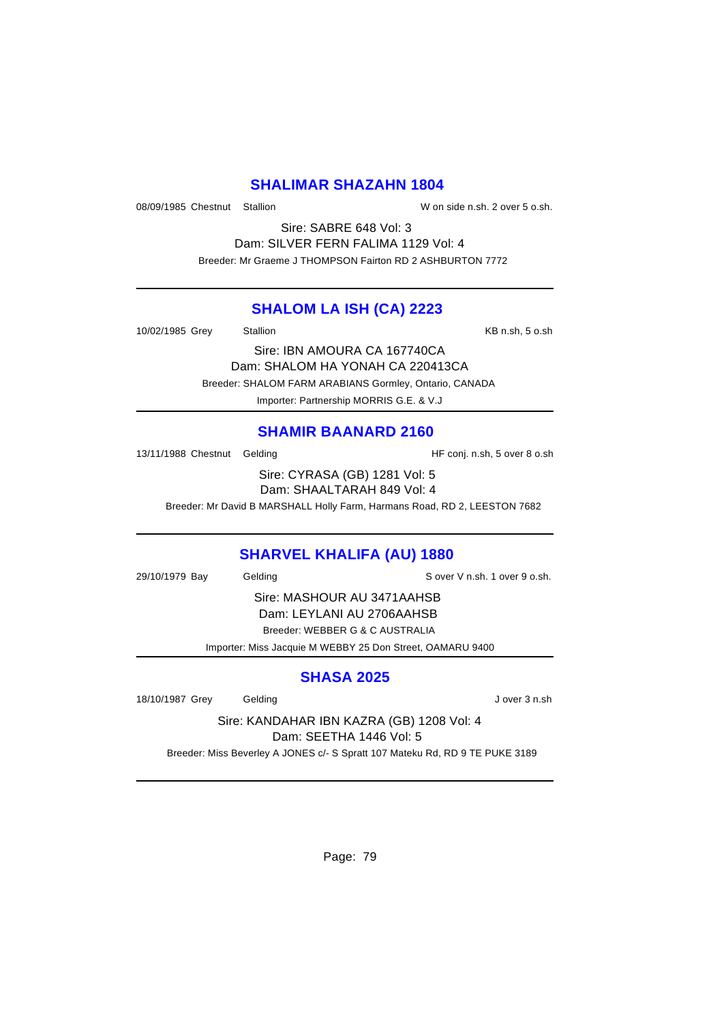### **SHALIMAR SHAZAHN 1804**

08/09/1985 Chestnut Stallion W on side n.sh. 2 over 5 o.sh.

Sire: SABRE 648 Vol: 3 Dam: SILVER FERN FALIMA 1129 Vol: 4 Breeder: Mr Graeme J THOMPSON Fairton RD 2 ASHBURTON 7772

### **SHALOM LA ISH (CA) 2223**

10/02/1985 Grey Stallion Stallion States States Assembly NB n.sh, 5 o.sh

Sire: IBN AMOURA CA 167740CA Dam: SHALOM HA YONAH CA 220413CA

Breeder: SHALOM FARM ARABIANS Gormley, Ontario, CANADA

Importer: Partnership MORRIS G.E. & V.J

# **SHAMIR BAANARD 2160**

13/11/1988 Chestnut Gelding The State of HF conj. n.sh, 5 over 8 o.sh

Sire: CYRASA (GB) 1281 Vol: 5 Dam: SHAALTARAH 849 Vol: 4

Breeder: Mr David B MARSHALL Holly Farm, Harmans Road, RD 2, LEESTON 7682

# **SHARVEL KHALIFA (AU) 1880**

29/10/1979 Bay Gelding S over V n.sh. 1 over 9 o.sh.

Sire: MASHOUR AU 3471AAHSB Dam: LEYLANI AU 2706AAHSB Breeder: WEBBER G & C AUSTRALIA

Importer: Miss Jacquie M WEBBY 25 Don Street, OAMARU 9400

# **SHASA 2025**

18/10/1987 Grey Gelding Gelding J over 3 n.sh

Sire: KANDAHAR IBN KAZRA (GB) 1208 Vol: 4 Dam: SEETHA 1446 Vol: 5

Breeder: Miss Beverley A JONES c/- S Spratt 107 Mateku Rd, RD 9 TE PUKE 3189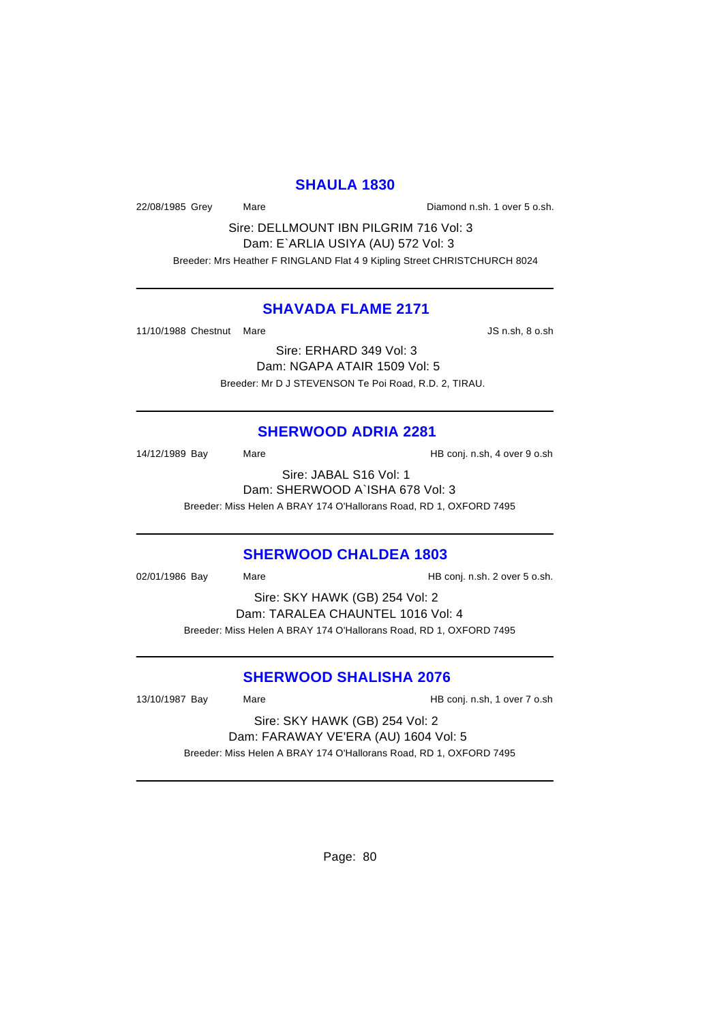### **SHAULA 1830**

22/08/1985 Grey Mare Diamond n.sh. 1 over 5 o.sh.

Sire: DELLMOUNT IBN PILGRIM 716 Vol: 3 Dam: E`ARLIA USIYA (AU) 572 Vol: 3 Breeder: Mrs Heather F RINGLAND Flat 4 9 Kipling Street CHRISTCHURCH 8024

### **SHAVADA FLAME 2171**

11/10/1988 Chestnut Mare **JS n.sh, 8 o.sh** 

Sire: ERHARD 349 Vol: 3 Dam: NGAPA ATAIR 1509 Vol: 5 Breeder: Mr D J STEVENSON Te Poi Road, R.D. 2, TIRAU.

### **SHERWOOD ADRIA 2281**

14/12/1989 Bay Mare Mare HB conj. n.sh, 4 over 9 o.sh

Sire: JABAL S16 Vol: 1 Dam: SHERWOOD A`ISHA 678 Vol: 3 Breeder: Miss Helen A BRAY 174 O'Hallorans Road, RD 1, OXFORD 7495

### **SHERWOOD CHALDEA 1803**

02/01/1986 Bay Mare Mare HB conj. n.sh. 2 over 5 o.sh.

Sire: SKY HAWK (GB) 254 Vol: 2 Dam: TARALEA CHAUNTEL 1016 Vol: 4 Breeder: Miss Helen A BRAY 174 O'Hallorans Road, RD 1, OXFORD 7495

### **SHERWOOD SHALISHA 2076**

13/10/1987 Bay Mare Mare HB conj. n.sh, 1 over 7 o.sh

Sire: SKY HAWK (GB) 254 Vol: 2 Dam: FARAWAY VE'ERA (AU) 1604 Vol: 5 Breeder: Miss Helen A BRAY 174 O'Hallorans Road, RD 1, OXFORD 7495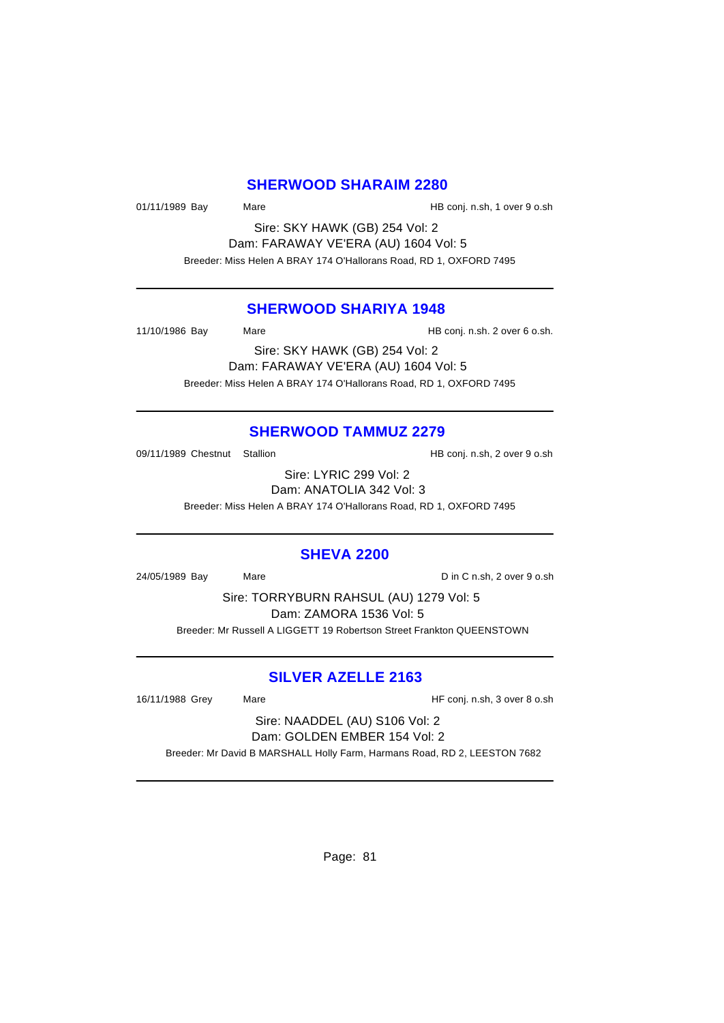#### **SHERWOOD SHARAIM 2280**

01/11/1989 Bay Mare Mare HB conj. n.sh, 1 over 9 o.sh

Sire: SKY HAWK (GB) 254 Vol: 2 Dam: FARAWAY VE'ERA (AU) 1604 Vol: 5 Breeder: Miss Helen A BRAY 174 O'Hallorans Road, RD 1, OXFORD 7495

#### **SHERWOOD SHARIYA 1948**

11/10/1986 Bay Mare HB conj. n.sh. 2 over 6 o.sh.

Sire: SKY HAWK (GB) 254 Vol: 2 Dam: FARAWAY VE'ERA (AU) 1604 Vol: 5 Breeder: Miss Helen A BRAY 174 O'Hallorans Road, RD 1, OXFORD 7495

#### **SHERWOOD TAMMUZ 2279**

09/11/1989 Chestnut Stallion HB conj. n.sh, 2 over 9 o.sh

Sire: LYRIC 299 Vol: 2 Dam: ANATOLIA 342 Vol: 3

Breeder: Miss Helen A BRAY 174 O'Hallorans Road, RD 1, OXFORD 7495

### **SHEVA 2200**

24/05/1989 Bay Mare Mare Din C n.sh, 2 over 9 o.sh

Sire: TORRYBURN RAHSUL (AU) 1279 Vol: 5 Dam: ZAMORA 1536 Vol: 5 Breeder: Mr Russell A LIGGETT 19 Robertson Street Frankton QUEENSTOWN

### **SILVER AZELLE 2163**

16/11/1988 Grey Mare Mare HF conj. n.sh, 3 over 8 o.sh

Sire: NAADDEL (AU) S106 Vol: 2 Dam: GOLDEN EMBER 154 Vol: 2

Breeder: Mr David B MARSHALL Holly Farm, Harmans Road, RD 2, LEESTON 7682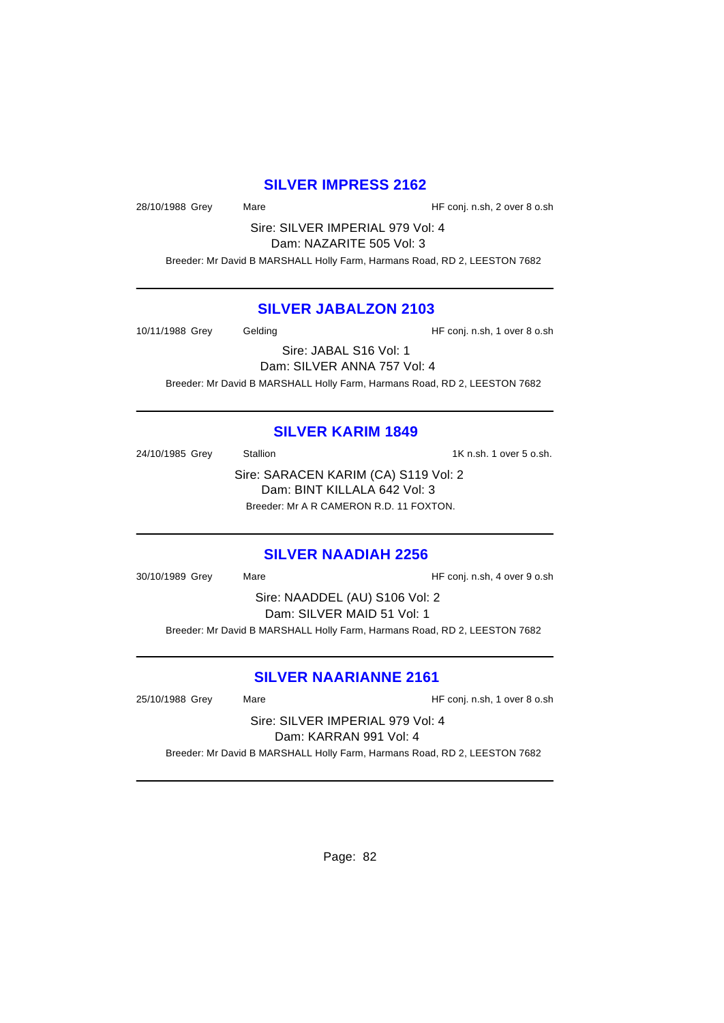### **SILVER IMPRESS 2162**

28/10/1988 Grey Mare Mare HF conj. n.sh, 2 over 8 o.sh

Sire: SILVER IMPERIAL 979 Vol: 4 Dam: NAZARITE 505 Vol: 3

Breeder: Mr David B MARSHALL Holly Farm, Harmans Road, RD 2, LEESTON 7682

### **SILVER JABALZON 2103**

10/11/1988 Grey Gelding Gelding HF conj. n.sh, 1 over 8 o.sh

Sire: JABAL S16 Vol: 1 Dam: SILVER ANNA 757 Vol: 4 Breeder: Mr David B MARSHALL Holly Farm, Harmans Road, RD 2, LEESTON 7682

### **SILVER KARIM 1849**

24/10/1985 Grey Stallion 31 States States States 1K n.sh. 1 over 5 o.sh. Sire: SARACEN KARIM (CA) S119 Vol: 2 Dam: BINT KILLALA 642 Vol: 3 Breeder: Mr A R CAMERON R.D. 11 FOXTON.

### **SILVER NAADIAH 2256**

30/10/1989 Grey Mare HF conj. n.sh, 4 over 9 o.sh Sire: NAADDEL (AU) S106 Vol: 2 Dam: SILVER MAID 51 Vol: 1 Breeder: Mr David B MARSHALL Holly Farm, Harmans Road, RD 2, LEESTON 7682

### **SILVER NAARIANNE 2161**

25/10/1988 Grey Mare Mare HF conj. n.sh, 1 over 8 o.sh

Sire: SILVER IMPERIAL 979 Vol: 4 Dam: KARRAN 991 Vol: 4

Breeder: Mr David B MARSHALL Holly Farm, Harmans Road, RD 2, LEESTON 7682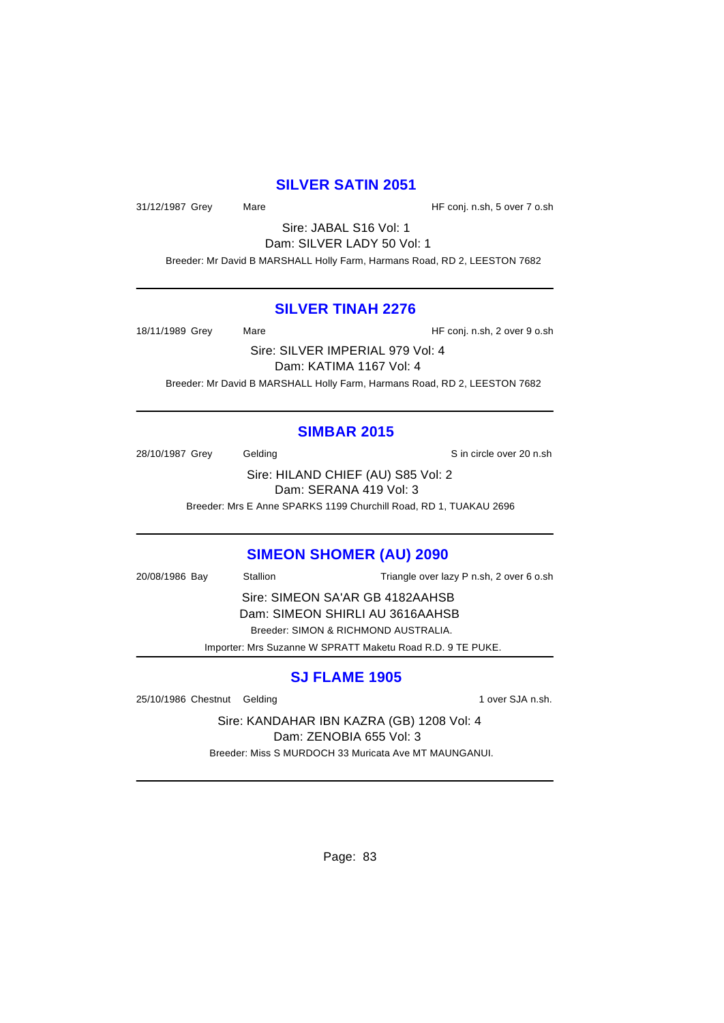### **SILVER SATIN 2051**

31/12/1987 Grey Mare Mare HF conj. n.sh, 5 over 7 o.sh

Sire: JABAL S16 Vol: 1 Dam: SILVER LADY 50 Vol: 1 Breeder: Mr David B MARSHALL Holly Farm, Harmans Road, RD 2, LEESTON 7682

#### **SILVER TINAH 2276**

18/11/1989 Grey Mare Mare HF conj. n.sh, 2 over 9 o.sh

Sire: SILVER IMPERIAL 979 Vol: 4 Dam: KATIMA 1167 Vol: 4 Breeder: Mr David B MARSHALL Holly Farm, Harmans Road, RD 2, LEESTON 7682

### **SIMBAR 2015**

28/10/1987 Grey Gelding Gelding Sin circle over 20 n.sh Sire: HILAND CHIEF (AU) S85 Vol: 2 Dam: SERANA 419 Vol: 3

Breeder: Mrs E Anne SPARKS 1199 Churchill Road, RD 1, TUAKAU 2696

### **SIMEON SHOMER (AU) 2090**

20/08/1986 Bay Stallion Triangle over lazy P n.sh, 2 over 6 o.sh Sire: SIMEON SA'AR GB 4182AAHSB Dam: SIMEON SHIRLI AU 3616AAHSB Breeder: SIMON & RICHMOND AUSTRALIA.

Importer: Mrs Suzanne W SPRATT Maketu Road R.D. 9 TE PUKE.

# **SJ FLAME 1905**

25/10/1986 Chestnut Gelding 1 over SJA n.sh.

Sire: KANDAHAR IBN KAZRA (GB) 1208 Vol: 4 Dam: ZENOBIA 655 Vol: 3 Breeder: Miss S MURDOCH 33 Muricata Ave MT MAUNGANUI.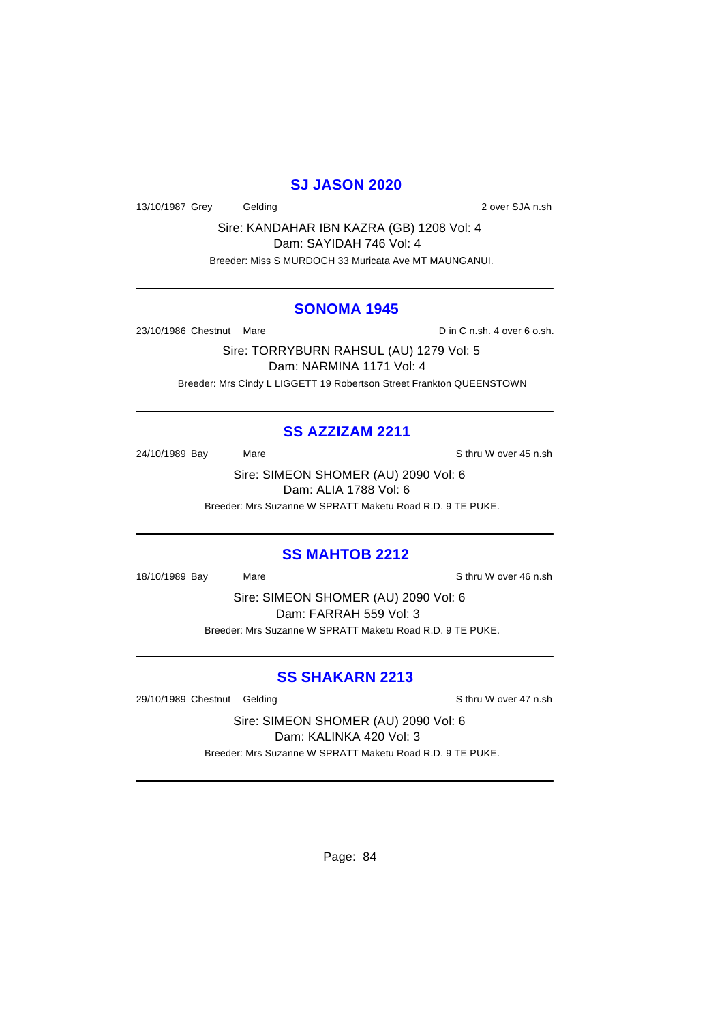## **SJ JASON 2020**

13/10/1987 Grey Gelding Care Contact Contact Contact Contact Contact Contact Contact Contact Contact Contact Contact Contact Contact Contact Contact Contact Contact Contact Contact Contact Contact Contact Contact Contact C

Sire: KANDAHAR IBN KAZRA (GB) 1208 Vol: 4 Dam: SAYIDAH 746 Vol: 4 Breeder: Miss S MURDOCH 33 Muricata Ave MT MAUNGANUI.

#### **SONOMA 1945**

23/10/1986 Chestnut Mare **D** in C n.sh. 4 over 6 o.sh.

Sire: TORRYBURN RAHSUL (AU) 1279 Vol: 5 Dam: NARMINA 1171 Vol: 4 Breeder: Mrs Cindy L LIGGETT 19 Robertson Street Frankton QUEENSTOWN

### **SS AZZIZAM 2211**

24/10/1989 Bay Mare Mare Share Sthru W over 45 n.sh

Sire: SIMEON SHOMER (AU) 2090 Vol: 6 Dam: ALIA 1788 Vol: 6 Breeder: Mrs Suzanne W SPRATT Maketu Road R.D. 9 TE PUKE.

#### **SS MAHTOB 2212**

18/10/1989 Bay Mare Sthru W over 46 n.sh

Sire: SIMEON SHOMER (AU) 2090 Vol: 6 Dam: FARRAH 559 Vol: 3 Breeder: Mrs Suzanne W SPRATT Maketu Road R.D. 9 TE PUKE.

### **SS SHAKARN 2213**

29/10/1989 Chestnut Gelding School and Sthru W over 47 n.sh

Sire: SIMEON SHOMER (AU) 2090 Vol: 6 Dam: KALINKA 420 Vol: 3 Breeder: Mrs Suzanne W SPRATT Maketu Road R.D. 9 TE PUKE.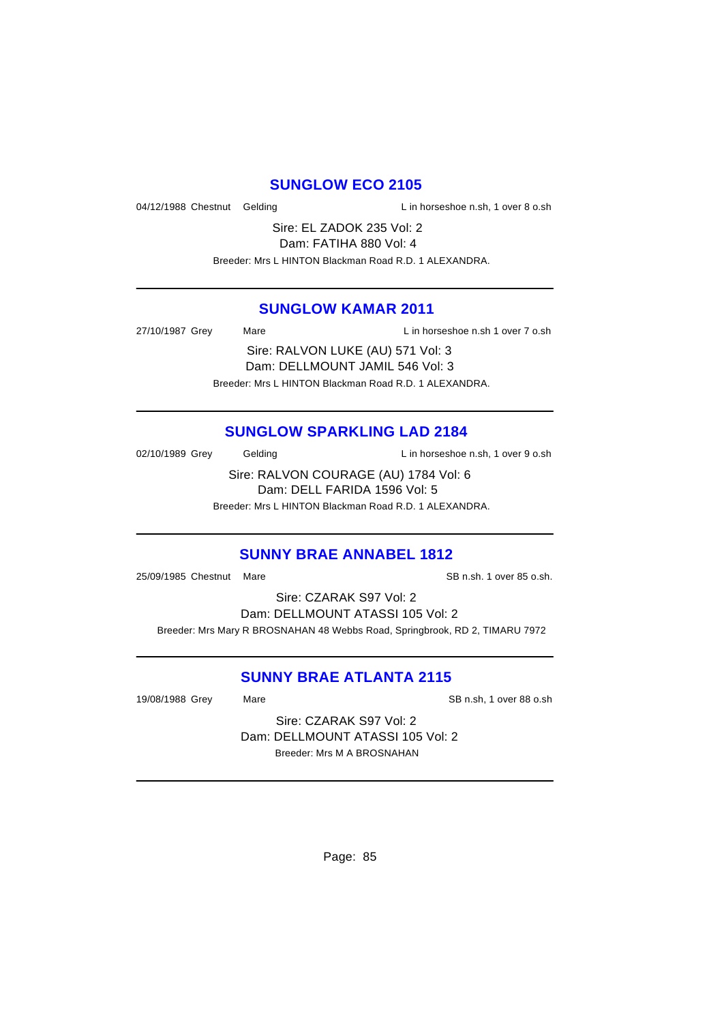### **SUNGLOW ECO 2105**

04/12/1988 Chestnut Gelding Lin horseshoe n.sh, 1 over 8 o.sh

Sire: EL ZADOK 235 Vol: 2 Dam: FATIHA 880 Vol: 4

Breeder: Mrs L HINTON Blackman Road R.D. 1 ALEXANDRA.

### **SUNGLOW KAMAR 2011**

27/10/1987 Grey Mare L in horseshoe n.sh 1 over 7 o.sh

Sire: RALVON LUKE (AU) 571 Vol: 3 Dam: DELLMOUNT JAMIL 546 Vol: 3 Breeder: Mrs L HINTON Blackman Road R.D. 1 ALEXANDRA.

# **SUNGLOW SPARKLING LAD 2184**

02/10/1989 Grey Gelding Contact L in horseshoe n.sh, 1 over 9 o.sh

Sire: RALVON COURAGE (AU) 1784 Vol: 6 Dam: DELL FARIDA 1596 Vol: 5

Breeder: Mrs L HINTON Blackman Road R.D. 1 ALEXANDRA.

# **SUNNY BRAE ANNABEL 1812**

25/09/1985 Chestnut Mare SB n.sh. 1 over 85 o.sh.

Sire: CZARAK S97 Vol: 2 Dam: DELLMOUNT ATASSI 105 Vol: 2 Breeder: Mrs Mary R BROSNAHAN 48 Webbs Road, Springbrook, RD 2, TIMARU 7972

# **SUNNY BRAE ATLANTA 2115**

19/08/1988 Grey Mare SB n.sh, 1 over 88 o.sh

Sire: CZARAK S97 Vol: 2 Dam: DELLMOUNT ATASSI 105 Vol: 2 Breeder: Mrs M A BROSNAHAN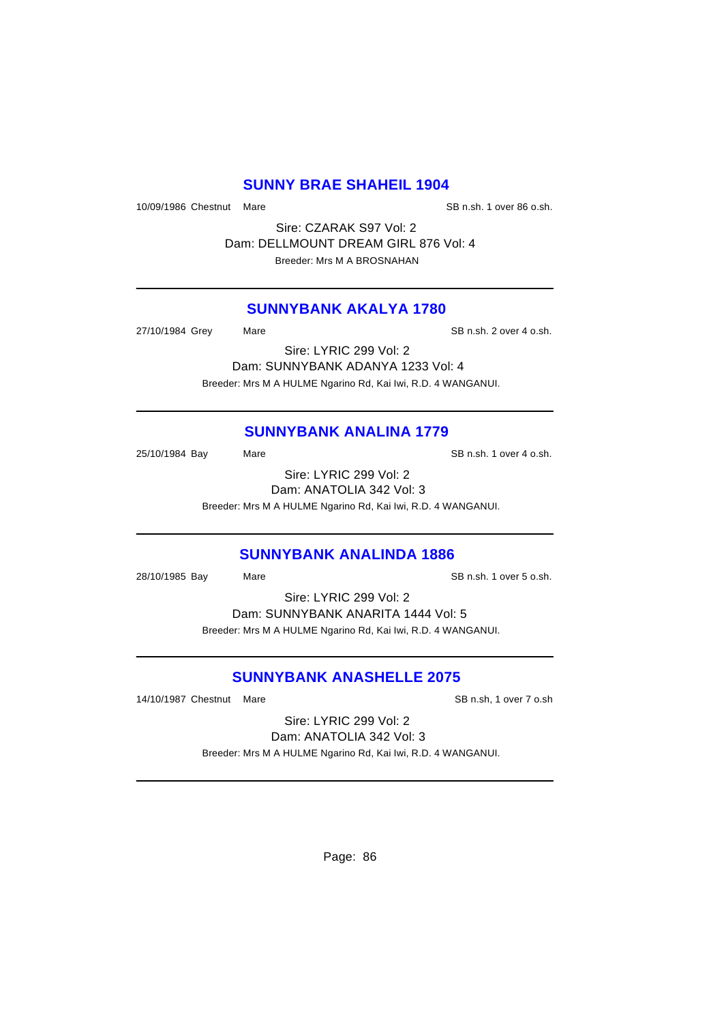### **SUNNY BRAE SHAHEIL 1904**

10/09/1986 Chestnut Mare SB n.sh. 1 over 86 o.sh.

Sire: CZARAK S97 Vol: 2 Dam: DELLMOUNT DREAM GIRL 876 Vol: 4 Breeder: Mrs M A BROSNAHAN

### **SUNNYBANK AKALYA 1780**

27/10/1984 Grey Mare Same SB n.sh. 2 over 4 o.sh.

Sire: LYRIC 299 Vol: 2 Dam: SUNNYBANK ADANYA 1233 Vol: 4 Breeder: Mrs M A HULME Ngarino Rd, Kai Iwi, R.D. 4 WANGANUI.

# **SUNNYBANK ANALINA 1779**

25/10/1984 Bay Mare Mare SB n.sh. 1 over 4 o.sh. Sire: LYRIC 299 Vol: 2

Dam: ANATOLIA 342 Vol: 3

Breeder: Mrs M A HULME Ngarino Rd, Kai Iwi, R.D. 4 WANGANUI.

### **SUNNYBANK ANALINDA 1886**

28/10/1985 Bay Mare Same SB n.sh. 1 over 5 o.sh.

Sire: LYRIC 299 Vol: 2

Dam: SUNNYBANK ANARITA 1444 Vol: 5 Breeder: Mrs M A HULME Ngarino Rd, Kai Iwi, R.D. 4 WANGANUI.

# **SUNNYBANK ANASHELLE 2075**

14/10/1987 Chestnut Mare SB n.sh, 1 over 7 o.sh

Sire: LYRIC 299 Vol: 2 Dam: ANATOLIA 342 Vol: 3 Breeder: Mrs M A HULME Ngarino Rd, Kai Iwi, R.D. 4 WANGANUI.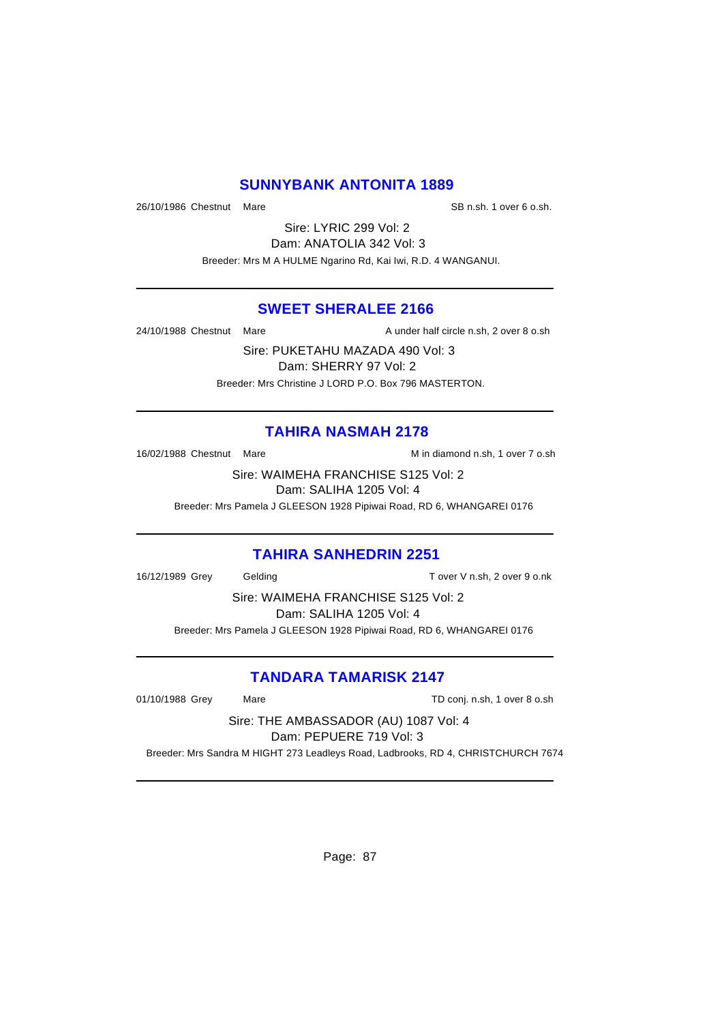### **SUNNYBANK ANTONITA 1889**

26/10/1986 Chestnut Mare Same SB n.sh. 1 over 6 o.sh.

Sire: LYRIC 299 Vol: 2 Dam: ANATOLIA 342 Vol: 3 Breeder: Mrs M A HULME Ngarino Rd, Kai Iwi, R.D. 4 WANGANUI.

### **SWEET SHERALEE 2166**

24/10/1988 Chestnut Mare A under half circle n.sh, 2 over 8 o.sh

Sire: PUKETAHU MAZADA 490 Vol: 3 Dam: SHERRY 97 Vol: 2 Breeder: Mrs Christine J LORD P.O. Box 796 MASTERTON.

### **TAHIRA NASMAH 2178**

16/02/1988 Chestnut Mare M in diamond n.sh, 1 over 7 o.sh

Sire: WAIMEHA FRANCHISE S125 Vol: 2 Dam: SALIHA 1205 Vol: 4 Breeder: Mrs Pamela J GLEESON 1928 Pipiwai Road, RD 6, WHANGAREI 0176

### **TAHIRA SANHEDRIN 2251**

16/12/1989 Grey Gelding T over V n.sh, 2 over 9 o.nk

Sire: WAIMEHA FRANCHISE S125 Vol: 2 Dam: SALIHA 1205 Vol: 4 Breeder: Mrs Pamela J GLEESON 1928 Pipiwai Road, RD 6, WHANGAREI 0176

# **TANDARA TAMARISK 2147**

01/10/1988 Grey Mare Mare TD conj. n.sh, 1 over 8 o.sh

Sire: THE AMBASSADOR (AU) 1087 Vol: 4

Dam: PEPUERE 719 Vol: 3

Breeder: Mrs Sandra M HIGHT 273 Leadleys Road, Ladbrooks, RD 4, CHRISTCHURCH 7674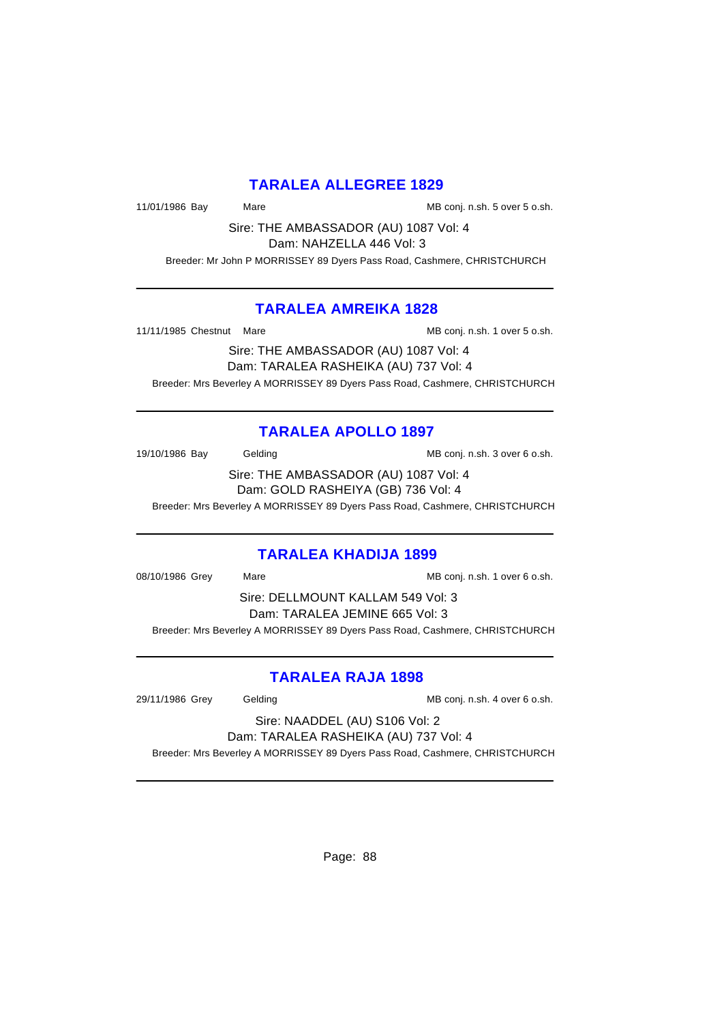# **TARALEA ALLEGREE 1829**

11/01/1986 Bay Mare Mare Manuel MB conj. n.sh. 5 over 5 o.sh.

Sire: THE AMBASSADOR (AU) 1087 Vol: 4 Dam: NAHZELLA 446 Vol: 3

Breeder: Mr John P MORRISSEY 89 Dyers Pass Road, Cashmere, CHRISTCHURCH

### **TARALEA AMREIKA 1828**

11/11/1985 Chestnut Mare MB conj. n.sh. 1 over 5 o.sh.

Sire: THE AMBASSADOR (AU) 1087 Vol: 4 Dam: TARALEA RASHEIKA (AU) 737 Vol: 4 Breeder: Mrs Beverley A MORRISSEY 89 Dyers Pass Road, Cashmere, CHRISTCHURCH

# **TARALEA APOLLO 1897**

19/10/1986 Bay Gelding Gelding MB conj. n.sh. 3 over 6 o.sh.

Sire: THE AMBASSADOR (AU) 1087 Vol: 4 Dam: GOLD RASHEIYA (GB) 736 Vol: 4

Breeder: Mrs Beverley A MORRISSEY 89 Dyers Pass Road, Cashmere, CHRISTCHURCH

# **TARALEA KHADIJA 1899**

08/10/1986 Grey Mare Mare Mate MB conj. n.sh. 1 over 6 o.sh. Sire: DELLMOUNT KALLAM 549 Vol: 3 Dam: TARALEA JEMINE 665 Vol: 3 Breeder: Mrs Beverley A MORRISSEY 89 Dyers Pass Road, Cashmere, CHRISTCHURCH

# **TARALEA RAJA 1898**

29/11/1986 Grey Gelding Conj. n.sh. 4 over 6 o.sh.

Sire: NAADDEL (AU) S106 Vol: 2 Dam: TARALEA RASHEIKA (AU) 737 Vol: 4

Breeder: Mrs Beverley A MORRISSEY 89 Dyers Pass Road, Cashmere, CHRISTCHURCH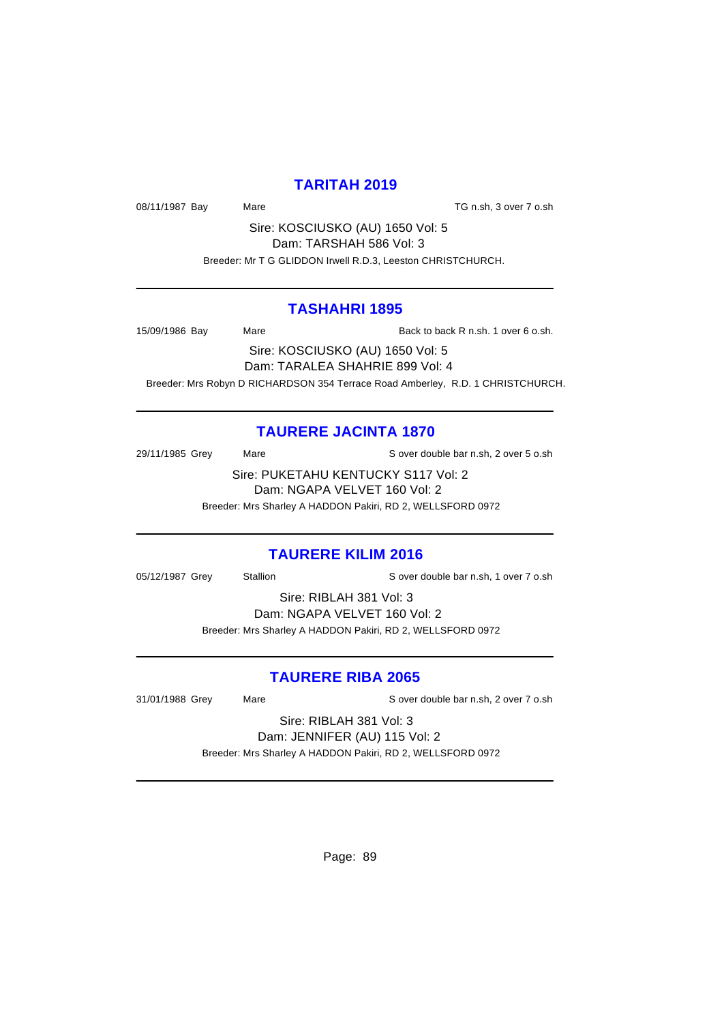### **TARITAH 2019**

08/11/1987 Bay Mare Mare TG n.sh, 3 over 7 o.sh

Sire: KOSCIUSKO (AU) 1650 Vol: 5 Dam: TARSHAH 586 Vol: 3 Breeder: Mr T G GLIDDON Irwell R.D.3, Leeston CHRISTCHURCH.

### **TASHAHRI 1895**

15/09/1986 Bay Mare Rack to back R n.sh. 1 over 6 o.sh.

Sire: KOSCIUSKO (AU) 1650 Vol: 5 Dam: TARALEA SHAHRIE 899 Vol: 4 Breeder: Mrs Robyn D RICHARDSON 354 Terrace Road Amberley, R.D. 1 CHRISTCHURCH.

# **TAURERE JACINTA 1870**

29/11/1985 Grey Mare Mare S over double bar n.sh, 2 over 5 o.sh

Sire: PUKETAHU KENTUCKY S117 Vol: 2 Dam: NGAPA VELVET 160 Vol: 2

Breeder: Mrs Sharley A HADDON Pakiri, RD 2, WELLSFORD 0972

# **TAURERE KILIM 2016**

05/12/1987 Grey Stallion Stallion Server double bar n.sh, 1 over 7 o.sh

Sire: RIBLAH 381 Vol: 3 Dam: NGAPA VELVET 160 Vol: 2 Breeder: Mrs Sharley A HADDON Pakiri, RD 2, WELLSFORD 0972

# **TAURERE RIBA 2065**

31/01/1988 Grey Mare S over double bar n.sh, 2 over 7 o.sh

Sire: RIBLAH 381 Vol: 3 Dam: JENNIFER (AU) 115 Vol: 2 Breeder: Mrs Sharley A HADDON Pakiri, RD 2, WELLSFORD 0972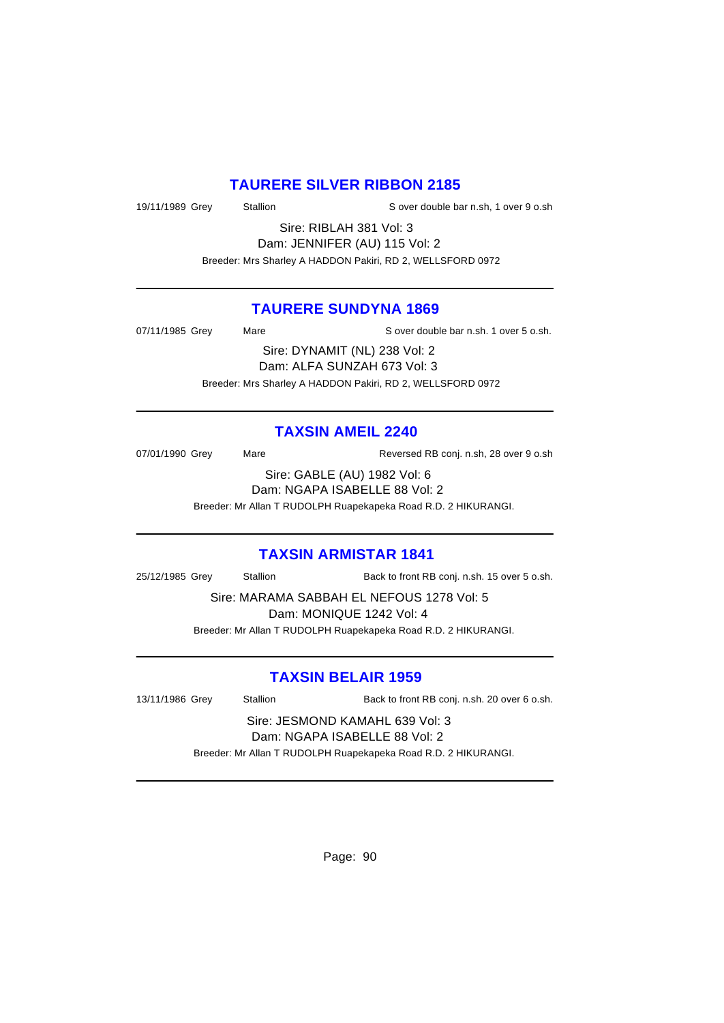## **TAURERE SILVER RIBBON 2185**

19/11/1989 Grey Stallion S over double bar n.sh, 1 over 9 o.sh

Sire: RIBLAH 381 Vol: 3 Dam: JENNIFER (AU) 115 Vol: 2 Breeder: Mrs Sharley A HADDON Pakiri, RD 2, WELLSFORD 0972

### **TAURERE SUNDYNA 1869**

07/11/1985 Grey Mare Sover double bar n.sh. 1 over 5 o.sh. Sire: DYNAMIT (NL) 238 Vol: 2 Dam: ALFA SUNZAH 673 Vol: 3 Breeder: Mrs Sharley A HADDON Pakiri, RD 2, WELLSFORD 0972

### **TAXSIN AMEIL 2240**

07/01/1990 Grey Mare Mare Reversed RB conj. n.sh, 28 over 9 o.sh

Sire: GABLE (AU) 1982 Vol: 6 Dam: NGAPA ISABELLE 88 Vol: 2

Breeder: Mr Allan T RUDOLPH Ruapekapeka Road R.D. 2 HIKURANGI.

### **TAXSIN ARMISTAR 1841**

25/12/1985 Grey Stallion Back to front RB conj. n.sh. 15 over 5 o.sh.

Sire: MARAMA SABBAH EL NEFOUS 1278 Vol: 5 Dam: MONIQUE 1242 Vol: 4

Breeder: Mr Allan T RUDOLPH Ruapekapeka Road R.D. 2 HIKURANGI.

# **TAXSIN BELAIR 1959**

13/11/1986 Grey Stallion Back to front RB conj. n.sh. 20 over 6 o.sh.

Sire: JESMOND KAMAHL 639 Vol: 3 Dam: NGAPA ISABELLE 88 Vol: 2

Breeder: Mr Allan T RUDOLPH Ruapekapeka Road R.D. 2 HIKURANGI.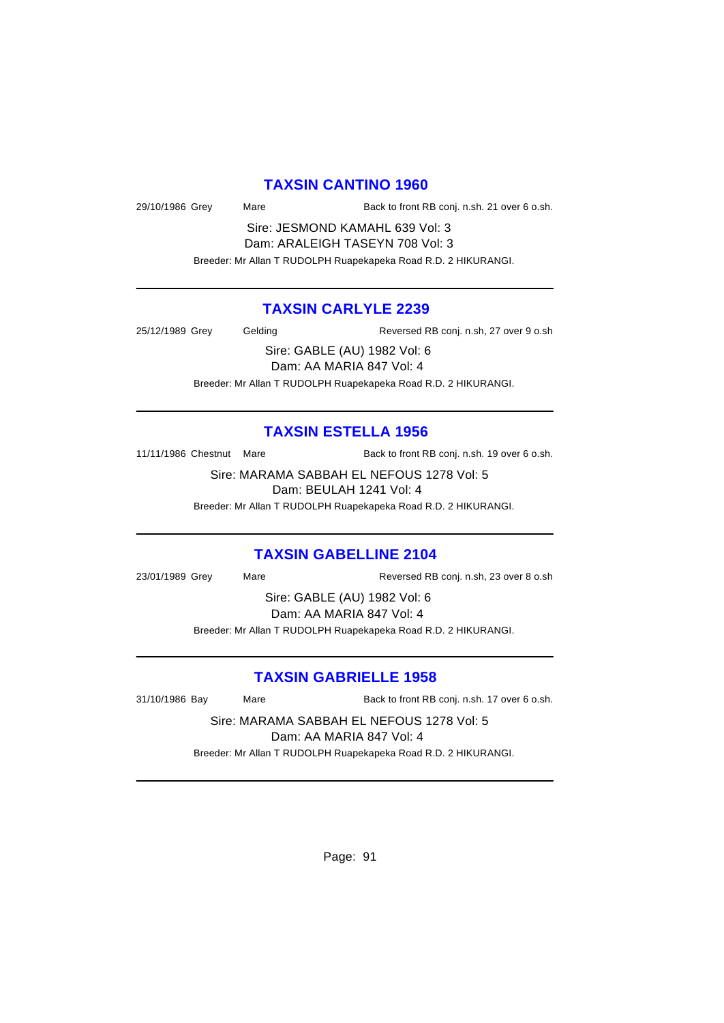#### **TAXSIN CANTINO 1960**

29/10/1986 Grey Mare Back to front RB conj. n.sh. 21 over 6 o.sh.

Sire: JESMOND KAMAHL 639 Vol: 3 Dam: ARALEIGH TASEYN 708 Vol: 3

Breeder: Mr Allan T RUDOLPH Ruapekapeka Road R.D. 2 HIKURANGI.

# **TAXSIN CARLYLE 2239**

25/12/1989 Grey Gelding Reversed RB conj. n.sh, 27 over 9 o.sh

Sire: GABLE (AU) 1982 Vol: 6

Dam: AA MARIA 847 Vol: 4

Breeder: Mr Allan T RUDOLPH Ruapekapeka Road R.D. 2 HIKURANGI.

### **TAXSIN ESTELLA 1956**

11/11/1986 Chestnut Mare Back to front RB conj. n.sh. 19 over 6 o.sh.

Sire: MARAMA SABBAH EL NEFOUS 1278 Vol: 5 Dam: BEULAH 1241 Vol: 4

Breeder: Mr Allan T RUDOLPH Ruapekapeka Road R.D. 2 HIKURANGI.

#### **TAXSIN GABELLINE 2104**

23/01/1989 Grey Mare Mare Reversed RB conj. n.sh, 23 over 8 o.sh

Sire: GABLE (AU) 1982 Vol: 6 Dam: AA MARIA 847 Vol: 4

Breeder: Mr Allan T RUDOLPH Ruapekapeka Road R.D. 2 HIKURANGI.

# **TAXSIN GABRIELLE 1958**

31/10/1986 Bay Mare Back to front RB conj. n.sh. 17 over 6 o.sh.

Sire: MARAMA SABBAH EL NEFOUS 1278 Vol: 5 Dam: AA MARIA 847 Vol: 4

Breeder: Mr Allan T RUDOLPH Ruapekapeka Road R.D. 2 HIKURANGI.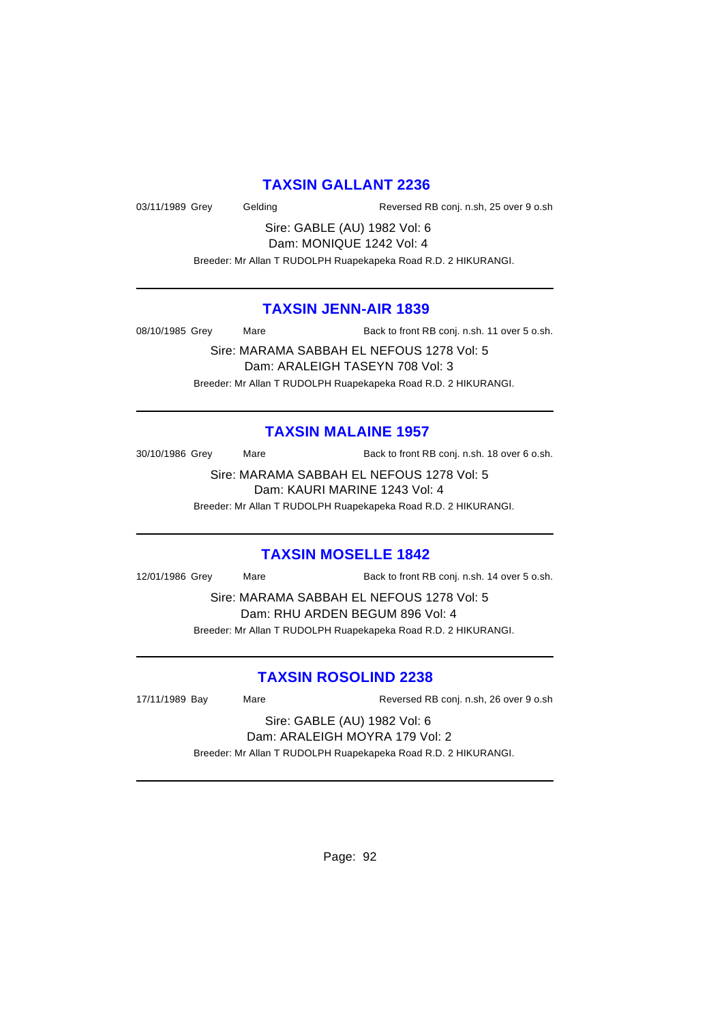#### **TAXSIN GALLANT 2236**

03/11/1989 Grey Gelding Reversed RB conj. n.sh, 25 over 9 o.sh

Sire: GABLE (AU) 1982 Vol: 6 Dam: MONIQUE 1242 Vol: 4

Breeder: Mr Allan T RUDOLPH Ruapekapeka Road R.D. 2 HIKURANGI.

### **TAXSIN JENN-AIR 1839**

08/10/1985 Grey Mare Back to front RB conj. n.sh. 11 over 5 o.sh.

Sire: MARAMA SABBAH EL NEFOUS 1278 Vol: 5 Dam: ARALEIGH TASEYN 708 Vol: 3 Breeder: Mr Allan T RUDOLPH Ruapekapeka Road R.D. 2 HIKURANGI.

### **TAXSIN MALAINE 1957**

30/10/1986 Grey Mare Back to front RB conj. n.sh. 18 over 6 o.sh.

Sire: MARAMA SABBAH EL NEFOUS 1278 Vol: 5 Dam: KAURI MARINE 1243 Vol: 4

Breeder: Mr Allan T RUDOLPH Ruapekapeka Road R.D. 2 HIKURANGI.

# **TAXSIN MOSELLE 1842**

12/01/1986 Grey Mare Back to front RB conj. n.sh. 14 over 5 o.sh.

Sire: MARAMA SABBAH EL NEFOUS 1278 Vol: 5 Dam: RHU ARDEN BEGUM 896 Vol: 4

Breeder: Mr Allan T RUDOLPH Ruapekapeka Road R.D. 2 HIKURANGI.

# **TAXSIN ROSOLIND 2238**

17/11/1989 Bay Mare Mare Reversed RB conj. n.sh, 26 over 9 o.sh

#### Sire: GABLE (AU) 1982 Vol: 6 Dam: ARALEIGH MOYRA 179 Vol: 2

Breeder: Mr Allan T RUDOLPH Ruapekapeka Road R.D. 2 HIKURANGI.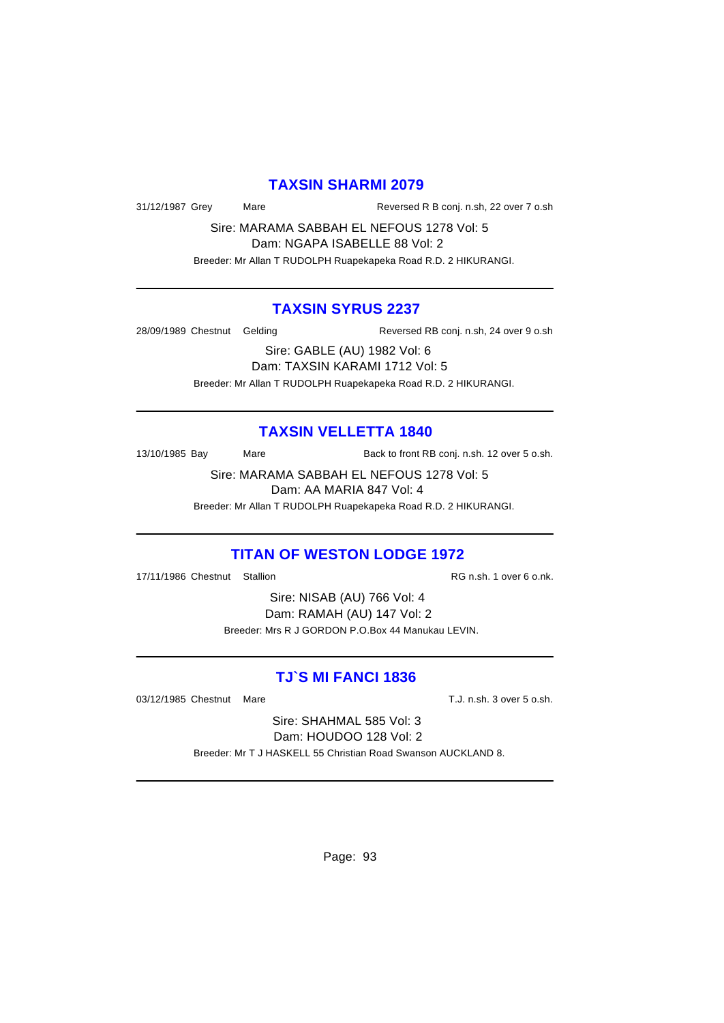#### **TAXSIN SHARMI 2079**

31/12/1987 Grey Mare Reversed R B conj. n.sh, 22 over 7 o.sh

Sire: MARAMA SABBAH EL NEFOUS 1278 Vol: 5 Dam: NGAPA ISABELLE 88 Vol: 2

Breeder: Mr Allan T RUDOLPH Ruapekapeka Road R.D. 2 HIKURANGI.

#### **TAXSIN SYRUS 2237**

28/09/1989 Chestnut Gelding Reversed RB conj. n.sh, 24 over 9 o.sh

Sire: GABLE (AU) 1982 Vol: 6 Dam: TAXSIN KARAMI 1712 Vol: 5 Breeder: Mr Allan T RUDOLPH Ruapekapeka Road R.D. 2 HIKURANGI.

#### **TAXSIN VELLETTA 1840**

13/10/1985 Bay Mare Back to front RB conj. n.sh. 12 over 5 o.sh.

Sire: MARAMA SABBAH EL NEFOUS 1278 Vol: 5 Dam: AA MARIA 847 Vol: 4

Breeder: Mr Allan T RUDOLPH Ruapekapeka Road R.D. 2 HIKURANGI.

### **TITAN OF WESTON LODGE 1972**

17/11/1986 Chestnut Stallion **RG 100 Chestnut** Stallion RG n.sh. 1 over 6 o.nk.

Sire: NISAB (AU) 766 Vol: 4 Dam: RAMAH (AU) 147 Vol: 2 Breeder: Mrs R J GORDON P.O.Box 44 Manukau LEVIN.

# **TJ`S MI FANCI 1836**

03/12/1985 Chestnut Mare T.J. n.sh. 3 over 5 o.sh.

Sire: SHAHMAL 585 Vol: 3 Dam: HOUDOO 128 Vol: 2

Breeder: Mr T J HASKELL 55 Christian Road Swanson AUCKLAND 8.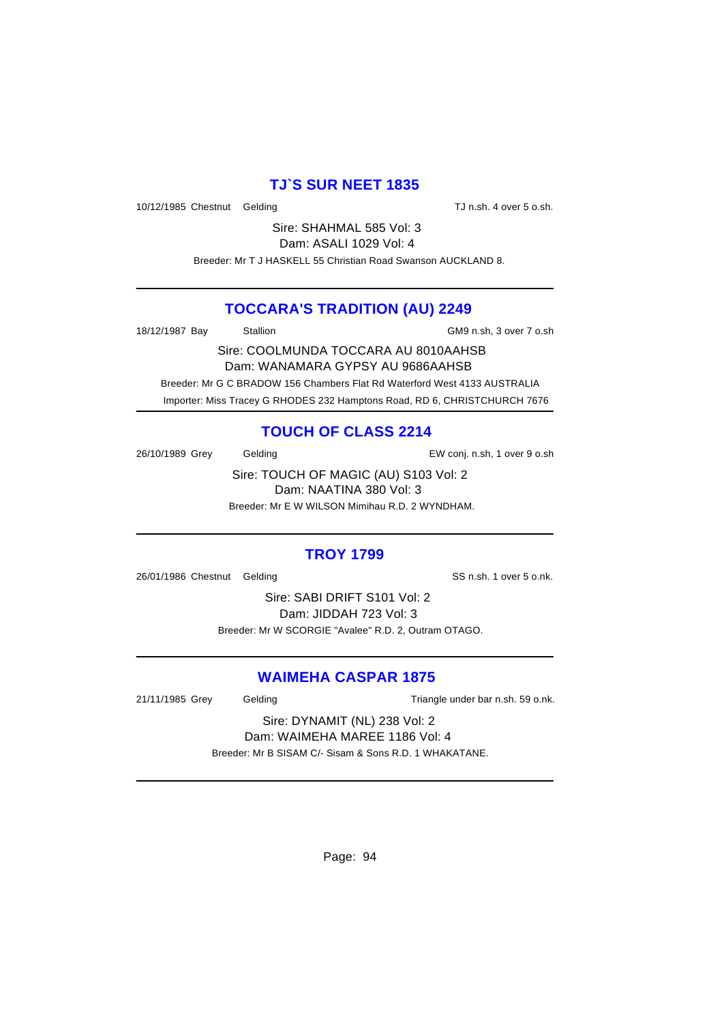# **TJ`S SUR NEET 1835**

10/12/1985 Chestnut Gelding TJ n.sh. 4 over 5 o.sh.

Sire: SHAHMAL 585 Vol: 3 Dam: ASALI 1029 Vol: 4

Breeder: Mr T J HASKELL 55 Christian Road Swanson AUCKLAND 8.

# **TOCCARA'S TRADITION (AU) 2249**

18/12/1987 Bay Stallion GM9 n.sh, 3 over 7 o.sh

Sire: COOLMUNDA TOCCARA AU 8010AAHSB Dam: WANAMARA GYPSY AU 9686AAHSB Breeder: Mr G C BRADOW 156 Chambers Flat Rd Waterford West 4133 AUSTRALIA

Importer: Miss Tracey G RHODES 232 Hamptons Road, RD 6, CHRISTCHURCH 7676

# **TOUCH OF CLASS 2214**

26/10/1989 Grey Gelding EW conj. n.sh, 1 over 9 o.sh

Sire: TOUCH OF MAGIC (AU) S103 Vol: 2 Dam: NAATINA 380 Vol: 3 Breeder: Mr E W WILSON Mimihau R.D. 2 WYNDHAM.

# **TROY 1799**

26/01/1986 Chestnut Gelding SS n.sh. 1 over 5 o.nk.

Sire: SABI DRIFT S101 Vol: 2 Dam: JIDDAH 723 Vol: 3 Breeder: Mr W SCORGIE "Avalee" R.D. 2, Outram OTAGO.

# **WAIMEHA CASPAR 1875**

21/11/1985 Grey Gelding Cast Controller Triangle under bar n.sh. 59 o.nk.

#### Sire: DYNAMIT (NL) 238 Vol: 2 Dam: WAIMEHA MAREE 1186 Vol: 4

Breeder: Mr B SISAM C/- Sisam & Sons R.D. 1 WHAKATANE.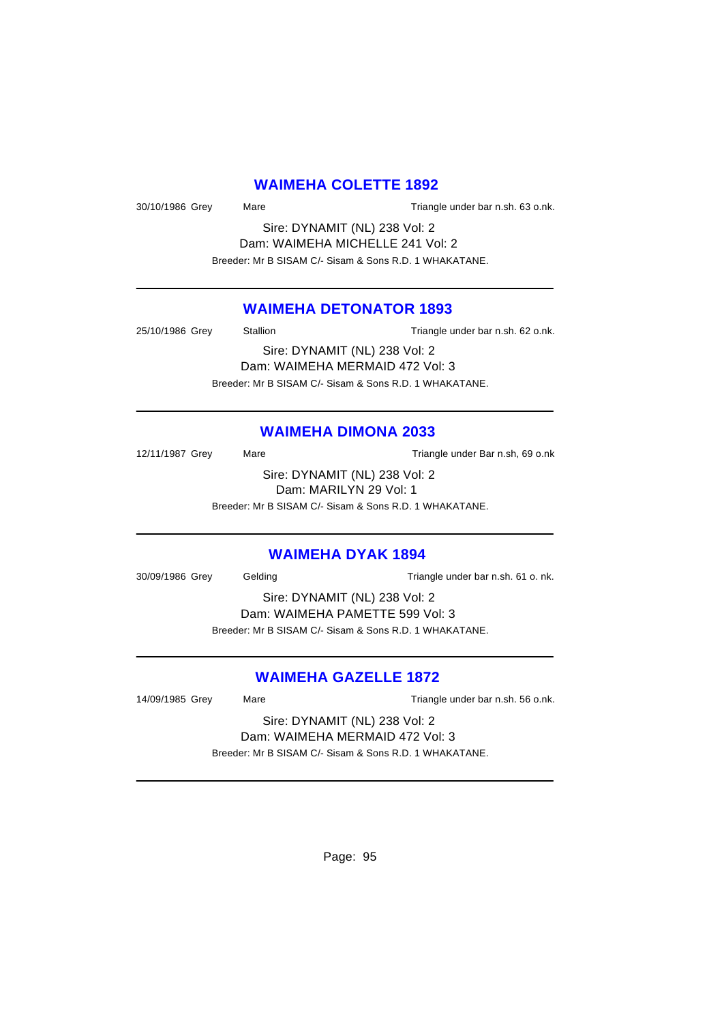### **WAIMEHA COLETTE 1892**

30/10/1986 Grey Mare Mare Triangle under bar n.sh. 63 o.nk.

Sire: DYNAMIT (NL) 238 Vol: 2 Dam: WAIMEHA MICHELLE 241 Vol: 2 Breeder: Mr B SISAM C/- Sisam & Sons R.D. 1 WHAKATANE.

### **WAIMEHA DETONATOR 1893**

25/10/1986 Grey Stallion Stallion Triangle under bar n.sh. 62 o.nk.

Sire: DYNAMIT (NL) 238 Vol: 2 Dam: WAIMEHA MERMAID 472 Vol: 3 Breeder: Mr B SISAM C/- Sisam & Sons R.D. 1 WHAKATANE.

### **WAIMEHA DIMONA 2033**

12/11/1987 Grey Mare Mare Triangle under Bar n.sh, 69 o.nk

Sire: DYNAMIT (NL) 238 Vol: 2 Dam: MARILYN 29 Vol: 1

Breeder: Mr B SISAM C/- Sisam & Sons R.D. 1 WHAKATANE.

### **WAIMEHA DYAK 1894**

30/09/1986 Grey Gelding Gelding Triangle under bar n.sh. 61 o. nk.

Sire: DYNAMIT (NL) 238 Vol: 2 Dam: WAIMEHA PAMETTE 599 Vol: 3 Breeder: Mr B SISAM C/- Sisam & Sons R.D. 1 WHAKATANE.

# **WAIMEHA GAZELLE 1872**

14/09/1985 Grey Mare Mare Triangle under bar n.sh. 56 o.nk.

Sire: DYNAMIT (NL) 238 Vol: 2 Dam: WAIMEHA MERMAID 472 Vol: 3

Breeder: Mr B SISAM C/- Sisam & Sons R.D. 1 WHAKATANE.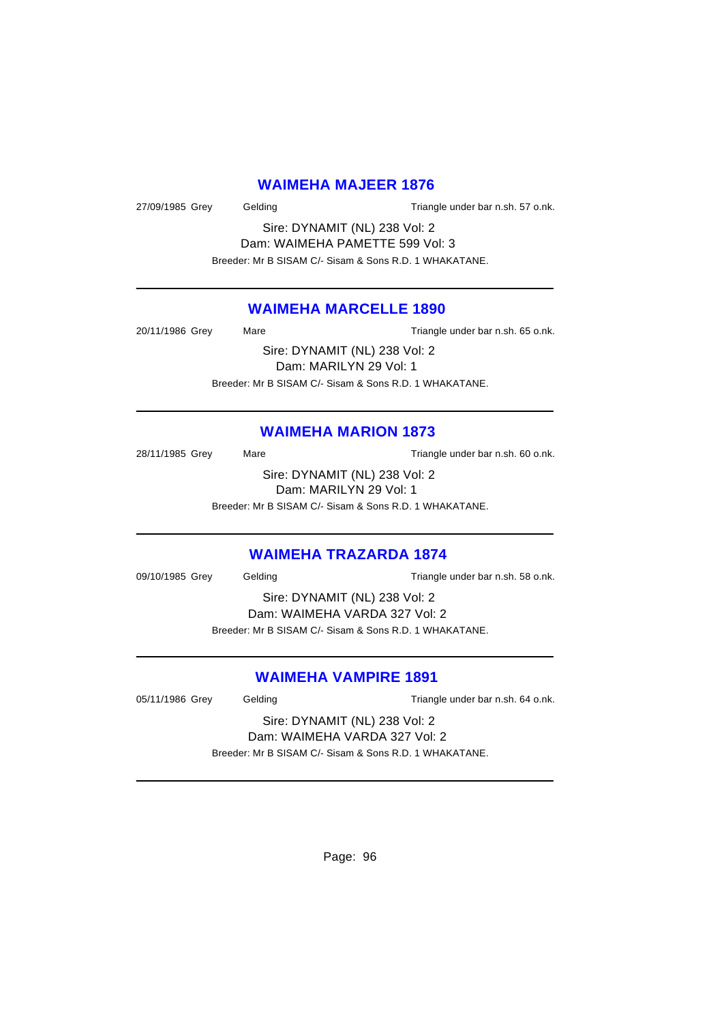### **WAIMEHA MAJEER 1876**

27/09/1985 Grey Gelding Gelding Triangle under bar n.sh. 57 o.nk.

Sire: DYNAMIT (NL) 238 Vol: 2 Dam: WAIMEHA PAMETTE 599 Vol: 3 Breeder: Mr B SISAM C/- Sisam & Sons R.D. 1 WHAKATANE.

### **WAIMEHA MARCELLE 1890**

20/11/1986 Grey Mare Mare Triangle under bar n.sh. 65 o.nk. Sire: DYNAMIT (NL) 238 Vol: 2

Dam: MARILYN 29 Vol: 1 Breeder: Mr B SISAM C/- Sisam & Sons R.D. 1 WHAKATANE.

### **WAIMEHA MARION 1873**

28/11/1985 Grey Mare Mare Triangle under bar n.sh. 60 o.nk. Sire: DYNAMIT (NL) 238 Vol: 2

Dam: MARILYN 29 Vol: 1

Breeder: Mr B SISAM C/- Sisam & Sons R.D. 1 WHAKATANE.

### **WAIMEHA TRAZARDA 1874**

09/10/1985 Grey Gelding Gelding Triangle under bar n.sh. 58 o.nk.

Sire: DYNAMIT (NL) 238 Vol: 2 Dam: WAIMEHA VARDA 327 Vol: 2 Breeder: Mr B SISAM C/- Sisam & Sons R.D. 1 WHAKATANE.

# **WAIMEHA VAMPIRE 1891**

05/11/1986 Grey Gelding Contact Triangle under bar n.sh. 64 o.nk.

Sire: DYNAMIT (NL) 238 Vol: 2 Dam: WAIMEHA VARDA 327 Vol: 2

Breeder: Mr B SISAM C/- Sisam & Sons R.D. 1 WHAKATANE.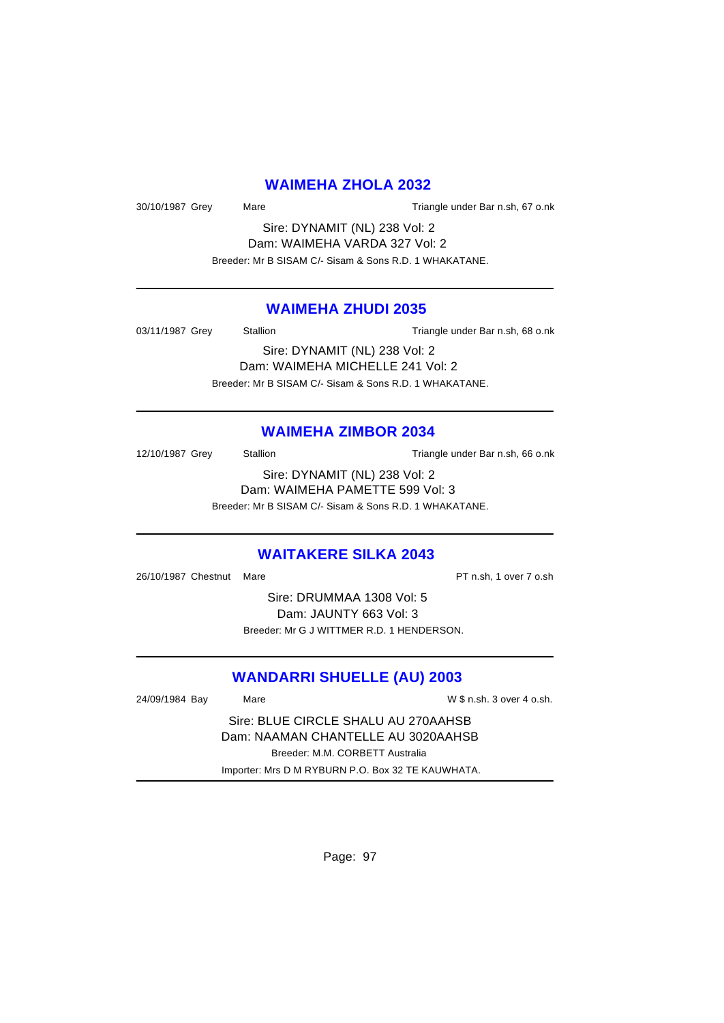#### **WAIMEHA ZHOLA 2032**

30/10/1987 Grey Mare Mare Triangle under Bar n.sh, 67 o.nk

Sire: DYNAMIT (NL) 238 Vol: 2 Dam: WAIMEHA VARDA 327 Vol: 2 Breeder: Mr B SISAM C/- Sisam & Sons R.D. 1 WHAKATANE.

### **WAIMEHA ZHUDI 2035**

03/11/1987 Grey Stallion Stallion Triangle under Bar n.sh, 68 o.nk

Sire: DYNAMIT (NL) 238 Vol: 2 Dam: WAIMEHA MICHELLE 241 Vol: 2 Breeder: Mr B SISAM C/- Sisam & Sons R.D. 1 WHAKATANE.

#### **WAIMEHA ZIMBOR 2034**

12/10/1987 Grey Stallion Stallion Triangle under Bar n.sh, 66 o.nk Sire: DYNAMIT (NL) 238 Vol: 2

Dam: WAIMEHA PAMETTE 599 Vol: 3 Breeder: Mr B SISAM C/- Sisam & Sons R.D. 1 WHAKATANE.

#### **WAITAKERE SILKA 2043**

26/10/1987 Chestnut Mare **PT n.sh, 1 over 7 o.sh** 

Sire: DRUMMAA 1308 Vol: 5 Dam: JAUNTY 663 Vol: 3 Breeder: Mr G J WITTMER R.D. 1 HENDERSON.

### **WANDARRI SHUELLE (AU) 2003**

24/09/1984 Bay Mare W \$ n.sh. 3 over 4 o.sh. Sire: BLUE CIRCLE SHALU AU 270AAHSB Dam: NAAMAN CHANTELLE AU 3020AAHSB Breeder: M.M. CORBETT Australia Importer: Mrs D M RYBURN P.O. Box 32 TE KAUWHATA.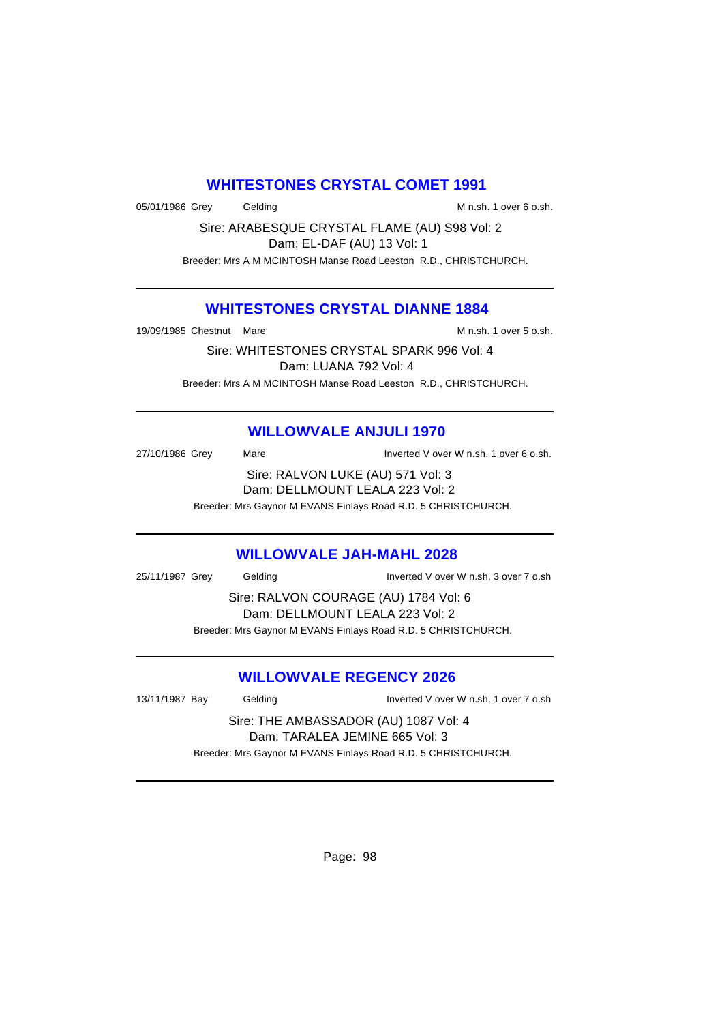### **WHITESTONES CRYSTAL COMET 1991**

05/01/1986 Grey Gelding Gelding M n.sh. 1 over 6 o.sh.

Sire: ARABESQUE CRYSTAL FLAME (AU) S98 Vol: 2 Dam: EL-DAF (AU) 13 Vol: 1 Breeder: Mrs A M MCINTOSH Manse Road Leeston R.D., CHRISTCHURCH.

### **WHITESTONES CRYSTAL DIANNE 1884**

19/09/1985 Chestnut Mare M n.sh. 1 over 5 o.sh.

Sire: WHITESTONES CRYSTAL SPARK 996 Vol: 4 Dam: LUANA 792 Vol: 4 Breeder: Mrs A M MCINTOSH Manse Road Leeston R.D., CHRISTCHURCH.

# **WILLOWVALE ANJULI 1970**

| 27/10/1986 Grey                   | Mare                                                          | Inverted V over W n.sh. 1 over 6 o.sh. |  |  |
|-----------------------------------|---------------------------------------------------------------|----------------------------------------|--|--|
| Sire: RALVON LUKE (AU) 571 Vol: 3 |                                                               |                                        |  |  |
|                                   | Dam: DELLMOUNT LEALA 223 Vol: 2                               |                                        |  |  |
|                                   | Breeder: Mrs Gaynor M EVANS Finlays Road R.D. 5 CHRISTCHURCH. |                                        |  |  |

### **WILLOWVALE JAH-MAHL 2028**

25/11/1987 Grey Gelding Inverted V over W n.sh, 3 over 7 o.sh

Sire: RALVON COURAGE (AU) 1784 Vol: 6 Dam: DELLMOUNT LEALA 223 Vol: 2 Breeder: Mrs Gaynor M EVANS Finlays Road R.D. 5 CHRISTCHURCH.

# **WILLOWVALE REGENCY 2026**

13/11/1987 Bay Gelding Inverted V over W n.sh, 1 over 7 o.sh Sire: THE AMBASSADOR (AU) 1087 Vol: 4 Dam: TARALEA JEMINE 665 Vol: 3 Breeder: Mrs Gaynor M EVANS Finlays Road R.D. 5 CHRISTCHURCH.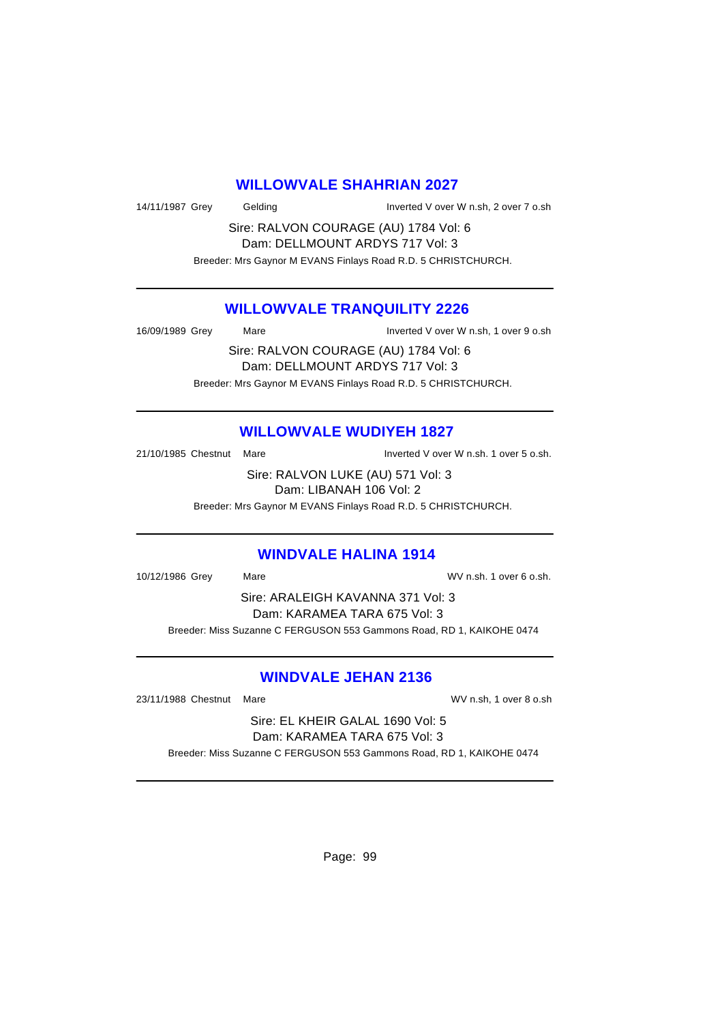#### **WILLOWVALE SHAHRIAN 2027**

14/11/1987 Grey Gelding Inverted V over W n.sh, 2 over 7 o.sh

Sire: RALVON COURAGE (AU) 1784 Vol: 6 Dam: DELLMOUNT ARDYS 717 Vol: 3

Breeder: Mrs Gaynor M EVANS Finlays Road R.D. 5 CHRISTCHURCH.

### **WILLOWVALE TRANQUILITY 2226**

16/09/1989 Grey Mare Inverted V over W n.sh, 1 over 9 o.sh

Sire: RALVON COURAGE (AU) 1784 Vol: 6 Dam: DELLMOUNT ARDYS 717 Vol: 3 Breeder: Mrs Gaynor M EVANS Finlays Road R.D. 5 CHRISTCHURCH.

# **WILLOWVALE WUDIYEH 1827**

21/10/1985 Chestnut Mare Inverted V over W n.sh. 1 over 5 o.sh.

Sire: RALVON LUKE (AU) 571 Vol: 3 Dam: LIBANAH 106 Vol: 2

Breeder: Mrs Gaynor M EVANS Finlays Road R.D. 5 CHRISTCHURCH.

# **WINDVALE HALINA 1914**

10/12/1986 Grey Mare WV n.sh. 1 over 6 o.sh.

Sire: ARALEIGH KAVANNA 371 Vol: 3 Dam: KARAMEA TARA 675 Vol: 3 Breeder: Miss Suzanne C FERGUSON 553 Gammons Road, RD 1, KAIKOHE 0474

# **WINDVALE JEHAN 2136**

23/11/1988 Chestnut Mare WV n.sh, 1 over 8 o.sh

Sire: EL KHEIR GALAL 1690 Vol: 5 Dam: KARAMEA TARA 675 Vol: 3

Breeder: Miss Suzanne C FERGUSON 553 Gammons Road, RD 1, KAIKOHE 0474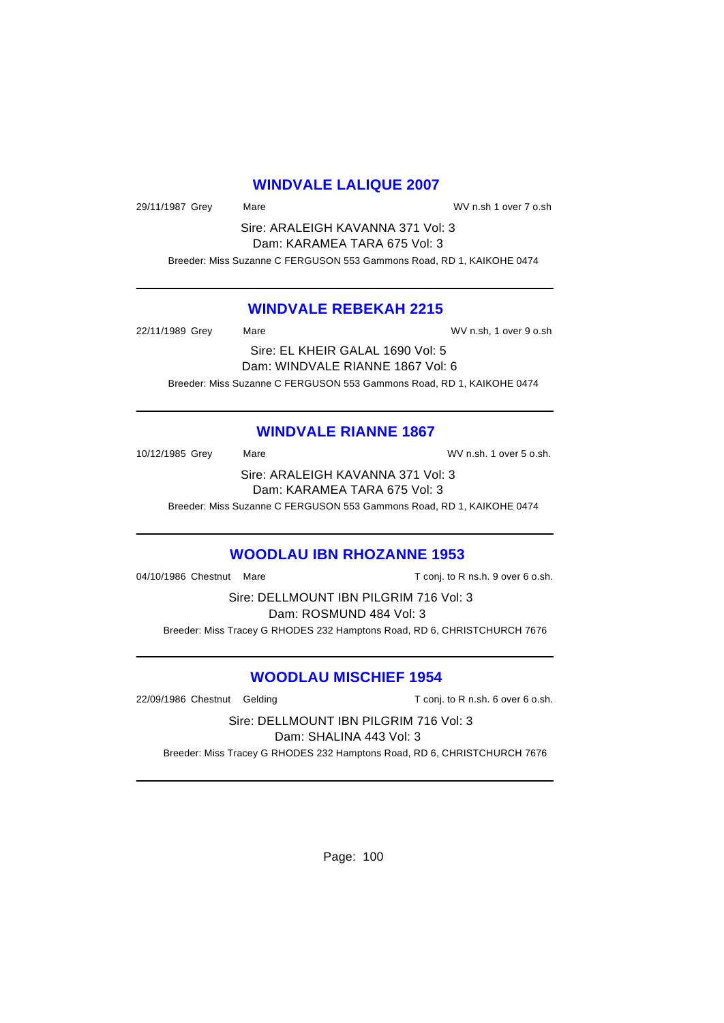### **WINDVALE LALIQUE 2007**

29/11/1987 Grey Mare WV n.sh 1 over 7 o.sh

Sire: ARALEIGH KAVANNA 371 Vol: 3 Dam: KARAMEA TARA 675 Vol: 3

Breeder: Miss Suzanne C FERGUSON 553 Gammons Road, RD 1, KAIKOHE 0474

### **WINDVALE REBEKAH 2215**

22/11/1989 Grey Mare WV n.sh, 1 over 9 o.sh Sire: EL KHEIR GALAL 1690 Vol: 5 Dam: WINDVALE RIANNE 1867 Vol: 6 Breeder: Miss Suzanne C FERGUSON 553 Gammons Road, RD 1, KAIKOHE 0474

# **WINDVALE RIANNE 1867**

10/12/1985 Grey Mare Mare WV n.sh. 1 over 5 o.sh. Sire: ARALEIGH KAVANNA 371 Vol: 3 Dam: KARAMEA TARA 675 Vol: 3

Breeder: Miss Suzanne C FERGUSON 553 Gammons Road, RD 1, KAIKOHE 0474

# **WOODLAU IBN RHOZANNE 1953**

04/10/1986 Chestnut Mare **T** conj. to R ns.h. 9 over 6 o.sh.

Sire: DELLMOUNT IBN PILGRIM 716 Vol: 3 Dam: ROSMUND 484 Vol: 3 Breeder: Miss Tracey G RHODES 232 Hamptons Road, RD 6, CHRISTCHURCH 7676

### **WOODLAU MISCHIEF 1954**

22/09/1986 Chestnut Gelding T conj. to R n.sh. 6 over 6 o.sh.

Sire: DELLMOUNT IBN PILGRIM 716 Vol: 3 Dam: SHALINA 443 Vol: 3

Breeder: Miss Tracey G RHODES 232 Hamptons Road, RD 6, CHRISTCHURCH 7676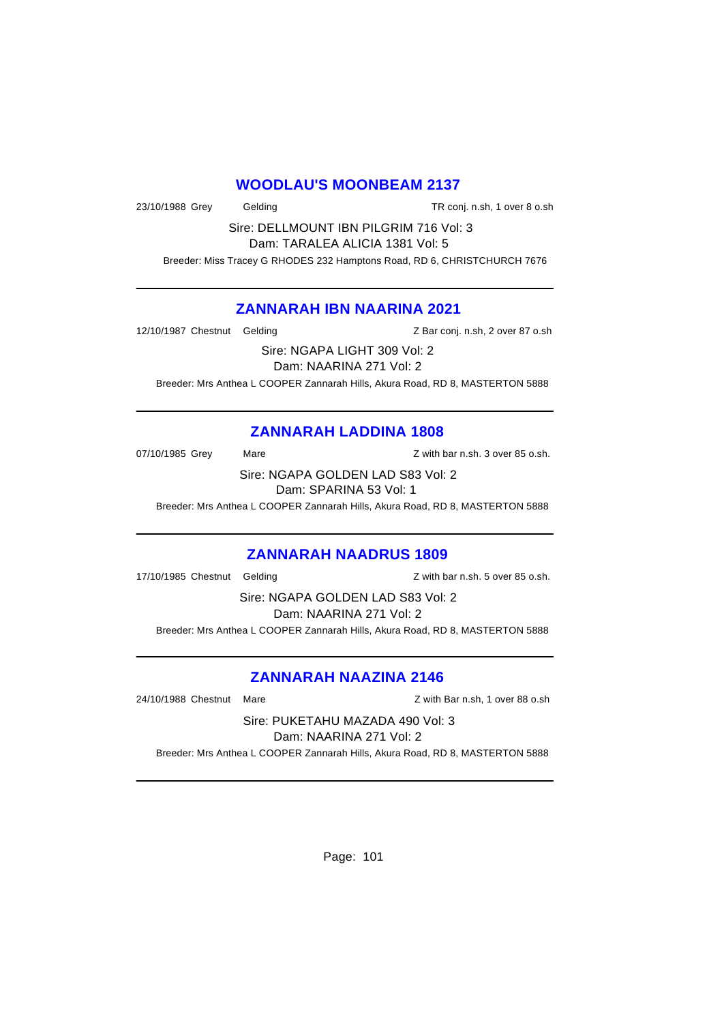### **WOODLAU'S MOONBEAM 2137**

23/10/1988 Grey Gelding TR conj. n.sh, 1 over 8 o.sh

Sire: DELLMOUNT IBN PILGRIM 716 Vol: 3 Dam: TARALEA ALICIA 1381 Vol: 5

Breeder: Miss Tracey G RHODES 232 Hamptons Road, RD 6, CHRISTCHURCH 7676

# **ZANNARAH IBN NAARINA 2021**

12/10/1987 Chestnut Gelding The State of Latin 2 Bar conj. n.sh, 2 over 87 o.sh

Sire: NGAPA LIGHT 309 Vol: 2

Dam: NAARINA 271 Vol: 2

Breeder: Mrs Anthea L COOPER Zannarah Hills, Akura Road, RD 8, MASTERTON 5888

# **ZANNARAH LADDINA 1808**

07/10/1985 Grey Mare Mare Z with bar n.sh. 3 over 85 o.sh.

Sire: NGAPA GOLDEN LAD S83 Vol: 2 Dam: SPARINA 53 Vol: 1

Breeder: Mrs Anthea L COOPER Zannarah Hills, Akura Road, RD 8, MASTERTON 5888

### **ZANNARAH NAADRUS 1809**

17/10/1985 Chestnut Gelding and Management Communication of the Muslim Communication of the 11/10/1985 Chestnu

Sire: NGAPA GOLDEN LAD S83 Vol: 2 Dam: NAARINA 271 Vol: 2

Breeder: Mrs Anthea L COOPER Zannarah Hills, Akura Road, RD 8, MASTERTON 5888

# **ZANNARAH NAAZINA 2146**

24/10/1988 Chestnut Mare Z with Bar n.sh, 1 over 88 o.sh

Sire: PUKETAHU MAZADA 490 Vol: 3

Dam: NAARINA 271 Vol: 2

Breeder: Mrs Anthea L COOPER Zannarah Hills, Akura Road, RD 8, MASTERTON 5888